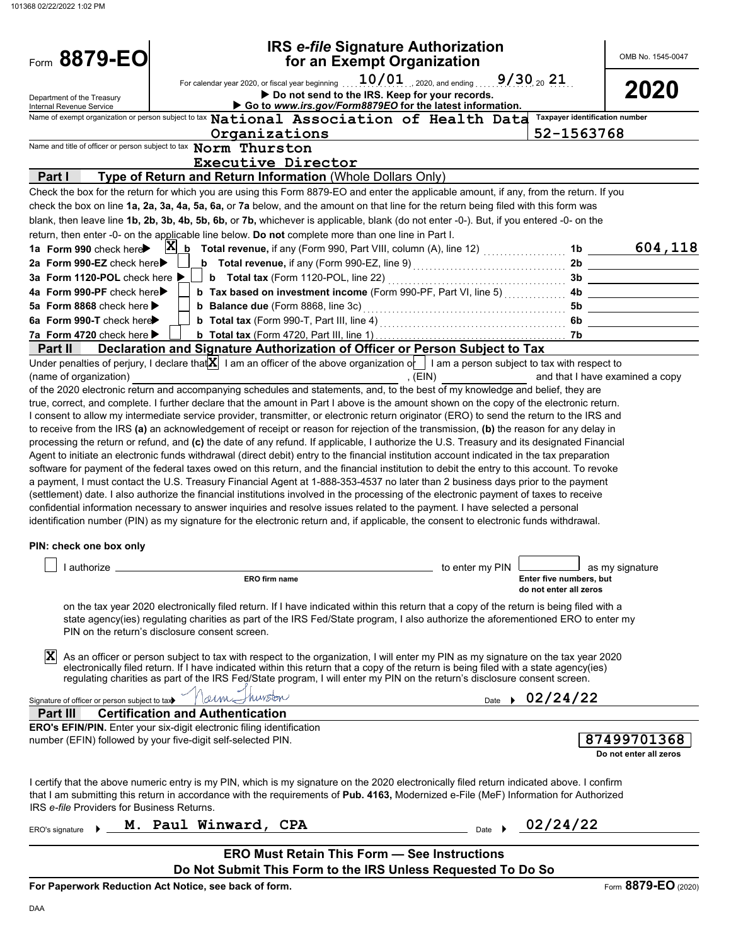| Form 8879-EO                                                                 |                                                  | <b>IRS e-file Signature Authorization</b><br>for an Exempt Organization                                                                                                                                                                                                         |                                                 |                                | OMB No. 1545-0047               |
|------------------------------------------------------------------------------|--------------------------------------------------|---------------------------------------------------------------------------------------------------------------------------------------------------------------------------------------------------------------------------------------------------------------------------------|-------------------------------------------------|--------------------------------|---------------------------------|
| Department of the Treasury<br>Internal Revenue Service                       | For calendar year 2020, or fiscal year beginning | Do not send to the IRS. Keep for your records.<br>Go to www.irs.gov/Form8879EO for the latest information.                                                                                                                                                                      | $10/01$ 2020, and ending 9/30 20 21             |                                | 2020                            |
|                                                                              |                                                  | Name of exempt organization or person subject to tax National Association of Health Data                                                                                                                                                                                        |                                                 | Taxpayer identification number |                                 |
|                                                                              | Organizations                                    |                                                                                                                                                                                                                                                                                 |                                                 | 52-1563768                     |                                 |
| Name and title of officer or person subject to tax Norm Thurston             |                                                  |                                                                                                                                                                                                                                                                                 |                                                 |                                |                                 |
|                                                                              |                                                  | Executive Director                                                                                                                                                                                                                                                              |                                                 |                                |                                 |
| Part I                                                                       |                                                  | Type of Return and Return Information (Whole Dollars Only)                                                                                                                                                                                                                      |                                                 |                                |                                 |
|                                                                              |                                                  | Check the box for the return for which you are using this Form 8879-EO and enter the applicable amount, if any, from the return. If you<br>check the box on line 1a, 2a, 3a, 4a, 5a, 6a, or 7a below, and the amount on that line for the return being filed with this form was |                                                 |                                |                                 |
|                                                                              |                                                  | blank, then leave line 1b, 2b, 3b, 4b, 5b, 6b, or 7b, whichever is applicable, blank (do not enter -0-). But, if you entered -0- on the                                                                                                                                         |                                                 |                                |                                 |
|                                                                              |                                                  | return, then enter -0- on the applicable line below. Do not complete more than one line in Part I.                                                                                                                                                                              |                                                 |                                |                                 |
| 1a Form 990 check here                                                       | $ \mathbf{X} $                                   | b Total revenue, if any (Form 990, Part VIII, column (A), line 12) ______________                                                                                                                                                                                               |                                                 |                                | 604,118<br>1 <sub>b</sub>       |
| 2a Form 990-EZ check here                                                    |                                                  |                                                                                                                                                                                                                                                                                 |                                                 | 2 <sub>b</sub>                 |                                 |
| 3a Form 1120-POL check here ▶                                                |                                                  |                                                                                                                                                                                                                                                                                 |                                                 | 3b                             |                                 |
| 4a Form 990-PF check here                                                    |                                                  | b Tax based on investment income (Form 990-PF, Part VI, line 5)                                                                                                                                                                                                                 |                                                 | 4b                             |                                 |
| 5a Form 8868 check here >                                                    |                                                  |                                                                                                                                                                                                                                                                                 |                                                 | 5b                             |                                 |
| 6a Form 990-T check here                                                     |                                                  |                                                                                                                                                                                                                                                                                 |                                                 | 6b                             |                                 |
| 7a Form 4720 check here ▶                                                    |                                                  |                                                                                                                                                                                                                                                                                 |                                                 |                                |                                 |
| Part II                                                                      |                                                  | Declaration and Signature Authorization of Officer or Person Subject to Tax                                                                                                                                                                                                     |                                                 |                                |                                 |
|                                                                              |                                                  | Under penalties of perjury, I declare that $\mathbf{X}$ I am an officer of the above organization of I am a person subject to tax with respect to                                                                                                                               |                                                 |                                |                                 |
| (name of organization)                                                       |                                                  | , $(EIN)$<br>of the 2020 electronic return and accompanying schedules and statements, and, to the best of my knowledge and belief, they are                                                                                                                                     |                                                 |                                | and that I have examined a copy |
|                                                                              |                                                  | true, correct, and complete. I further declare that the amount in Part I above is the amount shown on the copy of the electronic return.                                                                                                                                        |                                                 |                                |                                 |
|                                                                              |                                                  | I consent to allow my intermediate service provider, transmitter, or electronic return originator (ERO) to send the return to the IRS and                                                                                                                                       |                                                 |                                |                                 |
|                                                                              |                                                  | to receive from the IRS (a) an acknowledgement of receipt or reason for rejection of the transmission, (b) the reason for any delay in                                                                                                                                          |                                                 |                                |                                 |
|                                                                              |                                                  | processing the return or refund, and (c) the date of any refund. If applicable, I authorize the U.S. Treasury and its designated Financial                                                                                                                                      |                                                 |                                |                                 |
|                                                                              |                                                  | Agent to initiate an electronic funds withdrawal (direct debit) entry to the financial institution account indicated in the tax preparation                                                                                                                                     |                                                 |                                |                                 |
|                                                                              |                                                  | software for payment of the federal taxes owed on this return, and the financial institution to debit the entry to this account. To revoke                                                                                                                                      |                                                 |                                |                                 |
|                                                                              |                                                  | a payment, I must contact the U.S. Treasury Financial Agent at 1-888-353-4537 no later than 2 business days prior to the payment                                                                                                                                                |                                                 |                                |                                 |
|                                                                              |                                                  | (settlement) date. I also authorize the financial institutions involved in the processing of the electronic payment of taxes to receive                                                                                                                                         |                                                 |                                |                                 |
|                                                                              |                                                  | confidential information necessary to answer inquiries and resolve issues related to the payment. I have selected a personal                                                                                                                                                    |                                                 |                                |                                 |
|                                                                              |                                                  | identification number (PIN) as my signature for the electronic return and, if applicable, the consent to electronic funds withdrawal.                                                                                                                                           |                                                 |                                |                                 |
|                                                                              |                                                  |                                                                                                                                                                                                                                                                                 |                                                 |                                |                                 |
| PIN: check one box only                                                      |                                                  |                                                                                                                                                                                                                                                                                 |                                                 |                                |                                 |
| I authorize                                                                  |                                                  |                                                                                                                                                                                                                                                                                 | to enter my PIN <u>Lesse as</u> as my signature |                                |                                 |
|                                                                              |                                                  | <b>ERO firm name</b>                                                                                                                                                                                                                                                            |                                                 | Enter five numbers, but        |                                 |
|                                                                              |                                                  |                                                                                                                                                                                                                                                                                 |                                                 | do not enter all zeros         |                                 |
|                                                                              |                                                  | on the tax year 2020 electronically filed return. If I have indicated within this return that a copy of the return is being filed with a                                                                                                                                        |                                                 |                                |                                 |
|                                                                              |                                                  | state agency(ies) regulating charities as part of the IRS Fed/State program, I also authorize the aforementioned ERO to enter my                                                                                                                                                |                                                 |                                |                                 |
|                                                                              | PIN on the return's disclosure consent screen.   |                                                                                                                                                                                                                                                                                 |                                                 |                                |                                 |
|                                                                              |                                                  |                                                                                                                                                                                                                                                                                 |                                                 |                                |                                 |
|                                                                              |                                                  | As an officer or person subject to tax with respect to the organization, I will enter my PIN as my signature on the tax year 2020<br>electronically filed return. If I have indicated within this return that a copy of the return is being filed with a state agency(ies)      |                                                 |                                |                                 |
|                                                                              |                                                  | regulating charities as part of the IRS Fed/State program, I will enter my PIN on the return's disclosure consent screen.                                                                                                                                                       |                                                 |                                |                                 |
|                                                                              |                                                  |                                                                                                                                                                                                                                                                                 |                                                 |                                |                                 |
| Signature of officer or person subject to tax                                | huvston                                          |                                                                                                                                                                                                                                                                                 |                                                 | Date $\rightarrow$ 02/24/22    |                                 |
| Part III                                                                     | <b>Certification and Authentication</b>          |                                                                                                                                                                                                                                                                                 |                                                 |                                |                                 |
| <b>ERO's EFIN/PIN.</b> Enter your six-digit electronic filing identification |                                                  |                                                                                                                                                                                                                                                                                 |                                                 |                                |                                 |
| number (EFIN) followed by your five-digit self-selected PIN.                 |                                                  |                                                                                                                                                                                                                                                                                 |                                                 |                                | 87499701368                     |
|                                                                              |                                                  |                                                                                                                                                                                                                                                                                 |                                                 |                                | Do not enter all zeros          |
|                                                                              |                                                  |                                                                                                                                                                                                                                                                                 |                                                 |                                |                                 |
|                                                                              |                                                  | I certify that the above numeric entry is my PIN, which is my signature on the 2020 electronically filed return indicated above. I confirm                                                                                                                                      |                                                 |                                |                                 |
|                                                                              |                                                  | that I am submitting this return in accordance with the requirements of Pub. 4163, Modernized e-File (MeF) Information for Authorized                                                                                                                                           |                                                 |                                |                                 |
| IRS e-file Providers for Business Returns.                                   |                                                  |                                                                                                                                                                                                                                                                                 |                                                 |                                |                                 |
| ERO's signature                                                              | M. Paul Winward, CPA                             |                                                                                                                                                                                                                                                                                 | Date                                            | 02/24/22                       |                                 |
|                                                                              |                                                  |                                                                                                                                                                                                                                                                                 |                                                 |                                |                                 |
|                                                                              |                                                  | <b>ERO Must Retain This Form - See Instructions</b>                                                                                                                                                                                                                             |                                                 |                                |                                 |
|                                                                              |                                                  | Do Not Submit This Form to the IRS Unless Requested To Do So                                                                                                                                                                                                                    |                                                 |                                |                                 |
| For Paperwork Reduction Act Notice, see back of form.                        |                                                  |                                                                                                                                                                                                                                                                                 |                                                 |                                | Form 8879-EO (2020)             |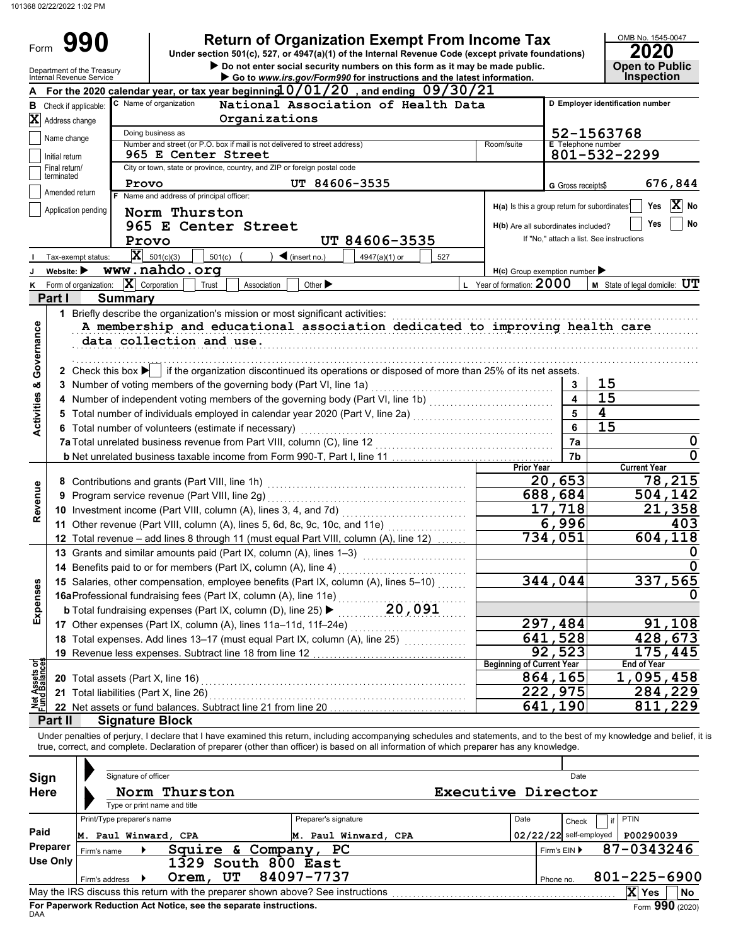101368 02/22/2022 1:02 PM

Form 990

# **Return of Organization Exempt From Income Tax**

**Under section 501(c), 527, or 4947(a)(1) of the Internal Revenue Code (except private foundations)**

OMB No. 1545-0047

|                                | Department of the Treasury<br>Internal Revenue Service |                              |                                                                                                                                                                                                                                                                                                                       |               |                                   | Do not enter social security numbers on this form as it may be made public.<br>Go to www.irs.gov/Form990 for instructions and the latest information. |  |                                                     |                           |                                          | <b>Open to Public</b><br><b>Inspection</b> |
|--------------------------------|--------------------------------------------------------|------------------------------|-----------------------------------------------------------------------------------------------------------------------------------------------------------------------------------------------------------------------------------------------------------------------------------------------------------------------|---------------|-----------------------------------|-------------------------------------------------------------------------------------------------------------------------------------------------------|--|-----------------------------------------------------|---------------------------|------------------------------------------|--------------------------------------------|
|                                |                                                        |                              | For the 2020 calendar year, or tax year beginning 0/01/20, and ending 09/30/21                                                                                                                                                                                                                                        |               |                                   |                                                                                                                                                       |  |                                                     |                           |                                          |                                            |
| в                              | Check if applicable:                                   | C Name of organization       |                                                                                                                                                                                                                                                                                                                       |               |                                   | National Association of Health Data                                                                                                                   |  |                                                     |                           | D Employer identification number         |                                            |
| X                              | Address change                                         |                              |                                                                                                                                                                                                                                                                                                                       | Organizations |                                   |                                                                                                                                                       |  |                                                     |                           |                                          |                                            |
|                                |                                                        | Doing business as            |                                                                                                                                                                                                                                                                                                                       |               |                                   |                                                                                                                                                       |  |                                                     |                           | 52-1563768                               |                                            |
|                                | Name change                                            |                              | Number and street (or P.O. box if mail is not delivered to street address)                                                                                                                                                                                                                                            |               |                                   |                                                                                                                                                       |  | Room/suite                                          | <b>E</b> Telephone number |                                          |                                            |
|                                | Initial return                                         |                              | 965 E Center Street                                                                                                                                                                                                                                                                                                   |               |                                   |                                                                                                                                                       |  |                                                     |                           | $801 - 532 - 2299$                       |                                            |
|                                | Final return/<br>terminated                            |                              | City or town, state or province, country, and ZIP or foreign postal code                                                                                                                                                                                                                                              |               |                                   |                                                                                                                                                       |  |                                                     |                           |                                          |                                            |
|                                |                                                        | Provo                        |                                                                                                                                                                                                                                                                                                                       |               | UT 84606-3535                     |                                                                                                                                                       |  |                                                     | G Gross receipts\$        |                                          | 676,844                                    |
|                                | Amended return                                         |                              | F Name and address of principal officer:                                                                                                                                                                                                                                                                              |               |                                   |                                                                                                                                                       |  |                                                     |                           |                                          | $\mathbf{x}$<br>Yes<br>No                  |
|                                | Application pending                                    |                              | Norm Thurston                                                                                                                                                                                                                                                                                                         |               |                                   |                                                                                                                                                       |  | H(a) Is this a group return for subordinates?       |                           |                                          |                                            |
|                                |                                                        |                              | 965 E Center Street                                                                                                                                                                                                                                                                                                   |               |                                   |                                                                                                                                                       |  | H(b) Are all subordinates included?                 |                           |                                          | No<br>Yes                                  |
|                                |                                                        | Provo                        |                                                                                                                                                                                                                                                                                                                       |               |                                   | UT 84606-3535                                                                                                                                         |  |                                                     |                           | If "No," attach a list. See instructions |                                            |
|                                | Tax-exempt status:                                     | $ \mathbf{X} $ 501(c)(3)     | 501(c)                                                                                                                                                                                                                                                                                                                |               | $\blacktriangleleft$ (insert no.) | 4947(a)(1) or<br>527                                                                                                                                  |  |                                                     |                           |                                          |                                            |
| J                              | Website: $\blacktriangleright$                         |                              | www.nahdo.org                                                                                                                                                                                                                                                                                                         |               |                                   |                                                                                                                                                       |  | $H(c)$ Group exemption number $\blacktriangleright$ |                           |                                          |                                            |
| κ                              | Form of organization:                                  | $ \mathbf{X} $ Corporation   | Trust                                                                                                                                                                                                                                                                                                                 | Association   | Other $\blacktriangleright$       |                                                                                                                                                       |  | L Year of formation: 2000                           |                           |                                          | <b>M</b> State of legal domicile: $UT$     |
|                                | Part I                                                 | <b>Summary</b>               |                                                                                                                                                                                                                                                                                                                       |               |                                   |                                                                                                                                                       |  |                                                     |                           |                                          |                                            |
|                                |                                                        |                              | 1 Briefly describe the organization's mission or most significant activities:                                                                                                                                                                                                                                         |               |                                   |                                                                                                                                                       |  |                                                     |                           |                                          |                                            |
|                                |                                                        |                              | A membership and educational association dedicated to improving health care                                                                                                                                                                                                                                           |               |                                   |                                                                                                                                                       |  |                                                     |                           |                                          |                                            |
|                                |                                                        |                              | data collection and use.                                                                                                                                                                                                                                                                                              |               |                                   |                                                                                                                                                       |  |                                                     |                           |                                          |                                            |
|                                |                                                        |                              |                                                                                                                                                                                                                                                                                                                       |               |                                   |                                                                                                                                                       |  |                                                     |                           |                                          |                                            |
| Governance                     |                                                        |                              | 2 Check this box $\blacktriangleright$ if the organization discontinued its operations or disposed of more than 25% of its net assets.                                                                                                                                                                                |               |                                   |                                                                                                                                                       |  |                                                     |                           |                                          |                                            |
|                                |                                                        |                              |                                                                                                                                                                                                                                                                                                                       |               |                                   |                                                                                                                                                       |  |                                                     | 3                         | 15                                       |                                            |
|                                |                                                        |                              | 3 Number of voting members of the governing body (Part VI, line 1a)                                                                                                                                                                                                                                                   |               |                                   |                                                                                                                                                       |  |                                                     | $\overline{\mathbf{A}}$   | $\overline{15}$                          |                                            |
| <b>Activities &amp;</b>        |                                                        |                              | Number of independent voting members of the governing body (Part VI, line 1b) [[[[[[[[[[[[[[[[[[[[[[[[[[[[[[]                                                                                                                                                                                                         |               |                                   |                                                                                                                                                       |  |                                                     | 5                         | $\overline{\mathbf{4}}$                  |                                            |
|                                |                                                        |                              |                                                                                                                                                                                                                                                                                                                       |               |                                   |                                                                                                                                                       |  |                                                     | 6                         | 15                                       |                                            |
|                                |                                                        |                              | 6 Total number of volunteers (estimate if necessary)                                                                                                                                                                                                                                                                  |               |                                   |                                                                                                                                                       |  |                                                     | 7a                        |                                          |                                            |
|                                |                                                        |                              |                                                                                                                                                                                                                                                                                                                       |               |                                   |                                                                                                                                                       |  |                                                     |                           |                                          | 0                                          |
|                                |                                                        |                              |                                                                                                                                                                                                                                                                                                                       |               |                                   |                                                                                                                                                       |  | Prior Year                                          | 7b                        |                                          | 0<br><b>Current Year</b>                   |
|                                |                                                        |                              |                                                                                                                                                                                                                                                                                                                       |               |                                   |                                                                                                                                                       |  |                                                     | 20,653                    |                                          | 78,215                                     |
| Revenue                        | 9                                                      |                              | Program service revenue (Part VIII, line 2g)                                                                                                                                                                                                                                                                          |               |                                   |                                                                                                                                                       |  |                                                     | 688,684                   |                                          | 504,142                                    |
|                                |                                                        |                              |                                                                                                                                                                                                                                                                                                                       |               |                                   |                                                                                                                                                       |  |                                                     | 17,718                    |                                          | 21,358                                     |
|                                |                                                        |                              | 10 Investment income (Part VIII, column (A), lines 3, 4, and 7d)                                                                                                                                                                                                                                                      |               |                                   |                                                                                                                                                       |  |                                                     | 6,996                     |                                          | 403                                        |
|                                |                                                        |                              | 11 Other revenue (Part VIII, column (A), lines 5, 6d, 8c, 9c, 10c, and 11e)                                                                                                                                                                                                                                           |               |                                   |                                                                                                                                                       |  |                                                     |                           |                                          |                                            |
|                                |                                                        |                              | 12 Total revenue - add lines 8 through 11 (must equal Part VIII, column (A), line 12)                                                                                                                                                                                                                                 |               |                                   |                                                                                                                                                       |  |                                                     | 734,051                   |                                          | 604,118                                    |
|                                |                                                        |                              | 13 Grants and similar amounts paid (Part IX, column (A), lines 1-3)                                                                                                                                                                                                                                                   |               |                                   |                                                                                                                                                       |  |                                                     |                           |                                          |                                            |
|                                |                                                        |                              | 14 Benefits paid to or for members (Part IX, column (A), line 4)                                                                                                                                                                                                                                                      |               |                                   |                                                                                                                                                       |  |                                                     | 344,044                   |                                          |                                            |
| <b>Ses</b>                     |                                                        |                              | 15 Salaries, other compensation, employee benefits (Part IX, column (A), lines 5-10)                                                                                                                                                                                                                                  |               |                                   |                                                                                                                                                       |  |                                                     |                           |                                          | 337,565                                    |
|                                |                                                        |                              | 16aProfessional fundraising fees (Part IX, column (A), line 11e)                                                                                                                                                                                                                                                      |               |                                   |                                                                                                                                                       |  |                                                     |                           |                                          |                                            |
| Expen                          |                                                        |                              | <b>b</b> Total fundraising expenses (Part IX, column (D), line 25) $\blacktriangleright$                                                                                                                                                                                                                              |               |                                   | 20,091                                                                                                                                                |  |                                                     |                           |                                          |                                            |
|                                |                                                        |                              | 17 Other expenses (Part IX, column (A), lines 11a-11d, 11f-24e)                                                                                                                                                                                                                                                       |               |                                   |                                                                                                                                                       |  |                                                     | 297,484                   |                                          | 91,108                                     |
|                                |                                                        |                              |                                                                                                                                                                                                                                                                                                                       |               |                                   |                                                                                                                                                       |  |                                                     | 641,528                   |                                          | 428,673                                    |
|                                |                                                        |                              |                                                                                                                                                                                                                                                                                                                       |               |                                   |                                                                                                                                                       |  |                                                     | 92,523                    |                                          | 175,445                                    |
| Net Assets or<br>Fund Balances |                                                        |                              |                                                                                                                                                                                                                                                                                                                       |               |                                   |                                                                                                                                                       |  | <b>Beginning of Current Year</b>                    | 864,165                   |                                          | <b>End of Year</b><br>1,095,458            |
|                                | 20 Total assets (Part X, line 16)                      |                              |                                                                                                                                                                                                                                                                                                                       |               |                                   |                                                                                                                                                       |  |                                                     | 222,975                   |                                          |                                            |
|                                | 21 Total liabilities (Part X, line 26)                 |                              |                                                                                                                                                                                                                                                                                                                       |               |                                   |                                                                                                                                                       |  |                                                     | 641,190                   |                                          | 284,229                                    |
|                                |                                                        |                              | 22 Net assets or fund balances. Subtract line 21 from line 20 [1, [1, [1, [1]]                                                                                                                                                                                                                                        |               |                                   |                                                                                                                                                       |  |                                                     |                           |                                          | 811,229                                    |
|                                | Part II                                                | <b>Signature Block</b>       |                                                                                                                                                                                                                                                                                                                       |               |                                   |                                                                                                                                                       |  |                                                     |                           |                                          |                                            |
|                                |                                                        |                              | Under penalties of perjury, I declare that I have examined this return, including accompanying schedules and statements, and to the best of my knowledge and belief, it<br>true, correct, and complete. Declaration of preparer (other than officer) is based on all information of which preparer has any knowledge. |               |                                   |                                                                                                                                                       |  |                                                     |                           |                                          |                                            |
|                                |                                                        |                              |                                                                                                                                                                                                                                                                                                                       |               |                                   |                                                                                                                                                       |  |                                                     |                           |                                          |                                            |
|                                |                                                        |                              |                                                                                                                                                                                                                                                                                                                       |               |                                   |                                                                                                                                                       |  |                                                     |                           |                                          |                                            |
| Sign                           |                                                        | Signature of officer         |                                                                                                                                                                                                                                                                                                                       |               |                                   |                                                                                                                                                       |  |                                                     | Date                      |                                          |                                            |
|                                | <b>Here</b>                                            |                              | Norm Thurston                                                                                                                                                                                                                                                                                                         |               |                                   |                                                                                                                                                       |  | Executive Director                                  |                           |                                          |                                            |
|                                |                                                        | Type or print name and title |                                                                                                                                                                                                                                                                                                                       |               |                                   |                                                                                                                                                       |  |                                                     |                           |                                          |                                            |
|                                |                                                        | Print/Type preparer's name   |                                                                                                                                                                                                                                                                                                                       |               | Preparer's signature              |                                                                                                                                                       |  | Date                                                | Check                     | PTIN                                     |                                            |
| Paid                           |                                                        | M. Paul Winward, CPA         |                                                                                                                                                                                                                                                                                                                       |               | M. Paul Winward, CPA              |                                                                                                                                                       |  |                                                     | $02/22/22$ self-employed  |                                          | P00290039                                  |
|                                | <b>Preparer</b><br>Firm's name                         |                              | Squire & Company, PC                                                                                                                                                                                                                                                                                                  |               |                                   |                                                                                                                                                       |  |                                                     | Firm's EIN ▶              |                                          | 87-0343246                                 |
|                                | <b>Use Only</b>                                        |                              | 1329 South 800 East                                                                                                                                                                                                                                                                                                   |               |                                   |                                                                                                                                                       |  |                                                     |                           |                                          |                                            |
|                                |                                                        | Firm's address ▶             | Orem, UT                                                                                                                                                                                                                                                                                                              |               | 84097-7737                        |                                                                                                                                                       |  |                                                     | Phone no.                 |                                          | 801-225-6900                               |
|                                |                                                        |                              |                                                                                                                                                                                                                                                                                                                       |               |                                   |                                                                                                                                                       |  |                                                     |                           |                                          | X Yes<br>No.                               |

| Sign<br><b>Here</b>  | Signature of officer                                  | Norm Thurston<br>Type or print name and title                                                                                                         |                                              | Executive Director | Date                                                          |
|----------------------|-------------------------------------------------------|-------------------------------------------------------------------------------------------------------------------------------------------------------|----------------------------------------------|--------------------|---------------------------------------------------------------|
| Paid                 | Print/Type preparer's name<br>Paul Winward, CPA<br>M. |                                                                                                                                                       | Preparer's signature<br>M. Paul Winward, CPA | Date               | <b>PTIN</b><br>Check<br>$02/22/22$ self-employed<br>P00290039 |
| Preparer<br>Use Only | Firm's name<br>Firm's address                         | Squire & Company,<br>1329 South 800 East<br>UT<br>Orem,                                                                                               | <b>PC</b><br>84097-7737                      |                    | 87-0343246<br>Firm's $EIN$<br>801-225-6900<br>Phone no.       |
| <b>DAA</b>           |                                                       | May the IRS discuss this return with the preparer shown above? See instructions<br>For Paperwork Reduction Act Notice, see the separate instructions. |                                              |                    | X<br>Yes<br>No<br>Form 990 (2020)                             |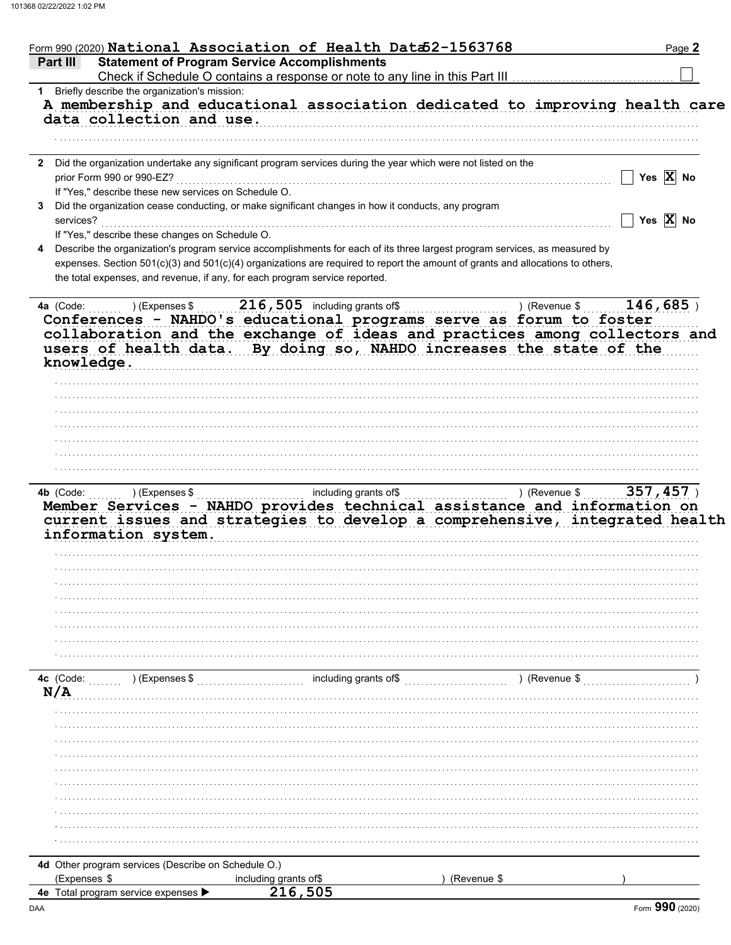| <b>Statement of Program Service Accomplishments</b><br>Part III<br>Check if Schedule O contains a response or note to any line in this Part III [11] [11] [11] [11] [11] [11] [1<br>Briefly describe the organization's mission:<br>1.<br>A membership and educational association dedicated to improving health care<br>data collection and use.<br>Did the organization undertake any significant program services during the year which were not listed on the<br>$\mathbf{2}$<br>prior Form 990 or 990-EZ?<br>If "Yes," describe these new services on Schedule O.<br>3 Did the organization cease conducting, or make significant changes in how it conducts, any program<br>services?<br>If "Yes," describe these changes on Schedule O.<br>4 Describe the organization's program service accomplishments for each of its three largest program services, as measured by<br>expenses. Section 501(c)(3) and 501(c)(4) organizations are required to report the amount of grants and allocations to others,<br>the total expenses, and revenue, if any, for each program service reported. | Yes $\overline{X}$ No<br>Yes $\overline{X}$ No |
|-------------------------------------------------------------------------------------------------------------------------------------------------------------------------------------------------------------------------------------------------------------------------------------------------------------------------------------------------------------------------------------------------------------------------------------------------------------------------------------------------------------------------------------------------------------------------------------------------------------------------------------------------------------------------------------------------------------------------------------------------------------------------------------------------------------------------------------------------------------------------------------------------------------------------------------------------------------------------------------------------------------------------------------------------------------------------------------------------|------------------------------------------------|
|                                                                                                                                                                                                                                                                                                                                                                                                                                                                                                                                                                                                                                                                                                                                                                                                                                                                                                                                                                                                                                                                                                 |                                                |
|                                                                                                                                                                                                                                                                                                                                                                                                                                                                                                                                                                                                                                                                                                                                                                                                                                                                                                                                                                                                                                                                                                 |                                                |
|                                                                                                                                                                                                                                                                                                                                                                                                                                                                                                                                                                                                                                                                                                                                                                                                                                                                                                                                                                                                                                                                                                 |                                                |
|                                                                                                                                                                                                                                                                                                                                                                                                                                                                                                                                                                                                                                                                                                                                                                                                                                                                                                                                                                                                                                                                                                 |                                                |
|                                                                                                                                                                                                                                                                                                                                                                                                                                                                                                                                                                                                                                                                                                                                                                                                                                                                                                                                                                                                                                                                                                 |                                                |
|                                                                                                                                                                                                                                                                                                                                                                                                                                                                                                                                                                                                                                                                                                                                                                                                                                                                                                                                                                                                                                                                                                 |                                                |
|                                                                                                                                                                                                                                                                                                                                                                                                                                                                                                                                                                                                                                                                                                                                                                                                                                                                                                                                                                                                                                                                                                 |                                                |
|                                                                                                                                                                                                                                                                                                                                                                                                                                                                                                                                                                                                                                                                                                                                                                                                                                                                                                                                                                                                                                                                                                 |                                                |
|                                                                                                                                                                                                                                                                                                                                                                                                                                                                                                                                                                                                                                                                                                                                                                                                                                                                                                                                                                                                                                                                                                 |                                                |
|                                                                                                                                                                                                                                                                                                                                                                                                                                                                                                                                                                                                                                                                                                                                                                                                                                                                                                                                                                                                                                                                                                 |                                                |
|                                                                                                                                                                                                                                                                                                                                                                                                                                                                                                                                                                                                                                                                                                                                                                                                                                                                                                                                                                                                                                                                                                 |                                                |
|                                                                                                                                                                                                                                                                                                                                                                                                                                                                                                                                                                                                                                                                                                                                                                                                                                                                                                                                                                                                                                                                                                 |                                                |
|                                                                                                                                                                                                                                                                                                                                                                                                                                                                                                                                                                                                                                                                                                                                                                                                                                                                                                                                                                                                                                                                                                 |                                                |
|                                                                                                                                                                                                                                                                                                                                                                                                                                                                                                                                                                                                                                                                                                                                                                                                                                                                                                                                                                                                                                                                                                 |                                                |
|                                                                                                                                                                                                                                                                                                                                                                                                                                                                                                                                                                                                                                                                                                                                                                                                                                                                                                                                                                                                                                                                                                 |                                                |
| 216, 505 including grants of\$<br>4a (Code: ) (Expenses \$<br>) (Revenue \$                                                                                                                                                                                                                                                                                                                                                                                                                                                                                                                                                                                                                                                                                                                                                                                                                                                                                                                                                                                                                     | $146,685$ )                                    |
| Conferences - NAHDO's educational programs serve as forum to foster                                                                                                                                                                                                                                                                                                                                                                                                                                                                                                                                                                                                                                                                                                                                                                                                                                                                                                                                                                                                                             |                                                |
| collaboration and the exchange of ideas and practices among collectors and                                                                                                                                                                                                                                                                                                                                                                                                                                                                                                                                                                                                                                                                                                                                                                                                                                                                                                                                                                                                                      |                                                |
| users of health data. By doing so, NAHDO increases the state of the                                                                                                                                                                                                                                                                                                                                                                                                                                                                                                                                                                                                                                                                                                                                                                                                                                                                                                                                                                                                                             |                                                |
| knowledge.                                                                                                                                                                                                                                                                                                                                                                                                                                                                                                                                                                                                                                                                                                                                                                                                                                                                                                                                                                                                                                                                                      |                                                |
|                                                                                                                                                                                                                                                                                                                                                                                                                                                                                                                                                                                                                                                                                                                                                                                                                                                                                                                                                                                                                                                                                                 |                                                |
|                                                                                                                                                                                                                                                                                                                                                                                                                                                                                                                                                                                                                                                                                                                                                                                                                                                                                                                                                                                                                                                                                                 |                                                |
|                                                                                                                                                                                                                                                                                                                                                                                                                                                                                                                                                                                                                                                                                                                                                                                                                                                                                                                                                                                                                                                                                                 |                                                |
|                                                                                                                                                                                                                                                                                                                                                                                                                                                                                                                                                                                                                                                                                                                                                                                                                                                                                                                                                                                                                                                                                                 |                                                |
|                                                                                                                                                                                                                                                                                                                                                                                                                                                                                                                                                                                                                                                                                                                                                                                                                                                                                                                                                                                                                                                                                                 |                                                |
|                                                                                                                                                                                                                                                                                                                                                                                                                                                                                                                                                                                                                                                                                                                                                                                                                                                                                                                                                                                                                                                                                                 |                                                |
|                                                                                                                                                                                                                                                                                                                                                                                                                                                                                                                                                                                                                                                                                                                                                                                                                                                                                                                                                                                                                                                                                                 |                                                |
|                                                                                                                                                                                                                                                                                                                                                                                                                                                                                                                                                                                                                                                                                                                                                                                                                                                                                                                                                                                                                                                                                                 |                                                |
| including grants of\$<br>$\overbrace{\hspace{2.5cm}}^{\text{1}}$ (Revenue \$                                                                                                                                                                                                                                                                                                                                                                                                                                                                                                                                                                                                                                                                                                                                                                                                                                                                                                                                                                                                                    | $357,457$ )                                    |
| Member Services - NAHDO provides technical assistance and information on<br>current issues and strategies to develop a comprehensive, integrated health<br>information system.                                                                                                                                                                                                                                                                                                                                                                                                                                                                                                                                                                                                                                                                                                                                                                                                                                                                                                                  |                                                |
|                                                                                                                                                                                                                                                                                                                                                                                                                                                                                                                                                                                                                                                                                                                                                                                                                                                                                                                                                                                                                                                                                                 |                                                |
|                                                                                                                                                                                                                                                                                                                                                                                                                                                                                                                                                                                                                                                                                                                                                                                                                                                                                                                                                                                                                                                                                                 |                                                |
|                                                                                                                                                                                                                                                                                                                                                                                                                                                                                                                                                                                                                                                                                                                                                                                                                                                                                                                                                                                                                                                                                                 |                                                |
|                                                                                                                                                                                                                                                                                                                                                                                                                                                                                                                                                                                                                                                                                                                                                                                                                                                                                                                                                                                                                                                                                                 |                                                |
|                                                                                                                                                                                                                                                                                                                                                                                                                                                                                                                                                                                                                                                                                                                                                                                                                                                                                                                                                                                                                                                                                                 |                                                |
|                                                                                                                                                                                                                                                                                                                                                                                                                                                                                                                                                                                                                                                                                                                                                                                                                                                                                                                                                                                                                                                                                                 |                                                |
|                                                                                                                                                                                                                                                                                                                                                                                                                                                                                                                                                                                                                                                                                                                                                                                                                                                                                                                                                                                                                                                                                                 |                                                |
|                                                                                                                                                                                                                                                                                                                                                                                                                                                                                                                                                                                                                                                                                                                                                                                                                                                                                                                                                                                                                                                                                                 |                                                |
| including grants of\$<br>) (Revenue \$<br>4c (Code:<br>) (Expenses \$                                                                                                                                                                                                                                                                                                                                                                                                                                                                                                                                                                                                                                                                                                                                                                                                                                                                                                                                                                                                                           |                                                |
| N/A                                                                                                                                                                                                                                                                                                                                                                                                                                                                                                                                                                                                                                                                                                                                                                                                                                                                                                                                                                                                                                                                                             |                                                |
|                                                                                                                                                                                                                                                                                                                                                                                                                                                                                                                                                                                                                                                                                                                                                                                                                                                                                                                                                                                                                                                                                                 |                                                |
|                                                                                                                                                                                                                                                                                                                                                                                                                                                                                                                                                                                                                                                                                                                                                                                                                                                                                                                                                                                                                                                                                                 |                                                |
|                                                                                                                                                                                                                                                                                                                                                                                                                                                                                                                                                                                                                                                                                                                                                                                                                                                                                                                                                                                                                                                                                                 |                                                |
|                                                                                                                                                                                                                                                                                                                                                                                                                                                                                                                                                                                                                                                                                                                                                                                                                                                                                                                                                                                                                                                                                                 |                                                |
|                                                                                                                                                                                                                                                                                                                                                                                                                                                                                                                                                                                                                                                                                                                                                                                                                                                                                                                                                                                                                                                                                                 |                                                |
|                                                                                                                                                                                                                                                                                                                                                                                                                                                                                                                                                                                                                                                                                                                                                                                                                                                                                                                                                                                                                                                                                                 |                                                |
|                                                                                                                                                                                                                                                                                                                                                                                                                                                                                                                                                                                                                                                                                                                                                                                                                                                                                                                                                                                                                                                                                                 |                                                |
|                                                                                                                                                                                                                                                                                                                                                                                                                                                                                                                                                                                                                                                                                                                                                                                                                                                                                                                                                                                                                                                                                                 |                                                |
|                                                                                                                                                                                                                                                                                                                                                                                                                                                                                                                                                                                                                                                                                                                                                                                                                                                                                                                                                                                                                                                                                                 |                                                |
|                                                                                                                                                                                                                                                                                                                                                                                                                                                                                                                                                                                                                                                                                                                                                                                                                                                                                                                                                                                                                                                                                                 |                                                |
|                                                                                                                                                                                                                                                                                                                                                                                                                                                                                                                                                                                                                                                                                                                                                                                                                                                                                                                                                                                                                                                                                                 |                                                |
|                                                                                                                                                                                                                                                                                                                                                                                                                                                                                                                                                                                                                                                                                                                                                                                                                                                                                                                                                                                                                                                                                                 |                                                |
|                                                                                                                                                                                                                                                                                                                                                                                                                                                                                                                                                                                                                                                                                                                                                                                                                                                                                                                                                                                                                                                                                                 |                                                |
| 4d Other program services (Describe on Schedule O.)<br>(Expenses \$<br>including grants of\$<br>(Revenue \$<br>216,505                                                                                                                                                                                                                                                                                                                                                                                                                                                                                                                                                                                                                                                                                                                                                                                                                                                                                                                                                                          |                                                |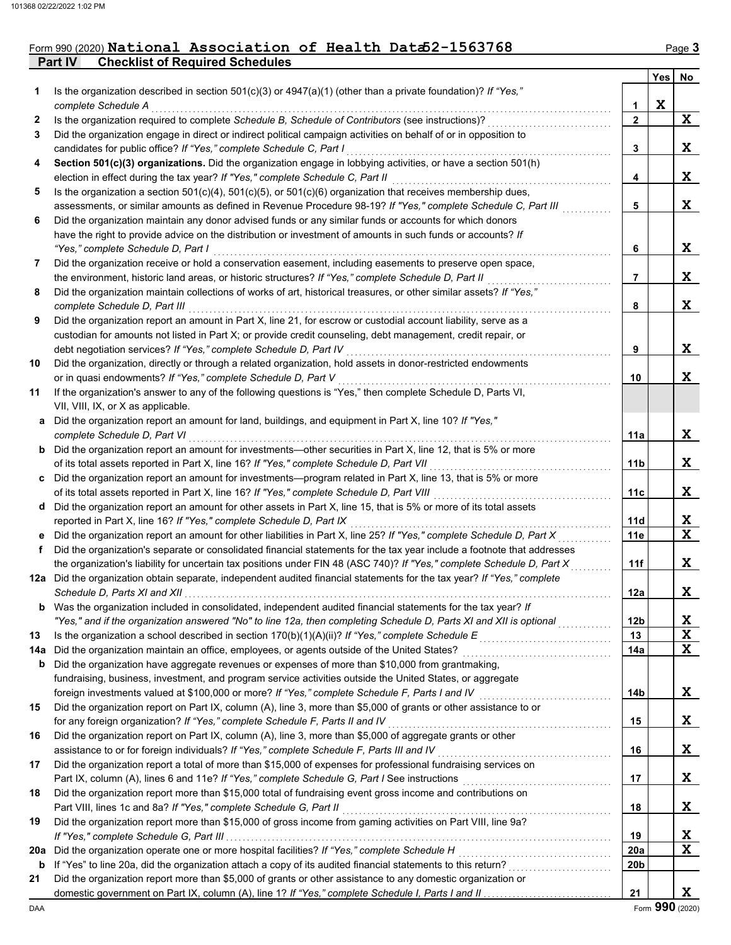### **Part IV Checklist of Required Schedules** Form 990 (2020) Page **3 National Association of Health Data52-1563768**

|              |                                                                                                                                                                                   |                | Yes I | No          |
|--------------|-----------------------------------------------------------------------------------------------------------------------------------------------------------------------------------|----------------|-------|-------------|
| 1.           | Is the organization described in section $501(c)(3)$ or $4947(a)(1)$ (other than a private foundation)? If "Yes,"<br>complete Schedule A                                          | 1              | X     |             |
| $\mathbf{2}$ | Is the organization required to complete Schedule B, Schedule of Contributors (see instructions)?                                                                                 | $\overline{2}$ |       | X           |
| 3            | Did the organization engage in direct or indirect political campaign activities on behalf of or in opposition to                                                                  |                |       |             |
|              | candidates for public office? If "Yes," complete Schedule C, Part I                                                                                                               | 3              |       | X           |
| 4            | Section 501(c)(3) organizations. Did the organization engage in lobbying activities, or have a section 501(h)                                                                     |                |       |             |
|              | election in effect during the tax year? If "Yes," complete Schedule C, Part II                                                                                                    | 4              |       | X           |
| 5            | Is the organization a section $501(c)(4)$ , $501(c)(5)$ , or $501(c)(6)$ organization that receives membership dues,                                                              |                |       |             |
|              | assessments, or similar amounts as defined in Revenue Procedure 98-19? If "Yes," complete Schedule C, Part III                                                                    | 5              |       | X           |
| 6            | Did the organization maintain any donor advised funds or any similar funds or accounts for which donors                                                                           |                |       |             |
|              | have the right to provide advice on the distribution or investment of amounts in such funds or accounts? If                                                                       |                |       |             |
|              | "Yes," complete Schedule D, Part I                                                                                                                                                | 6              |       | X           |
| 7            | Did the organization receive or hold a conservation easement, including easements to preserve open space,                                                                         |                |       |             |
|              | the environment, historic land areas, or historic structures? If "Yes," complete Schedule D, Part II                                                                              | 7              |       | X           |
| 8            | Did the organization maintain collections of works of art, historical treasures, or other similar assets? If "Yes,"                                                               |                |       |             |
|              | complete Schedule D, Part III                                                                                                                                                     | 8              |       | X           |
| 9            | Did the organization report an amount in Part X, line 21, for escrow or custodial account liability, serve as a                                                                   |                |       |             |
|              | custodian for amounts not listed in Part X; or provide credit counseling, debt management, credit repair, or                                                                      |                |       | X           |
|              | debt negotiation services? If "Yes," complete Schedule D, Part IV<br>Did the organization, directly or through a related organization, hold assets in donor-restricted endowments | 9              |       |             |
| 10           | or in quasi endowments? If "Yes," complete Schedule D, Part V                                                                                                                     | 10             |       | X           |
| 11           | If the organization's answer to any of the following questions is "Yes," then complete Schedule D, Parts VI,                                                                      |                |       |             |
|              | VII, VIII, IX, or X as applicable.                                                                                                                                                |                |       |             |
| а            | Did the organization report an amount for land, buildings, and equipment in Part X, line 10? If "Yes,"                                                                            |                |       |             |
|              | complete Schedule D, Part VI                                                                                                                                                      | 11a            |       | X           |
|              | <b>b</b> Did the organization report an amount for investments—other securities in Part X, line 12, that is 5% or more                                                            |                |       |             |
|              | of its total assets reported in Part X, line 16? If "Yes," complete Schedule D, Part VII                                                                                          | 11b            |       | X           |
| c            | Did the organization report an amount for investments—program related in Part X, line 13, that is 5% or more                                                                      |                |       |             |
|              | of its total assets reported in Part X, line 16? If "Yes," complete Schedule D, Part VIII                                                                                         | 11c            |       | X           |
| d            | Did the organization report an amount for other assets in Part X, line 15, that is 5% or more of its total assets                                                                 |                |       |             |
|              | reported in Part X, line 16? If "Yes," complete Schedule D, Part IX                                                                                                               | 11d            |       | X           |
|              | Did the organization report an amount for other liabilities in Part X, line 25? If "Yes," complete Schedule D, Part X                                                             | 11e            |       | $\mathbf x$ |
| f            | Did the organization's separate or consolidated financial statements for the tax year include a footnote that addresses                                                           |                |       |             |
|              | the organization's liability for uncertain tax positions under FIN 48 (ASC 740)? If "Yes," complete Schedule D, Part X                                                            | 11f            |       | X           |
|              | 12a Did the organization obtain separate, independent audited financial statements for the tax year? If "Yes," complete                                                           |                |       |             |
|              | Schedule D, Parts XI and XII                                                                                                                                                      | 12a            |       | X           |
|              | <b>b</b> Was the organization included in consolidated, independent audited financial statements for the tax year? If                                                             |                |       |             |
|              | "Yes," and if the organization answered "No" to line 12a, then completing Schedule D, Parts XI and XII is optional                                                                | 12b            |       | X           |
| 13           |                                                                                                                                                                                   | 13             |       | X<br>X      |
| 14a<br>b     | Did the organization have aggregate revenues or expenses of more than \$10,000 from grantmaking,                                                                                  | 14a            |       |             |
|              | fundraising, business, investment, and program service activities outside the United States, or aggregate                                                                         |                |       |             |
|              | foreign investments valued at \$100,000 or more? If "Yes," complete Schedule F, Parts I and IV [[[[[[[[[[[[[[[                                                                    | 14b            |       | X           |
| 15           | Did the organization report on Part IX, column (A), line 3, more than \$5,000 of grants or other assistance to or                                                                 |                |       |             |
|              | for any foreign organization? If "Yes," complete Schedule F, Parts II and IV                                                                                                      | 15             |       | X           |
| 16           | Did the organization report on Part IX, column (A), line 3, more than \$5,000 of aggregate grants or other                                                                        |                |       |             |
|              |                                                                                                                                                                                   | 16             |       | X           |
| 17           | Did the organization report a total of more than \$15,000 of expenses for professional fundraising services on                                                                    |                |       |             |
|              |                                                                                                                                                                                   | 17             |       | X           |
| 18           | Did the organization report more than \$15,000 total of fundraising event gross income and contributions on                                                                       |                |       |             |
|              | Part VIII, lines 1c and 8a? If "Yes," complete Schedule G, Part II                                                                                                                | 18             |       | X           |
| 19           | Did the organization report more than \$15,000 of gross income from gaming activities on Part VIII, line 9a?                                                                      |                |       |             |
|              |                                                                                                                                                                                   | 19             |       | X           |
| 20a          | Did the organization operate one or more hospital facilities? If "Yes," complete Schedule H                                                                                       | 20a            |       | X           |
| b            |                                                                                                                                                                                   | 20b            |       |             |
| 21           | Did the organization report more than \$5,000 of grants or other assistance to any domestic organization or                                                                       |                |       |             |
|              |                                                                                                                                                                                   | 21             |       | X.          |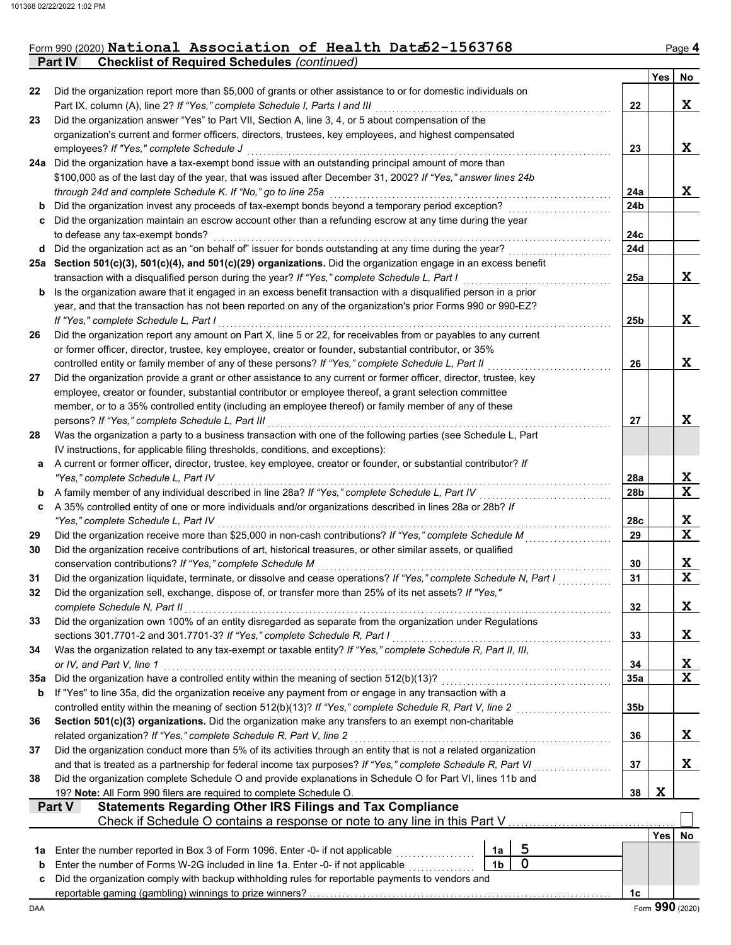### Form 990 (2020) Page **4 National Association of Health Data52-1563768 Part IV Checklist of Required Schedules** *(continued)*

|     |                                                                                                                                                                             |                |             |                 | Yes        | No                      |
|-----|-----------------------------------------------------------------------------------------------------------------------------------------------------------------------------|----------------|-------------|-----------------|------------|-------------------------|
| 22  | Did the organization report more than \$5,000 of grants or other assistance to or for domestic individuals on                                                               |                |             |                 |            |                         |
|     | Part IX, column (A), line 2? If "Yes," complete Schedule I, Parts I and III                                                                                                 |                |             | 22              |            | X                       |
| 23  | Did the organization answer "Yes" to Part VII, Section A, line 3, 4, or 5 about compensation of the                                                                         |                |             |                 |            |                         |
|     | organization's current and former officers, directors, trustees, key employees, and highest compensated<br>employees? If "Yes," complete Schedule J                         |                |             |                 |            | X                       |
| 24a | Did the organization have a tax-exempt bond issue with an outstanding principal amount of more than                                                                         |                |             | 23              |            |                         |
|     | \$100,000 as of the last day of the year, that was issued after December 31, 2002? If "Yes," answer lines 24b                                                               |                |             |                 |            |                         |
|     | through 24d and complete Schedule K. If "No," go to line 25a                                                                                                                |                |             | 24a             |            | X                       |
| b   | Did the organization invest any proceeds of tax-exempt bonds beyond a temporary period exception?                                                                           |                |             | 24b             |            |                         |
| c   | Did the organization maintain an escrow account other than a refunding escrow at any time during the year                                                                   |                |             |                 |            |                         |
|     | to defease any tax-exempt bonds?                                                                                                                                            |                |             | 24c             |            |                         |
|     | d Did the organization act as an "on behalf of" issuer for bonds outstanding at any time during the year?                                                                   |                |             | 24d             |            |                         |
|     | 25a Section 501(c)(3), 501(c)(4), and 501(c)(29) organizations. Did the organization engage in an excess benefit                                                            |                |             |                 |            |                         |
|     | transaction with a disqualified person during the year? If "Yes," complete Schedule L, Part I                                                                               |                |             | 25a             |            | X                       |
| b   | Is the organization aware that it engaged in an excess benefit transaction with a disqualified person in a prior                                                            |                |             |                 |            |                         |
|     | year, and that the transaction has not been reported on any of the organization's prior Forms 990 or 990-EZ?                                                                |                |             |                 |            |                         |
|     | If "Yes," complete Schedule L, Part I                                                                                                                                       |                |             | 25 <sub>b</sub> |            | X                       |
| 26  | Did the organization report any amount on Part X, line 5 or 22, for receivables from or payables to any current                                                             |                |             |                 |            |                         |
|     | or former officer, director, trustee, key employee, creator or founder, substantial contributor, or 35%                                                                     |                |             |                 |            |                         |
|     | controlled entity or family member of any of these persons? If "Yes," complete Schedule L, Part II                                                                          |                |             | 26              |            | X                       |
| 27  | Did the organization provide a grant or other assistance to any current or former officer, director, trustee, key                                                           |                |             |                 |            |                         |
|     | employee, creator or founder, substantial contributor or employee thereof, a grant selection committee                                                                      |                |             |                 |            |                         |
|     | member, or to a 35% controlled entity (including an employee thereof) or family member of any of these                                                                      |                |             |                 |            |                         |
|     | persons? If "Yes," complete Schedule L, Part III                                                                                                                            |                |             | 27              |            | X                       |
| 28  | Was the organization a party to a business transaction with one of the following parties (see Schedule L, Part                                                              |                |             |                 |            |                         |
|     | IV instructions, for applicable filing thresholds, conditions, and exceptions):                                                                                             |                |             |                 |            |                         |
| a   | A current or former officer, director, trustee, key employee, creator or founder, or substantial contributor? If                                                            |                |             |                 |            |                         |
|     | "Yes," complete Schedule L, Part IV                                                                                                                                         |                |             | 28a             |            | X                       |
| b   | A family member of any individual described in line 28a? If "Yes," complete Schedule L, Part IV                                                                             |                |             | 28b             |            | $\overline{\mathbf{x}}$ |
| c   | A 35% controlled entity of one or more individuals and/or organizations described in lines 28a or 28b? If                                                                   |                |             |                 |            |                         |
|     | "Yes," complete Schedule L, Part IV                                                                                                                                         |                |             | 28c             |            | X<br>$\mathbf x$        |
| 29  | Did the organization receive more than \$25,000 in non-cash contributions? If "Yes," complete Schedule M                                                                    |                |             | 29              |            |                         |
| 30  | Did the organization receive contributions of art, historical treasures, or other similar assets, or qualified<br>conservation contributions? If "Yes," complete Schedule M |                |             |                 |            | X                       |
| 31  | Did the organization liquidate, terminate, or dissolve and cease operations? If "Yes," complete Schedule N, Part I                                                          |                |             | 30<br>31        |            | $\mathbf x$             |
| 32  | Did the organization sell, exchange, dispose of, or transfer more than 25% of its net assets? If "Yes,"                                                                     |                |             |                 |            |                         |
|     | complete Schedule N, Part II                                                                                                                                                |                |             | 32              |            | X                       |
| 33  | Did the organization own 100% of an entity disregarded as separate from the organization under Regulations                                                                  |                |             |                 |            |                         |
|     | sections 301.7701-2 and 301.7701-3? If "Yes," complete Schedule R, Part I                                                                                                   |                |             | 33              |            | X                       |
| 34  | Was the organization related to any tax-exempt or taxable entity? If "Yes," complete Schedule R, Part II, III,                                                              |                |             |                 |            |                         |
|     | or IV, and Part V, line 1                                                                                                                                                   |                |             | 34              |            | X                       |
| 35а | Did the organization have a controlled entity within the meaning of section 512(b)(13)?                                                                                     |                |             | <b>35a</b>      |            | $\mathbf x$             |
| b   | If "Yes" to line 35a, did the organization receive any payment from or engage in any transaction with a                                                                     |                |             |                 |            |                         |
|     | controlled entity within the meaning of section 512(b)(13)? If "Yes," complete Schedule R, Part V, line 2                                                                   |                |             | 35 <sub>b</sub> |            |                         |
| 36  | Section 501(c)(3) organizations. Did the organization make any transfers to an exempt non-charitable                                                                        |                |             |                 |            |                         |
|     | related organization? If "Yes," complete Schedule R, Part V, line 2                                                                                                         |                |             | 36              |            | X                       |
| 37  | Did the organization conduct more than 5% of its activities through an entity that is not a related organization                                                            |                |             |                 |            |                         |
|     | and that is treated as a partnership for federal income tax purposes? If "Yes," complete Schedule R, Part VI                                                                |                |             | 37              |            | X                       |
| 38  | Did the organization complete Schedule O and provide explanations in Schedule O for Part VI, lines 11b and                                                                  |                |             |                 |            |                         |
|     | 19? Note: All Form 990 filers are required to complete Schedule O.                                                                                                          |                |             | 38              | X          |                         |
|     | <b>Statements Regarding Other IRS Filings and Tax Compliance</b><br>Part V                                                                                                  |                |             |                 |            |                         |
|     | Check if Schedule O contains a response or note to any line in this Part V                                                                                                  |                |             |                 |            |                         |
|     |                                                                                                                                                                             |                |             |                 | <b>Yes</b> | No                      |
| 1a  | Enter the number reported in Box 3 of Form 1096. Enter -0- if not applicable                                                                                                | 1a             | 5           |                 |            |                         |
| b   | Enter the number of Forms W-2G included in line 1a. Enter -0- if not applicable                                                                                             | 1 <sub>b</sub> | $\mathbf 0$ |                 |            |                         |
| c   | Did the organization comply with backup withholding rules for reportable payments to vendors and                                                                            |                |             |                 |            |                         |
|     |                                                                                                                                                                             |                |             | 1c              |            |                         |
| DAA |                                                                                                                                                                             |                |             |                 |            | Form 990 (2020)         |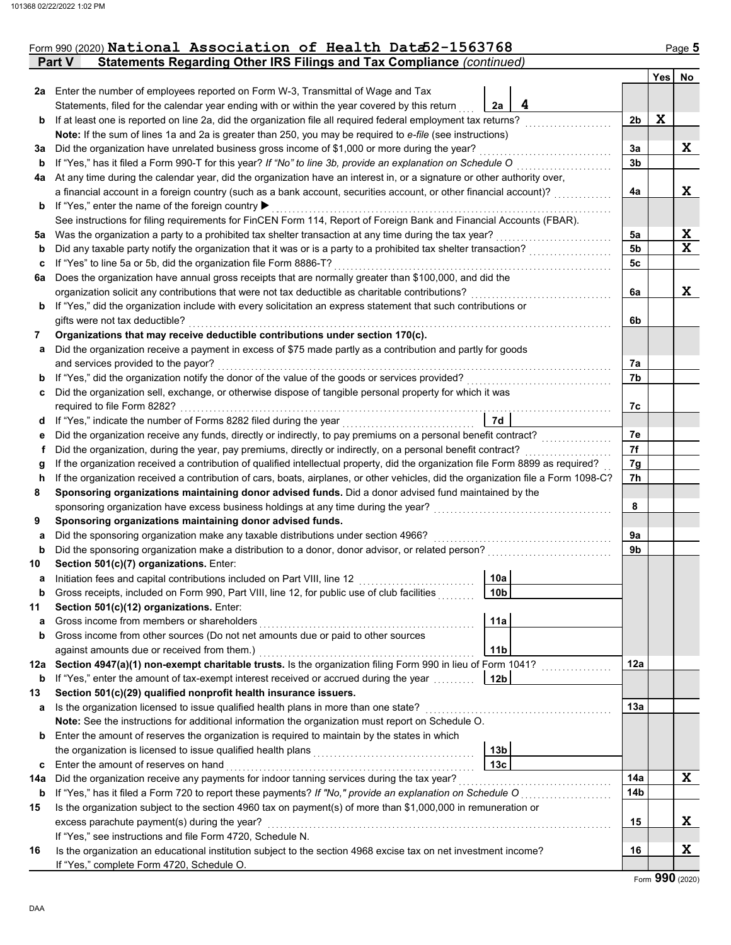### **Part V Statements Regarding Other IRS Filings and Tax Compliance** *(continued)* Form 990 (2020) Page **5 National Association of Health Data52-1563768**

| Enter the number of employees reported on Form W-3, Transmittal of Wage and Tax<br>2a<br>4<br>Statements, filed for the calendar year ending with or within the year covered by this return<br>2a<br>X<br>If at least one is reported on line 2a, did the organization file all required federal employment tax returns?<br>2b<br>b<br>Note: If the sum of lines 1a and 2a is greater than 250, you may be required to e-file (see instructions)<br>Did the organization have unrelated business gross income of \$1,000 or more during the year?<br>За<br>За<br>If "Yes," has it filed a Form 990-T for this year? If "No" to line 3b, provide an explanation on Schedule O<br>3b<br>b<br>At any time during the calendar year, did the organization have an interest in, or a signature or other authority over,<br>4a<br>a financial account in a foreign country (such as a bank account, securities account, or other financial account)?<br>4a<br>If "Yes," enter the name of the foreign country ▶<br>b<br>See instructions for filing requirements for FinCEN Form 114, Report of Foreign Bank and Financial Accounts (FBAR).<br>Was the organization a party to a prohibited tax shelter transaction at any time during the tax year?<br>5a<br>5а<br>Did any taxable party notify the organization that it was or is a party to a prohibited tax shelter transaction?<br>5b<br>b<br>If "Yes" to line 5a or 5b, did the organization file Form 8886-T?<br>5c<br>с<br>Does the organization have annual gross receipts that are normally greater than \$100,000, and did the<br>6a<br>organization solicit any contributions that were not tax deductible as charitable contributions?<br>6a<br>If "Yes," did the organization include with every solicitation an express statement that such contributions or<br>b<br>gifts were not tax deductible?<br>6b<br>Organizations that may receive deductible contributions under section 170(c).<br>7<br>Did the organization receive a payment in excess of \$75 made partly as a contribution and partly for goods<br>а<br>and services provided to the payor?<br>7a<br>If "Yes," did the organization notify the donor of the value of the goods or services provided?<br>7b<br>b<br>Did the organization sell, exchange, or otherwise dispose of tangible personal property for which it was<br>c<br>required to file Form 8282?<br>7c<br>7d<br>If "Yes," indicate the number of Forms 8282 filed during the year<br>a<br>Did the organization receive any funds, directly or indirectly, to pay premiums on a personal benefit contract?<br>7e<br>е<br>7f<br>Did the organization, during the year, pay premiums, directly or indirectly, on a personal benefit contract?<br>f<br>If the organization received a contribution of qualified intellectual property, did the organization file Form 8899 as required?<br>7g<br>g<br>If the organization received a contribution of cars, boats, airplanes, or other vehicles, did the organization file a Form 1098-C?<br>7h<br>h.<br>Sponsoring organizations maintaining donor advised funds. Did a donor advised fund maintained by the<br>8<br>8<br>sponsoring organization have excess business holdings at any time during the year?<br>Sponsoring organizations maintaining donor advised funds.<br>9<br>Did the sponsoring organization make any taxable distributions under section 4966?<br>9a<br>а<br>Did the sponsoring organization make a distribution to a donor, donor advisor, or related person?<br>9b<br>b<br>Section 501(c)(7) organizations. Enter:<br>Initiation fees and capital contributions included on Part VIII, line 12<br>10a<br>а<br>10 <sub>b</sub><br>Gross receipts, included on Form 990, Part VIII, line 12, for public use of club facilities<br>b<br>Section 501(c)(12) organizations. Enter:<br>11a<br>Gross income from members or shareholders<br>a<br>Gross income from other sources (Do not net amounts due or paid to other sources<br>b<br>against amounts due or received from them.)<br>11 <sub>b</sub><br>12a<br>12 <sub>b</sub><br>If "Yes," enter the amount of tax-exempt interest received or accrued during the year<br>b<br>Section 501(c)(29) qualified nonprofit health insurance issuers.<br>Is the organization licensed to issue qualified health plans in more than one state?<br>13а<br>a<br>Note: See the instructions for additional information the organization must report on Schedule O.<br>Enter the amount of reserves the organization is required to maintain by the states in which<br>b<br>13 <sub>b</sub><br>the organization is licensed to issue qualified health plans<br>13 <sub>c</sub><br>Enter the amount of reserves on hand<br>C<br>Did the organization receive any payments for indoor tanning services during the tax year?<br>14a<br>If "Yes," has it filed a Form 720 to report these payments? If "No," provide an explanation on Schedule O<br>14b<br>b<br>Is the organization subject to the section 4960 tax on payment(s) of more than \$1,000,000 in remuneration or<br>excess parachute payment(s) during the year?<br>15<br>If "Yes," see instructions and file Form 4720, Schedule N.<br>Is the organization an educational institution subject to the section 4968 excise tax on net investment income?<br>16 |  |                                           |  |  |  | Yes | No |  |  |  |  |
|-----------------------------------------------------------------------------------------------------------------------------------------------------------------------------------------------------------------------------------------------------------------------------------------------------------------------------------------------------------------------------------------------------------------------------------------------------------------------------------------------------------------------------------------------------------------------------------------------------------------------------------------------------------------------------------------------------------------------------------------------------------------------------------------------------------------------------------------------------------------------------------------------------------------------------------------------------------------------------------------------------------------------------------------------------------------------------------------------------------------------------------------------------------------------------------------------------------------------------------------------------------------------------------------------------------------------------------------------------------------------------------------------------------------------------------------------------------------------------------------------------------------------------------------------------------------------------------------------------------------------------------------------------------------------------------------------------------------------------------------------------------------------------------------------------------------------------------------------------------------------------------------------------------------------------------------------------------------------------------------------------------------------------------------------------------------------------------------------------------------------------------------------------------------------------------------------------------------------------------------------------------------------------------------------------------------------------------------------------------------------------------------------------------------------------------------------------------------------------------------------------------------------------------------------------------------------------------------------------------------------------------------------------------------------------------------------------------------------------------------------------------------------------------------------------------------------------------------------------------------------------------------------------------------------------------------------------------------------------------------------------------------------------------------------------------------------------------------------------------------------------------------------------------------------------------------------------------------------------------------------------------------------------------------------------------------------------------------------------------------------------------------------------------------------------------------------------------------------------------------------------------------------------------------------------------------------------------------------------------------------------------------------------------------------------------------------------------------------------------------------------------------------------------------------------------------------------------------------------------------------------------------------------------------------------------------------------------------------------------------------------------------------------------------------------------------------------------------------------------------------------------------------------------------------------------------------------------------------------------------------------------------------------------------------------------------------------------------------------------------------------------------------------------------------------------------------------------------------------------------------------------------------------------------------------------------------------------------------------------------------------------------------------------------------------------------------------------------------------------------------------------------------------------------------------------------------------------------------------------------------------------------------------------------------------------------------------------------------------------------------------------------------------------------------------------------------------------------------------------------------------------------------------------------------------------------------------------------------------------------------------------------------------------------------------------------------|--|-------------------------------------------|--|--|--|-----|----|--|--|--|--|
| 10<br>11<br>12a Section 4947(a)(1) non-exempt charitable trusts. Is the organization filing Form 990 in lieu of Form 1041?<br>13<br>14a<br>15<br>16                                                                                                                                                                                                                                                                                                                                                                                                                                                                                                                                                                                                                                                                                                                                                                                                                                                                                                                                                                                                                                                                                                                                                                                                                                                                                                                                                                                                                                                                                                                                                                                                                                                                                                                                                                                                                                                                                                                                                                                                                                                                                                                                                                                                                                                                                                                                                                                                                                                                                                                                                                                                                                                                                                                                                                                                                                                                                                                                                                                                                                                                                                                                                                                                                                                                                                                                                                                                                                                                                                                                                                                                                                                                                                                                                                                                                                                                                                                                                                                                                                                                                                                                                                                                                                                                                                                                                                                                                                                                                                                                                                                                                                                                                                                                                                                                                                                                                                                                                                                                                                                                                                                                                                   |  |                                           |  |  |  |     |    |  |  |  |  |
|                                                                                                                                                                                                                                                                                                                                                                                                                                                                                                                                                                                                                                                                                                                                                                                                                                                                                                                                                                                                                                                                                                                                                                                                                                                                                                                                                                                                                                                                                                                                                                                                                                                                                                                                                                                                                                                                                                                                                                                                                                                                                                                                                                                                                                                                                                                                                                                                                                                                                                                                                                                                                                                                                                                                                                                                                                                                                                                                                                                                                                                                                                                                                                                                                                                                                                                                                                                                                                                                                                                                                                                                                                                                                                                                                                                                                                                                                                                                                                                                                                                                                                                                                                                                                                                                                                                                                                                                                                                                                                                                                                                                                                                                                                                                                                                                                                                                                                                                                                                                                                                                                                                                                                                                                                                                                                                       |  |                                           |  |  |  |     |    |  |  |  |  |
|                                                                                                                                                                                                                                                                                                                                                                                                                                                                                                                                                                                                                                                                                                                                                                                                                                                                                                                                                                                                                                                                                                                                                                                                                                                                                                                                                                                                                                                                                                                                                                                                                                                                                                                                                                                                                                                                                                                                                                                                                                                                                                                                                                                                                                                                                                                                                                                                                                                                                                                                                                                                                                                                                                                                                                                                                                                                                                                                                                                                                                                                                                                                                                                                                                                                                                                                                                                                                                                                                                                                                                                                                                                                                                                                                                                                                                                                                                                                                                                                                                                                                                                                                                                                                                                                                                                                                                                                                                                                                                                                                                                                                                                                                                                                                                                                                                                                                                                                                                                                                                                                                                                                                                                                                                                                                                                       |  |                                           |  |  |  |     |    |  |  |  |  |
|                                                                                                                                                                                                                                                                                                                                                                                                                                                                                                                                                                                                                                                                                                                                                                                                                                                                                                                                                                                                                                                                                                                                                                                                                                                                                                                                                                                                                                                                                                                                                                                                                                                                                                                                                                                                                                                                                                                                                                                                                                                                                                                                                                                                                                                                                                                                                                                                                                                                                                                                                                                                                                                                                                                                                                                                                                                                                                                                                                                                                                                                                                                                                                                                                                                                                                                                                                                                                                                                                                                                                                                                                                                                                                                                                                                                                                                                                                                                                                                                                                                                                                                                                                                                                                                                                                                                                                                                                                                                                                                                                                                                                                                                                                                                                                                                                                                                                                                                                                                                                                                                                                                                                                                                                                                                                                                       |  |                                           |  |  |  |     |    |  |  |  |  |
|                                                                                                                                                                                                                                                                                                                                                                                                                                                                                                                                                                                                                                                                                                                                                                                                                                                                                                                                                                                                                                                                                                                                                                                                                                                                                                                                                                                                                                                                                                                                                                                                                                                                                                                                                                                                                                                                                                                                                                                                                                                                                                                                                                                                                                                                                                                                                                                                                                                                                                                                                                                                                                                                                                                                                                                                                                                                                                                                                                                                                                                                                                                                                                                                                                                                                                                                                                                                                                                                                                                                                                                                                                                                                                                                                                                                                                                                                                                                                                                                                                                                                                                                                                                                                                                                                                                                                                                                                                                                                                                                                                                                                                                                                                                                                                                                                                                                                                                                                                                                                                                                                                                                                                                                                                                                                                                       |  |                                           |  |  |  |     | X  |  |  |  |  |
|                                                                                                                                                                                                                                                                                                                                                                                                                                                                                                                                                                                                                                                                                                                                                                                                                                                                                                                                                                                                                                                                                                                                                                                                                                                                                                                                                                                                                                                                                                                                                                                                                                                                                                                                                                                                                                                                                                                                                                                                                                                                                                                                                                                                                                                                                                                                                                                                                                                                                                                                                                                                                                                                                                                                                                                                                                                                                                                                                                                                                                                                                                                                                                                                                                                                                                                                                                                                                                                                                                                                                                                                                                                                                                                                                                                                                                                                                                                                                                                                                                                                                                                                                                                                                                                                                                                                                                                                                                                                                                                                                                                                                                                                                                                                                                                                                                                                                                                                                                                                                                                                                                                                                                                                                                                                                                                       |  |                                           |  |  |  |     |    |  |  |  |  |
|                                                                                                                                                                                                                                                                                                                                                                                                                                                                                                                                                                                                                                                                                                                                                                                                                                                                                                                                                                                                                                                                                                                                                                                                                                                                                                                                                                                                                                                                                                                                                                                                                                                                                                                                                                                                                                                                                                                                                                                                                                                                                                                                                                                                                                                                                                                                                                                                                                                                                                                                                                                                                                                                                                                                                                                                                                                                                                                                                                                                                                                                                                                                                                                                                                                                                                                                                                                                                                                                                                                                                                                                                                                                                                                                                                                                                                                                                                                                                                                                                                                                                                                                                                                                                                                                                                                                                                                                                                                                                                                                                                                                                                                                                                                                                                                                                                                                                                                                                                                                                                                                                                                                                                                                                                                                                                                       |  |                                           |  |  |  |     |    |  |  |  |  |
|                                                                                                                                                                                                                                                                                                                                                                                                                                                                                                                                                                                                                                                                                                                                                                                                                                                                                                                                                                                                                                                                                                                                                                                                                                                                                                                                                                                                                                                                                                                                                                                                                                                                                                                                                                                                                                                                                                                                                                                                                                                                                                                                                                                                                                                                                                                                                                                                                                                                                                                                                                                                                                                                                                                                                                                                                                                                                                                                                                                                                                                                                                                                                                                                                                                                                                                                                                                                                                                                                                                                                                                                                                                                                                                                                                                                                                                                                                                                                                                                                                                                                                                                                                                                                                                                                                                                                                                                                                                                                                                                                                                                                                                                                                                                                                                                                                                                                                                                                                                                                                                                                                                                                                                                                                                                                                                       |  |                                           |  |  |  |     | X  |  |  |  |  |
|                                                                                                                                                                                                                                                                                                                                                                                                                                                                                                                                                                                                                                                                                                                                                                                                                                                                                                                                                                                                                                                                                                                                                                                                                                                                                                                                                                                                                                                                                                                                                                                                                                                                                                                                                                                                                                                                                                                                                                                                                                                                                                                                                                                                                                                                                                                                                                                                                                                                                                                                                                                                                                                                                                                                                                                                                                                                                                                                                                                                                                                                                                                                                                                                                                                                                                                                                                                                                                                                                                                                                                                                                                                                                                                                                                                                                                                                                                                                                                                                                                                                                                                                                                                                                                                                                                                                                                                                                                                                                                                                                                                                                                                                                                                                                                                                                                                                                                                                                                                                                                                                                                                                                                                                                                                                                                                       |  |                                           |  |  |  |     |    |  |  |  |  |
|                                                                                                                                                                                                                                                                                                                                                                                                                                                                                                                                                                                                                                                                                                                                                                                                                                                                                                                                                                                                                                                                                                                                                                                                                                                                                                                                                                                                                                                                                                                                                                                                                                                                                                                                                                                                                                                                                                                                                                                                                                                                                                                                                                                                                                                                                                                                                                                                                                                                                                                                                                                                                                                                                                                                                                                                                                                                                                                                                                                                                                                                                                                                                                                                                                                                                                                                                                                                                                                                                                                                                                                                                                                                                                                                                                                                                                                                                                                                                                                                                                                                                                                                                                                                                                                                                                                                                                                                                                                                                                                                                                                                                                                                                                                                                                                                                                                                                                                                                                                                                                                                                                                                                                                                                                                                                                                       |  |                                           |  |  |  |     |    |  |  |  |  |
|                                                                                                                                                                                                                                                                                                                                                                                                                                                                                                                                                                                                                                                                                                                                                                                                                                                                                                                                                                                                                                                                                                                                                                                                                                                                                                                                                                                                                                                                                                                                                                                                                                                                                                                                                                                                                                                                                                                                                                                                                                                                                                                                                                                                                                                                                                                                                                                                                                                                                                                                                                                                                                                                                                                                                                                                                                                                                                                                                                                                                                                                                                                                                                                                                                                                                                                                                                                                                                                                                                                                                                                                                                                                                                                                                                                                                                                                                                                                                                                                                                                                                                                                                                                                                                                                                                                                                                                                                                                                                                                                                                                                                                                                                                                                                                                                                                                                                                                                                                                                                                                                                                                                                                                                                                                                                                                       |  |                                           |  |  |  |     | X  |  |  |  |  |
|                                                                                                                                                                                                                                                                                                                                                                                                                                                                                                                                                                                                                                                                                                                                                                                                                                                                                                                                                                                                                                                                                                                                                                                                                                                                                                                                                                                                                                                                                                                                                                                                                                                                                                                                                                                                                                                                                                                                                                                                                                                                                                                                                                                                                                                                                                                                                                                                                                                                                                                                                                                                                                                                                                                                                                                                                                                                                                                                                                                                                                                                                                                                                                                                                                                                                                                                                                                                                                                                                                                                                                                                                                                                                                                                                                                                                                                                                                                                                                                                                                                                                                                                                                                                                                                                                                                                                                                                                                                                                                                                                                                                                                                                                                                                                                                                                                                                                                                                                                                                                                                                                                                                                                                                                                                                                                                       |  |                                           |  |  |  |     | X  |  |  |  |  |
|                                                                                                                                                                                                                                                                                                                                                                                                                                                                                                                                                                                                                                                                                                                                                                                                                                                                                                                                                                                                                                                                                                                                                                                                                                                                                                                                                                                                                                                                                                                                                                                                                                                                                                                                                                                                                                                                                                                                                                                                                                                                                                                                                                                                                                                                                                                                                                                                                                                                                                                                                                                                                                                                                                                                                                                                                                                                                                                                                                                                                                                                                                                                                                                                                                                                                                                                                                                                                                                                                                                                                                                                                                                                                                                                                                                                                                                                                                                                                                                                                                                                                                                                                                                                                                                                                                                                                                                                                                                                                                                                                                                                                                                                                                                                                                                                                                                                                                                                                                                                                                                                                                                                                                                                                                                                                                                       |  |                                           |  |  |  |     |    |  |  |  |  |
|                                                                                                                                                                                                                                                                                                                                                                                                                                                                                                                                                                                                                                                                                                                                                                                                                                                                                                                                                                                                                                                                                                                                                                                                                                                                                                                                                                                                                                                                                                                                                                                                                                                                                                                                                                                                                                                                                                                                                                                                                                                                                                                                                                                                                                                                                                                                                                                                                                                                                                                                                                                                                                                                                                                                                                                                                                                                                                                                                                                                                                                                                                                                                                                                                                                                                                                                                                                                                                                                                                                                                                                                                                                                                                                                                                                                                                                                                                                                                                                                                                                                                                                                                                                                                                                                                                                                                                                                                                                                                                                                                                                                                                                                                                                                                                                                                                                                                                                                                                                                                                                                                                                                                                                                                                                                                                                       |  |                                           |  |  |  |     |    |  |  |  |  |
|                                                                                                                                                                                                                                                                                                                                                                                                                                                                                                                                                                                                                                                                                                                                                                                                                                                                                                                                                                                                                                                                                                                                                                                                                                                                                                                                                                                                                                                                                                                                                                                                                                                                                                                                                                                                                                                                                                                                                                                                                                                                                                                                                                                                                                                                                                                                                                                                                                                                                                                                                                                                                                                                                                                                                                                                                                                                                                                                                                                                                                                                                                                                                                                                                                                                                                                                                                                                                                                                                                                                                                                                                                                                                                                                                                                                                                                                                                                                                                                                                                                                                                                                                                                                                                                                                                                                                                                                                                                                                                                                                                                                                                                                                                                                                                                                                                                                                                                                                                                                                                                                                                                                                                                                                                                                                                                       |  |                                           |  |  |  |     | X  |  |  |  |  |
|                                                                                                                                                                                                                                                                                                                                                                                                                                                                                                                                                                                                                                                                                                                                                                                                                                                                                                                                                                                                                                                                                                                                                                                                                                                                                                                                                                                                                                                                                                                                                                                                                                                                                                                                                                                                                                                                                                                                                                                                                                                                                                                                                                                                                                                                                                                                                                                                                                                                                                                                                                                                                                                                                                                                                                                                                                                                                                                                                                                                                                                                                                                                                                                                                                                                                                                                                                                                                                                                                                                                                                                                                                                                                                                                                                                                                                                                                                                                                                                                                                                                                                                                                                                                                                                                                                                                                                                                                                                                                                                                                                                                                                                                                                                                                                                                                                                                                                                                                                                                                                                                                                                                                                                                                                                                                                                       |  |                                           |  |  |  |     |    |  |  |  |  |
|                                                                                                                                                                                                                                                                                                                                                                                                                                                                                                                                                                                                                                                                                                                                                                                                                                                                                                                                                                                                                                                                                                                                                                                                                                                                                                                                                                                                                                                                                                                                                                                                                                                                                                                                                                                                                                                                                                                                                                                                                                                                                                                                                                                                                                                                                                                                                                                                                                                                                                                                                                                                                                                                                                                                                                                                                                                                                                                                                                                                                                                                                                                                                                                                                                                                                                                                                                                                                                                                                                                                                                                                                                                                                                                                                                                                                                                                                                                                                                                                                                                                                                                                                                                                                                                                                                                                                                                                                                                                                                                                                                                                                                                                                                                                                                                                                                                                                                                                                                                                                                                                                                                                                                                                                                                                                                                       |  |                                           |  |  |  |     |    |  |  |  |  |
|                                                                                                                                                                                                                                                                                                                                                                                                                                                                                                                                                                                                                                                                                                                                                                                                                                                                                                                                                                                                                                                                                                                                                                                                                                                                                                                                                                                                                                                                                                                                                                                                                                                                                                                                                                                                                                                                                                                                                                                                                                                                                                                                                                                                                                                                                                                                                                                                                                                                                                                                                                                                                                                                                                                                                                                                                                                                                                                                                                                                                                                                                                                                                                                                                                                                                                                                                                                                                                                                                                                                                                                                                                                                                                                                                                                                                                                                                                                                                                                                                                                                                                                                                                                                                                                                                                                                                                                                                                                                                                                                                                                                                                                                                                                                                                                                                                                                                                                                                                                                                                                                                                                                                                                                                                                                                                                       |  |                                           |  |  |  |     |    |  |  |  |  |
|                                                                                                                                                                                                                                                                                                                                                                                                                                                                                                                                                                                                                                                                                                                                                                                                                                                                                                                                                                                                                                                                                                                                                                                                                                                                                                                                                                                                                                                                                                                                                                                                                                                                                                                                                                                                                                                                                                                                                                                                                                                                                                                                                                                                                                                                                                                                                                                                                                                                                                                                                                                                                                                                                                                                                                                                                                                                                                                                                                                                                                                                                                                                                                                                                                                                                                                                                                                                                                                                                                                                                                                                                                                                                                                                                                                                                                                                                                                                                                                                                                                                                                                                                                                                                                                                                                                                                                                                                                                                                                                                                                                                                                                                                                                                                                                                                                                                                                                                                                                                                                                                                                                                                                                                                                                                                                                       |  |                                           |  |  |  |     |    |  |  |  |  |
|                                                                                                                                                                                                                                                                                                                                                                                                                                                                                                                                                                                                                                                                                                                                                                                                                                                                                                                                                                                                                                                                                                                                                                                                                                                                                                                                                                                                                                                                                                                                                                                                                                                                                                                                                                                                                                                                                                                                                                                                                                                                                                                                                                                                                                                                                                                                                                                                                                                                                                                                                                                                                                                                                                                                                                                                                                                                                                                                                                                                                                                                                                                                                                                                                                                                                                                                                                                                                                                                                                                                                                                                                                                                                                                                                                                                                                                                                                                                                                                                                                                                                                                                                                                                                                                                                                                                                                                                                                                                                                                                                                                                                                                                                                                                                                                                                                                                                                                                                                                                                                                                                                                                                                                                                                                                                                                       |  |                                           |  |  |  |     |    |  |  |  |  |
|                                                                                                                                                                                                                                                                                                                                                                                                                                                                                                                                                                                                                                                                                                                                                                                                                                                                                                                                                                                                                                                                                                                                                                                                                                                                                                                                                                                                                                                                                                                                                                                                                                                                                                                                                                                                                                                                                                                                                                                                                                                                                                                                                                                                                                                                                                                                                                                                                                                                                                                                                                                                                                                                                                                                                                                                                                                                                                                                                                                                                                                                                                                                                                                                                                                                                                                                                                                                                                                                                                                                                                                                                                                                                                                                                                                                                                                                                                                                                                                                                                                                                                                                                                                                                                                                                                                                                                                                                                                                                                                                                                                                                                                                                                                                                                                                                                                                                                                                                                                                                                                                                                                                                                                                                                                                                                                       |  |                                           |  |  |  |     |    |  |  |  |  |
|                                                                                                                                                                                                                                                                                                                                                                                                                                                                                                                                                                                                                                                                                                                                                                                                                                                                                                                                                                                                                                                                                                                                                                                                                                                                                                                                                                                                                                                                                                                                                                                                                                                                                                                                                                                                                                                                                                                                                                                                                                                                                                                                                                                                                                                                                                                                                                                                                                                                                                                                                                                                                                                                                                                                                                                                                                                                                                                                                                                                                                                                                                                                                                                                                                                                                                                                                                                                                                                                                                                                                                                                                                                                                                                                                                                                                                                                                                                                                                                                                                                                                                                                                                                                                                                                                                                                                                                                                                                                                                                                                                                                                                                                                                                                                                                                                                                                                                                                                                                                                                                                                                                                                                                                                                                                                                                       |  |                                           |  |  |  |     |    |  |  |  |  |
|                                                                                                                                                                                                                                                                                                                                                                                                                                                                                                                                                                                                                                                                                                                                                                                                                                                                                                                                                                                                                                                                                                                                                                                                                                                                                                                                                                                                                                                                                                                                                                                                                                                                                                                                                                                                                                                                                                                                                                                                                                                                                                                                                                                                                                                                                                                                                                                                                                                                                                                                                                                                                                                                                                                                                                                                                                                                                                                                                                                                                                                                                                                                                                                                                                                                                                                                                                                                                                                                                                                                                                                                                                                                                                                                                                                                                                                                                                                                                                                                                                                                                                                                                                                                                                                                                                                                                                                                                                                                                                                                                                                                                                                                                                                                                                                                                                                                                                                                                                                                                                                                                                                                                                                                                                                                                                                       |  |                                           |  |  |  |     |    |  |  |  |  |
|                                                                                                                                                                                                                                                                                                                                                                                                                                                                                                                                                                                                                                                                                                                                                                                                                                                                                                                                                                                                                                                                                                                                                                                                                                                                                                                                                                                                                                                                                                                                                                                                                                                                                                                                                                                                                                                                                                                                                                                                                                                                                                                                                                                                                                                                                                                                                                                                                                                                                                                                                                                                                                                                                                                                                                                                                                                                                                                                                                                                                                                                                                                                                                                                                                                                                                                                                                                                                                                                                                                                                                                                                                                                                                                                                                                                                                                                                                                                                                                                                                                                                                                                                                                                                                                                                                                                                                                                                                                                                                                                                                                                                                                                                                                                                                                                                                                                                                                                                                                                                                                                                                                                                                                                                                                                                                                       |  |                                           |  |  |  |     |    |  |  |  |  |
|                                                                                                                                                                                                                                                                                                                                                                                                                                                                                                                                                                                                                                                                                                                                                                                                                                                                                                                                                                                                                                                                                                                                                                                                                                                                                                                                                                                                                                                                                                                                                                                                                                                                                                                                                                                                                                                                                                                                                                                                                                                                                                                                                                                                                                                                                                                                                                                                                                                                                                                                                                                                                                                                                                                                                                                                                                                                                                                                                                                                                                                                                                                                                                                                                                                                                                                                                                                                                                                                                                                                                                                                                                                                                                                                                                                                                                                                                                                                                                                                                                                                                                                                                                                                                                                                                                                                                                                                                                                                                                                                                                                                                                                                                                                                                                                                                                                                                                                                                                                                                                                                                                                                                                                                                                                                                                                       |  |                                           |  |  |  |     |    |  |  |  |  |
|                                                                                                                                                                                                                                                                                                                                                                                                                                                                                                                                                                                                                                                                                                                                                                                                                                                                                                                                                                                                                                                                                                                                                                                                                                                                                                                                                                                                                                                                                                                                                                                                                                                                                                                                                                                                                                                                                                                                                                                                                                                                                                                                                                                                                                                                                                                                                                                                                                                                                                                                                                                                                                                                                                                                                                                                                                                                                                                                                                                                                                                                                                                                                                                                                                                                                                                                                                                                                                                                                                                                                                                                                                                                                                                                                                                                                                                                                                                                                                                                                                                                                                                                                                                                                                                                                                                                                                                                                                                                                                                                                                                                                                                                                                                                                                                                                                                                                                                                                                                                                                                                                                                                                                                                                                                                                                                       |  |                                           |  |  |  |     |    |  |  |  |  |
|                                                                                                                                                                                                                                                                                                                                                                                                                                                                                                                                                                                                                                                                                                                                                                                                                                                                                                                                                                                                                                                                                                                                                                                                                                                                                                                                                                                                                                                                                                                                                                                                                                                                                                                                                                                                                                                                                                                                                                                                                                                                                                                                                                                                                                                                                                                                                                                                                                                                                                                                                                                                                                                                                                                                                                                                                                                                                                                                                                                                                                                                                                                                                                                                                                                                                                                                                                                                                                                                                                                                                                                                                                                                                                                                                                                                                                                                                                                                                                                                                                                                                                                                                                                                                                                                                                                                                                                                                                                                                                                                                                                                                                                                                                                                                                                                                                                                                                                                                                                                                                                                                                                                                                                                                                                                                                                       |  |                                           |  |  |  |     |    |  |  |  |  |
|                                                                                                                                                                                                                                                                                                                                                                                                                                                                                                                                                                                                                                                                                                                                                                                                                                                                                                                                                                                                                                                                                                                                                                                                                                                                                                                                                                                                                                                                                                                                                                                                                                                                                                                                                                                                                                                                                                                                                                                                                                                                                                                                                                                                                                                                                                                                                                                                                                                                                                                                                                                                                                                                                                                                                                                                                                                                                                                                                                                                                                                                                                                                                                                                                                                                                                                                                                                                                                                                                                                                                                                                                                                                                                                                                                                                                                                                                                                                                                                                                                                                                                                                                                                                                                                                                                                                                                                                                                                                                                                                                                                                                                                                                                                                                                                                                                                                                                                                                                                                                                                                                                                                                                                                                                                                                                                       |  |                                           |  |  |  |     |    |  |  |  |  |
|                                                                                                                                                                                                                                                                                                                                                                                                                                                                                                                                                                                                                                                                                                                                                                                                                                                                                                                                                                                                                                                                                                                                                                                                                                                                                                                                                                                                                                                                                                                                                                                                                                                                                                                                                                                                                                                                                                                                                                                                                                                                                                                                                                                                                                                                                                                                                                                                                                                                                                                                                                                                                                                                                                                                                                                                                                                                                                                                                                                                                                                                                                                                                                                                                                                                                                                                                                                                                                                                                                                                                                                                                                                                                                                                                                                                                                                                                                                                                                                                                                                                                                                                                                                                                                                                                                                                                                                                                                                                                                                                                                                                                                                                                                                                                                                                                                                                                                                                                                                                                                                                                                                                                                                                                                                                                                                       |  |                                           |  |  |  |     |    |  |  |  |  |
|                                                                                                                                                                                                                                                                                                                                                                                                                                                                                                                                                                                                                                                                                                                                                                                                                                                                                                                                                                                                                                                                                                                                                                                                                                                                                                                                                                                                                                                                                                                                                                                                                                                                                                                                                                                                                                                                                                                                                                                                                                                                                                                                                                                                                                                                                                                                                                                                                                                                                                                                                                                                                                                                                                                                                                                                                                                                                                                                                                                                                                                                                                                                                                                                                                                                                                                                                                                                                                                                                                                                                                                                                                                                                                                                                                                                                                                                                                                                                                                                                                                                                                                                                                                                                                                                                                                                                                                                                                                                                                                                                                                                                                                                                                                                                                                                                                                                                                                                                                                                                                                                                                                                                                                                                                                                                                                       |  |                                           |  |  |  |     |    |  |  |  |  |
|                                                                                                                                                                                                                                                                                                                                                                                                                                                                                                                                                                                                                                                                                                                                                                                                                                                                                                                                                                                                                                                                                                                                                                                                                                                                                                                                                                                                                                                                                                                                                                                                                                                                                                                                                                                                                                                                                                                                                                                                                                                                                                                                                                                                                                                                                                                                                                                                                                                                                                                                                                                                                                                                                                                                                                                                                                                                                                                                                                                                                                                                                                                                                                                                                                                                                                                                                                                                                                                                                                                                                                                                                                                                                                                                                                                                                                                                                                                                                                                                                                                                                                                                                                                                                                                                                                                                                                                                                                                                                                                                                                                                                                                                                                                                                                                                                                                                                                                                                                                                                                                                                                                                                                                                                                                                                                                       |  |                                           |  |  |  |     |    |  |  |  |  |
|                                                                                                                                                                                                                                                                                                                                                                                                                                                                                                                                                                                                                                                                                                                                                                                                                                                                                                                                                                                                                                                                                                                                                                                                                                                                                                                                                                                                                                                                                                                                                                                                                                                                                                                                                                                                                                                                                                                                                                                                                                                                                                                                                                                                                                                                                                                                                                                                                                                                                                                                                                                                                                                                                                                                                                                                                                                                                                                                                                                                                                                                                                                                                                                                                                                                                                                                                                                                                                                                                                                                                                                                                                                                                                                                                                                                                                                                                                                                                                                                                                                                                                                                                                                                                                                                                                                                                                                                                                                                                                                                                                                                                                                                                                                                                                                                                                                                                                                                                                                                                                                                                                                                                                                                                                                                                                                       |  |                                           |  |  |  |     |    |  |  |  |  |
|                                                                                                                                                                                                                                                                                                                                                                                                                                                                                                                                                                                                                                                                                                                                                                                                                                                                                                                                                                                                                                                                                                                                                                                                                                                                                                                                                                                                                                                                                                                                                                                                                                                                                                                                                                                                                                                                                                                                                                                                                                                                                                                                                                                                                                                                                                                                                                                                                                                                                                                                                                                                                                                                                                                                                                                                                                                                                                                                                                                                                                                                                                                                                                                                                                                                                                                                                                                                                                                                                                                                                                                                                                                                                                                                                                                                                                                                                                                                                                                                                                                                                                                                                                                                                                                                                                                                                                                                                                                                                                                                                                                                                                                                                                                                                                                                                                                                                                                                                                                                                                                                                                                                                                                                                                                                                                                       |  |                                           |  |  |  |     |    |  |  |  |  |
|                                                                                                                                                                                                                                                                                                                                                                                                                                                                                                                                                                                                                                                                                                                                                                                                                                                                                                                                                                                                                                                                                                                                                                                                                                                                                                                                                                                                                                                                                                                                                                                                                                                                                                                                                                                                                                                                                                                                                                                                                                                                                                                                                                                                                                                                                                                                                                                                                                                                                                                                                                                                                                                                                                                                                                                                                                                                                                                                                                                                                                                                                                                                                                                                                                                                                                                                                                                                                                                                                                                                                                                                                                                                                                                                                                                                                                                                                                                                                                                                                                                                                                                                                                                                                                                                                                                                                                                                                                                                                                                                                                                                                                                                                                                                                                                                                                                                                                                                                                                                                                                                                                                                                                                                                                                                                                                       |  |                                           |  |  |  |     |    |  |  |  |  |
|                                                                                                                                                                                                                                                                                                                                                                                                                                                                                                                                                                                                                                                                                                                                                                                                                                                                                                                                                                                                                                                                                                                                                                                                                                                                                                                                                                                                                                                                                                                                                                                                                                                                                                                                                                                                                                                                                                                                                                                                                                                                                                                                                                                                                                                                                                                                                                                                                                                                                                                                                                                                                                                                                                                                                                                                                                                                                                                                                                                                                                                                                                                                                                                                                                                                                                                                                                                                                                                                                                                                                                                                                                                                                                                                                                                                                                                                                                                                                                                                                                                                                                                                                                                                                                                                                                                                                                                                                                                                                                                                                                                                                                                                                                                                                                                                                                                                                                                                                                                                                                                                                                                                                                                                                                                                                                                       |  |                                           |  |  |  |     |    |  |  |  |  |
|                                                                                                                                                                                                                                                                                                                                                                                                                                                                                                                                                                                                                                                                                                                                                                                                                                                                                                                                                                                                                                                                                                                                                                                                                                                                                                                                                                                                                                                                                                                                                                                                                                                                                                                                                                                                                                                                                                                                                                                                                                                                                                                                                                                                                                                                                                                                                                                                                                                                                                                                                                                                                                                                                                                                                                                                                                                                                                                                                                                                                                                                                                                                                                                                                                                                                                                                                                                                                                                                                                                                                                                                                                                                                                                                                                                                                                                                                                                                                                                                                                                                                                                                                                                                                                                                                                                                                                                                                                                                                                                                                                                                                                                                                                                                                                                                                                                                                                                                                                                                                                                                                                                                                                                                                                                                                                                       |  |                                           |  |  |  |     |    |  |  |  |  |
|                                                                                                                                                                                                                                                                                                                                                                                                                                                                                                                                                                                                                                                                                                                                                                                                                                                                                                                                                                                                                                                                                                                                                                                                                                                                                                                                                                                                                                                                                                                                                                                                                                                                                                                                                                                                                                                                                                                                                                                                                                                                                                                                                                                                                                                                                                                                                                                                                                                                                                                                                                                                                                                                                                                                                                                                                                                                                                                                                                                                                                                                                                                                                                                                                                                                                                                                                                                                                                                                                                                                                                                                                                                                                                                                                                                                                                                                                                                                                                                                                                                                                                                                                                                                                                                                                                                                                                                                                                                                                                                                                                                                                                                                                                                                                                                                                                                                                                                                                                                                                                                                                                                                                                                                                                                                                                                       |  |                                           |  |  |  |     |    |  |  |  |  |
|                                                                                                                                                                                                                                                                                                                                                                                                                                                                                                                                                                                                                                                                                                                                                                                                                                                                                                                                                                                                                                                                                                                                                                                                                                                                                                                                                                                                                                                                                                                                                                                                                                                                                                                                                                                                                                                                                                                                                                                                                                                                                                                                                                                                                                                                                                                                                                                                                                                                                                                                                                                                                                                                                                                                                                                                                                                                                                                                                                                                                                                                                                                                                                                                                                                                                                                                                                                                                                                                                                                                                                                                                                                                                                                                                                                                                                                                                                                                                                                                                                                                                                                                                                                                                                                                                                                                                                                                                                                                                                                                                                                                                                                                                                                                                                                                                                                                                                                                                                                                                                                                                                                                                                                                                                                                                                                       |  |                                           |  |  |  |     |    |  |  |  |  |
|                                                                                                                                                                                                                                                                                                                                                                                                                                                                                                                                                                                                                                                                                                                                                                                                                                                                                                                                                                                                                                                                                                                                                                                                                                                                                                                                                                                                                                                                                                                                                                                                                                                                                                                                                                                                                                                                                                                                                                                                                                                                                                                                                                                                                                                                                                                                                                                                                                                                                                                                                                                                                                                                                                                                                                                                                                                                                                                                                                                                                                                                                                                                                                                                                                                                                                                                                                                                                                                                                                                                                                                                                                                                                                                                                                                                                                                                                                                                                                                                                                                                                                                                                                                                                                                                                                                                                                                                                                                                                                                                                                                                                                                                                                                                                                                                                                                                                                                                                                                                                                                                                                                                                                                                                                                                                                                       |  |                                           |  |  |  |     |    |  |  |  |  |
|                                                                                                                                                                                                                                                                                                                                                                                                                                                                                                                                                                                                                                                                                                                                                                                                                                                                                                                                                                                                                                                                                                                                                                                                                                                                                                                                                                                                                                                                                                                                                                                                                                                                                                                                                                                                                                                                                                                                                                                                                                                                                                                                                                                                                                                                                                                                                                                                                                                                                                                                                                                                                                                                                                                                                                                                                                                                                                                                                                                                                                                                                                                                                                                                                                                                                                                                                                                                                                                                                                                                                                                                                                                                                                                                                                                                                                                                                                                                                                                                                                                                                                                                                                                                                                                                                                                                                                                                                                                                                                                                                                                                                                                                                                                                                                                                                                                                                                                                                                                                                                                                                                                                                                                                                                                                                                                       |  |                                           |  |  |  |     |    |  |  |  |  |
|                                                                                                                                                                                                                                                                                                                                                                                                                                                                                                                                                                                                                                                                                                                                                                                                                                                                                                                                                                                                                                                                                                                                                                                                                                                                                                                                                                                                                                                                                                                                                                                                                                                                                                                                                                                                                                                                                                                                                                                                                                                                                                                                                                                                                                                                                                                                                                                                                                                                                                                                                                                                                                                                                                                                                                                                                                                                                                                                                                                                                                                                                                                                                                                                                                                                                                                                                                                                                                                                                                                                                                                                                                                                                                                                                                                                                                                                                                                                                                                                                                                                                                                                                                                                                                                                                                                                                                                                                                                                                                                                                                                                                                                                                                                                                                                                                                                                                                                                                                                                                                                                                                                                                                                                                                                                                                                       |  |                                           |  |  |  |     |    |  |  |  |  |
|                                                                                                                                                                                                                                                                                                                                                                                                                                                                                                                                                                                                                                                                                                                                                                                                                                                                                                                                                                                                                                                                                                                                                                                                                                                                                                                                                                                                                                                                                                                                                                                                                                                                                                                                                                                                                                                                                                                                                                                                                                                                                                                                                                                                                                                                                                                                                                                                                                                                                                                                                                                                                                                                                                                                                                                                                                                                                                                                                                                                                                                                                                                                                                                                                                                                                                                                                                                                                                                                                                                                                                                                                                                                                                                                                                                                                                                                                                                                                                                                                                                                                                                                                                                                                                                                                                                                                                                                                                                                                                                                                                                                                                                                                                                                                                                                                                                                                                                                                                                                                                                                                                                                                                                                                                                                                                                       |  |                                           |  |  |  |     |    |  |  |  |  |
|                                                                                                                                                                                                                                                                                                                                                                                                                                                                                                                                                                                                                                                                                                                                                                                                                                                                                                                                                                                                                                                                                                                                                                                                                                                                                                                                                                                                                                                                                                                                                                                                                                                                                                                                                                                                                                                                                                                                                                                                                                                                                                                                                                                                                                                                                                                                                                                                                                                                                                                                                                                                                                                                                                                                                                                                                                                                                                                                                                                                                                                                                                                                                                                                                                                                                                                                                                                                                                                                                                                                                                                                                                                                                                                                                                                                                                                                                                                                                                                                                                                                                                                                                                                                                                                                                                                                                                                                                                                                                                                                                                                                                                                                                                                                                                                                                                                                                                                                                                                                                                                                                                                                                                                                                                                                                                                       |  |                                           |  |  |  |     |    |  |  |  |  |
|                                                                                                                                                                                                                                                                                                                                                                                                                                                                                                                                                                                                                                                                                                                                                                                                                                                                                                                                                                                                                                                                                                                                                                                                                                                                                                                                                                                                                                                                                                                                                                                                                                                                                                                                                                                                                                                                                                                                                                                                                                                                                                                                                                                                                                                                                                                                                                                                                                                                                                                                                                                                                                                                                                                                                                                                                                                                                                                                                                                                                                                                                                                                                                                                                                                                                                                                                                                                                                                                                                                                                                                                                                                                                                                                                                                                                                                                                                                                                                                                                                                                                                                                                                                                                                                                                                                                                                                                                                                                                                                                                                                                                                                                                                                                                                                                                                                                                                                                                                                                                                                                                                                                                                                                                                                                                                                       |  |                                           |  |  |  |     |    |  |  |  |  |
|                                                                                                                                                                                                                                                                                                                                                                                                                                                                                                                                                                                                                                                                                                                                                                                                                                                                                                                                                                                                                                                                                                                                                                                                                                                                                                                                                                                                                                                                                                                                                                                                                                                                                                                                                                                                                                                                                                                                                                                                                                                                                                                                                                                                                                                                                                                                                                                                                                                                                                                                                                                                                                                                                                                                                                                                                                                                                                                                                                                                                                                                                                                                                                                                                                                                                                                                                                                                                                                                                                                                                                                                                                                                                                                                                                                                                                                                                                                                                                                                                                                                                                                                                                                                                                                                                                                                                                                                                                                                                                                                                                                                                                                                                                                                                                                                                                                                                                                                                                                                                                                                                                                                                                                                                                                                                                                       |  |                                           |  |  |  |     |    |  |  |  |  |
|                                                                                                                                                                                                                                                                                                                                                                                                                                                                                                                                                                                                                                                                                                                                                                                                                                                                                                                                                                                                                                                                                                                                                                                                                                                                                                                                                                                                                                                                                                                                                                                                                                                                                                                                                                                                                                                                                                                                                                                                                                                                                                                                                                                                                                                                                                                                                                                                                                                                                                                                                                                                                                                                                                                                                                                                                                                                                                                                                                                                                                                                                                                                                                                                                                                                                                                                                                                                                                                                                                                                                                                                                                                                                                                                                                                                                                                                                                                                                                                                                                                                                                                                                                                                                                                                                                                                                                                                                                                                                                                                                                                                                                                                                                                                                                                                                                                                                                                                                                                                                                                                                                                                                                                                                                                                                                                       |  |                                           |  |  |  |     |    |  |  |  |  |
|                                                                                                                                                                                                                                                                                                                                                                                                                                                                                                                                                                                                                                                                                                                                                                                                                                                                                                                                                                                                                                                                                                                                                                                                                                                                                                                                                                                                                                                                                                                                                                                                                                                                                                                                                                                                                                                                                                                                                                                                                                                                                                                                                                                                                                                                                                                                                                                                                                                                                                                                                                                                                                                                                                                                                                                                                                                                                                                                                                                                                                                                                                                                                                                                                                                                                                                                                                                                                                                                                                                                                                                                                                                                                                                                                                                                                                                                                                                                                                                                                                                                                                                                                                                                                                                                                                                                                                                                                                                                                                                                                                                                                                                                                                                                                                                                                                                                                                                                                                                                                                                                                                                                                                                                                                                                                                                       |  |                                           |  |  |  |     |    |  |  |  |  |
|                                                                                                                                                                                                                                                                                                                                                                                                                                                                                                                                                                                                                                                                                                                                                                                                                                                                                                                                                                                                                                                                                                                                                                                                                                                                                                                                                                                                                                                                                                                                                                                                                                                                                                                                                                                                                                                                                                                                                                                                                                                                                                                                                                                                                                                                                                                                                                                                                                                                                                                                                                                                                                                                                                                                                                                                                                                                                                                                                                                                                                                                                                                                                                                                                                                                                                                                                                                                                                                                                                                                                                                                                                                                                                                                                                                                                                                                                                                                                                                                                                                                                                                                                                                                                                                                                                                                                                                                                                                                                                                                                                                                                                                                                                                                                                                                                                                                                                                                                                                                                                                                                                                                                                                                                                                                                                                       |  |                                           |  |  |  |     | X  |  |  |  |  |
|                                                                                                                                                                                                                                                                                                                                                                                                                                                                                                                                                                                                                                                                                                                                                                                                                                                                                                                                                                                                                                                                                                                                                                                                                                                                                                                                                                                                                                                                                                                                                                                                                                                                                                                                                                                                                                                                                                                                                                                                                                                                                                                                                                                                                                                                                                                                                                                                                                                                                                                                                                                                                                                                                                                                                                                                                                                                                                                                                                                                                                                                                                                                                                                                                                                                                                                                                                                                                                                                                                                                                                                                                                                                                                                                                                                                                                                                                                                                                                                                                                                                                                                                                                                                                                                                                                                                                                                                                                                                                                                                                                                                                                                                                                                                                                                                                                                                                                                                                                                                                                                                                                                                                                                                                                                                                                                       |  |                                           |  |  |  |     |    |  |  |  |  |
|                                                                                                                                                                                                                                                                                                                                                                                                                                                                                                                                                                                                                                                                                                                                                                                                                                                                                                                                                                                                                                                                                                                                                                                                                                                                                                                                                                                                                                                                                                                                                                                                                                                                                                                                                                                                                                                                                                                                                                                                                                                                                                                                                                                                                                                                                                                                                                                                                                                                                                                                                                                                                                                                                                                                                                                                                                                                                                                                                                                                                                                                                                                                                                                                                                                                                                                                                                                                                                                                                                                                                                                                                                                                                                                                                                                                                                                                                                                                                                                                                                                                                                                                                                                                                                                                                                                                                                                                                                                                                                                                                                                                                                                                                                                                                                                                                                                                                                                                                                                                                                                                                                                                                                                                                                                                                                                       |  |                                           |  |  |  |     | X  |  |  |  |  |
|                                                                                                                                                                                                                                                                                                                                                                                                                                                                                                                                                                                                                                                                                                                                                                                                                                                                                                                                                                                                                                                                                                                                                                                                                                                                                                                                                                                                                                                                                                                                                                                                                                                                                                                                                                                                                                                                                                                                                                                                                                                                                                                                                                                                                                                                                                                                                                                                                                                                                                                                                                                                                                                                                                                                                                                                                                                                                                                                                                                                                                                                                                                                                                                                                                                                                                                                                                                                                                                                                                                                                                                                                                                                                                                                                                                                                                                                                                                                                                                                                                                                                                                                                                                                                                                                                                                                                                                                                                                                                                                                                                                                                                                                                                                                                                                                                                                                                                                                                                                                                                                                                                                                                                                                                                                                                                                       |  |                                           |  |  |  |     |    |  |  |  |  |
|                                                                                                                                                                                                                                                                                                                                                                                                                                                                                                                                                                                                                                                                                                                                                                                                                                                                                                                                                                                                                                                                                                                                                                                                                                                                                                                                                                                                                                                                                                                                                                                                                                                                                                                                                                                                                                                                                                                                                                                                                                                                                                                                                                                                                                                                                                                                                                                                                                                                                                                                                                                                                                                                                                                                                                                                                                                                                                                                                                                                                                                                                                                                                                                                                                                                                                                                                                                                                                                                                                                                                                                                                                                                                                                                                                                                                                                                                                                                                                                                                                                                                                                                                                                                                                                                                                                                                                                                                                                                                                                                                                                                                                                                                                                                                                                                                                                                                                                                                                                                                                                                                                                                                                                                                                                                                                                       |  |                                           |  |  |  |     | X  |  |  |  |  |
|                                                                                                                                                                                                                                                                                                                                                                                                                                                                                                                                                                                                                                                                                                                                                                                                                                                                                                                                                                                                                                                                                                                                                                                                                                                                                                                                                                                                                                                                                                                                                                                                                                                                                                                                                                                                                                                                                                                                                                                                                                                                                                                                                                                                                                                                                                                                                                                                                                                                                                                                                                                                                                                                                                                                                                                                                                                                                                                                                                                                                                                                                                                                                                                                                                                                                                                                                                                                                                                                                                                                                                                                                                                                                                                                                                                                                                                                                                                                                                                                                                                                                                                                                                                                                                                                                                                                                                                                                                                                                                                                                                                                                                                                                                                                                                                                                                                                                                                                                                                                                                                                                                                                                                                                                                                                                                                       |  | If "Yes," complete Form 4720, Schedule O. |  |  |  |     |    |  |  |  |  |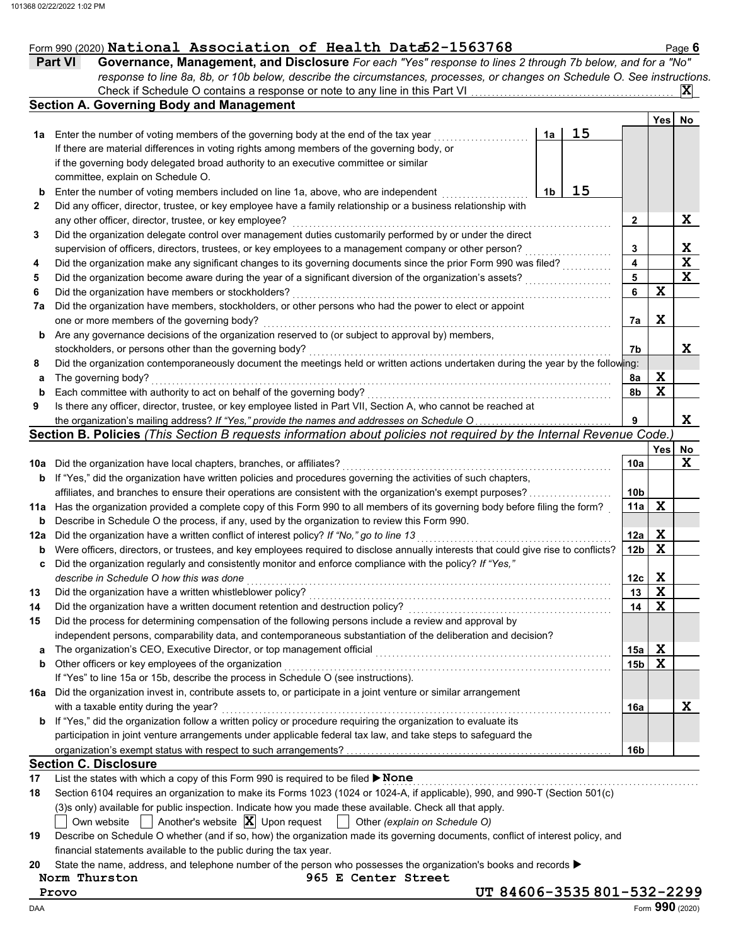### Form 990 (2020) **National Association of Health Data52-1563768** Page 6

**Part VI** Governance, Management, and Disclosure *For each "Yes" response to lines 2 through 7b below, and for a "No response to line 8a, 8b, or 10b below, describe the circumstances, processes, or changes on Schedule O. See instructions.* Check if Schedule O contains a response or note to any line in this Part VI **X**

|              |                                                                                                                                     |    |    |                 | Yes | <b>No</b>   |
|--------------|-------------------------------------------------------------------------------------------------------------------------------------|----|----|-----------------|-----|-------------|
| 1а           | Enter the number of voting members of the governing body at the end of the tax year                                                 | 1a | 15 |                 |     |             |
|              | If there are material differences in voting rights among members of the governing body, or                                          |    |    |                 |     |             |
|              | if the governing body delegated broad authority to an executive committee or similar                                                |    |    |                 |     |             |
|              | committee, explain on Schedule O.                                                                                                   |    |    |                 |     |             |
| b            | Enter the number of voting members included on line 1a, above, who are independent                                                  | 1b | 15 |                 |     |             |
| $\mathbf{2}$ | Did any officer, director, trustee, or key employee have a family relationship or a business relationship with                      |    |    |                 |     |             |
|              | any other officer, director, trustee, or key employee?                                                                              |    |    | 2               |     | Χ           |
| 3            | Did the organization delegate control over management duties customarily performed by or under the direct                           |    |    |                 |     |             |
|              | supervision of officers, directors, trustees, or key employees to a management company or other person?                             |    |    | 3               |     | X           |
| 4            | Did the organization make any significant changes to its governing documents since the prior Form 990 was filed?                    |    |    | 4               |     | X           |
| 5            | Did the organization become aware during the year of a significant diversion of the organization's assets?                          |    |    | 5               |     | $\mathbf x$ |
| 6            | Did the organization have members or stockholders?                                                                                  |    |    | 6               | X   |             |
| 7а           | Did the organization have members, stockholders, or other persons who had the power to elect or appoint                             |    |    |                 |     |             |
|              | one or more members of the governing body?                                                                                          |    |    | 7a              | X   |             |
| b            | Are any governance decisions of the organization reserved to (or subject to approval by) members,                                   |    |    |                 |     |             |
|              | stockholders, or persons other than the governing body?                                                                             |    |    | 7b              |     | X.          |
| 8            | Did the organization contemporaneously document the meetings held or written actions undertaken during the year by the following:   |    |    |                 |     |             |
| а            | The governing body?                                                                                                                 |    |    | 8a              | X   |             |
| b            | Each committee with authority to act on behalf of the governing body?                                                               |    |    | 8b              | X   |             |
| 9            | Is there any officer, director, trustee, or key employee listed in Part VII, Section A, who cannot be reached at                    |    |    |                 |     |             |
|              | the organization's mailing address? If "Yes," provide the names and addresses on Schedule O                                         |    |    | 9               |     | X           |
|              | Section B. Policies (This Section B requests information about policies not required by the Internal Revenue Code.)                 |    |    |                 |     |             |
|              |                                                                                                                                     |    |    |                 | Yes | <b>No</b>   |
| 10a          | Did the organization have local chapters, branches, or affiliates?                                                                  |    |    | 10a             |     | X           |
| b            | If "Yes," did the organization have written policies and procedures governing the activities of such chapters,                      |    |    |                 |     |             |
|              | affiliates, and branches to ensure their operations are consistent with the organization's exempt purposes?                         |    |    | 10 <sub>b</sub> |     |             |
| 11a          | Has the organization provided a complete copy of this Form 990 to all members of its governing body before filing the form?         |    |    | 11a             | X   |             |
| b            | Describe in Schedule O the process, if any, used by the organization to review this Form 990.                                       |    |    |                 |     |             |
| 12a          | Did the organization have a written conflict of interest policy? If "No," go to line 13                                             |    |    | 12a             | X   |             |
| b            | Were officers, directors, or trustees, and key employees required to disclose annually interests that could give rise to conflicts? |    |    | 12 <sub>b</sub> | X   |             |
| c            | Did the organization regularly and consistently monitor and enforce compliance with the policy? If "Yes,"                           |    |    |                 |     |             |
|              | describe in Schedule O how this was done                                                                                            |    |    | 12c             | X   |             |
| 13           | Did the organization have a written whistleblower policy?                                                                           |    |    | 13              | X   |             |
| 14           | Did the organization have a written document retention and destruction policy?                                                      |    |    | 14              | X   |             |
| 15           | Did the process for determining compensation of the following persons include a review and approval by                              |    |    |                 |     |             |
|              | independent persons, comparability data, and contemporaneous substantiation of the deliberation and decision?                       |    |    |                 |     |             |
| a            | The organization's CEO, Executive Director, or top management official                                                              |    |    | 15a             | X   |             |
| b            | Other officers or key employees of the organization                                                                                 |    |    | 15b             | X   |             |
|              | If "Yes" to line 15a or 15b, describe the process in Schedule O (see instructions).                                                 |    |    |                 |     |             |
| 16а          | Did the organization invest in, contribute assets to, or participate in a joint venture or similar arrangement                      |    |    |                 |     |             |
|              | with a taxable entity during the year?                                                                                              |    |    | 16a             |     | X           |
|              | b If "Yes," did the organization follow a written policy or procedure requiring the organization to evaluate its                    |    |    |                 |     |             |
|              | participation in joint venture arrangements under applicable federal tax law, and take steps to safeguard the                       |    |    |                 |     |             |
|              |                                                                                                                                     |    |    |                 |     |             |
|              |                                                                                                                                     |    |    | 16 <sub>b</sub> |     |             |

**18** Section 6104 requires an organization to make its Forms 1023 (1024 or 1024-A, if applicable), 990, and 990-T (Section 501(c)

(3)s only) available for public inspection. Indicate how you made these available. Check all that apply.

Own website  $\[\]$  Another's website  $\[\mathbf{X}\]$  Upon request  $\[\]$  Other *(explain on Schedule O)* 

**19** Describe on Schedule O whether (and if so, how) the organization made its governing documents, conflict of interest policy, and financial statements available to the public during the tax year.

**20** State the name, address, and telephone number of the person who possesses the organization's books and records  $\blacktriangleright$ 

**Norm Thurston 965 E Center Street**

**Provo UT 84606-3535 801-532-2299**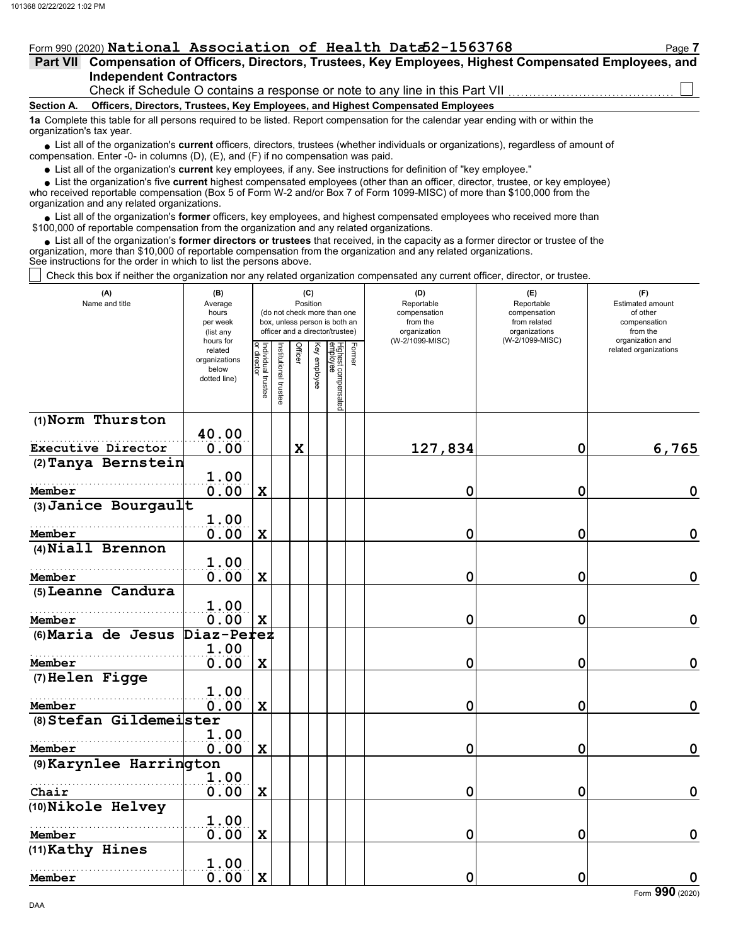### Form 990 (2020) **National Association of Health Data52-1563768** Page 7

| Part VII Compensation of Officers, Directors, Trustees, Key Employees, Highest Compensated Employees, and |  |
|-----------------------------------------------------------------------------------------------------------|--|
| <b>Independent Contractors</b>                                                                            |  |

Check if Schedule O contains a response or note to any line in this Part VII

**Section A. Officers, Directors, Trustees, Key Employees, and Highest Compensated Employees**

**1a** Complete this table for all persons required to be listed. Report compensation for the calendar year ending with or within the organization's tax year.

■ List all of the organization's **current** officers, directors, trustees (whether individuals or organizations), regardless of amount of compensation. Enter -0- in columns (D), (E), and (F) if no compensation was paid.

List all of the organization's **current** key employees, if any. See instructions for definition of "key employee."

■ List all of the organization's **current** key employees, if any. See instructions for definition of "key employee."<br>■ List the organization's five **current** highest compensated employees (other than an officer, director,

who received reportable compensation (Box 5 of Form W-2 and/or Box 7 of Form 1099-MISC) of more than \$100,000 from the organization and any related organizations.

• List all of the organization's **former** officers, key employees, and highest compensated employees who received more than<br>00,000 of reportable compensation from the organization and any related erganizations. \$100,000 of reportable compensation from the organization and any related organizations.

• List all of the organization's **former directors or trustees** that received, in the capacity as a former director or trustee of the anization more than \$10,000 of reportable compensation from the organization and any rel organization, more than \$10,000 of reportable compensation from the organization and any related organizations. See instructions for the order in which to list the persons above.

Check this box if neither the organization nor any related organization compensated any current officer, director, or trustee.

| (A)<br>Name and title     | (B)<br>Average<br>hours<br>per week<br>(list any<br>hours for |                                   | (C)<br>Position<br>(do not check more than one<br>box, unless person is both an<br>officer and a director/trustee) |             |              |                                 |        | (D)<br>Reportable<br>compensation<br>from the<br>organization | (E)<br>Reportable<br>compensation<br>from related<br>organizations<br>(W-2/1099-MISC) | (F)<br>Estimated amount<br>of other<br>compensation<br>from the<br>organization and |
|---------------------------|---------------------------------------------------------------|-----------------------------------|--------------------------------------------------------------------------------------------------------------------|-------------|--------------|---------------------------------|--------|---------------------------------------------------------------|---------------------------------------------------------------------------------------|-------------------------------------------------------------------------------------|
|                           | related<br>organizations<br>below<br>dotted line)             | Individual trustee<br>or director | nstitutional trustee                                                                                               | Officer     | Key employee | Highest compensated<br>employee | Former | (W-2/1099-MISC)                                               |                                                                                       | related organizations                                                               |
| (1) Norm Thurston         |                                                               |                                   |                                                                                                                    |             |              |                                 |        |                                                               |                                                                                       |                                                                                     |
|                           | 40.00                                                         |                                   |                                                                                                                    |             |              |                                 |        |                                                               |                                                                                       |                                                                                     |
| <b>Executive Director</b> | 0.00                                                          |                                   |                                                                                                                    | $\mathbf x$ |              |                                 |        | 127,834                                                       | 0                                                                                     | 6,765                                                                               |
| (2) Tanya Bernstein       | 1.00                                                          |                                   |                                                                                                                    |             |              |                                 |        |                                                               |                                                                                       |                                                                                     |
| Member                    | 0.00                                                          | $\mathbf x$                       |                                                                                                                    |             |              |                                 |        | 0                                                             | 0                                                                                     | 0                                                                                   |
| $(3)$ Janice Bourgault    |                                                               |                                   |                                                                                                                    |             |              |                                 |        |                                                               |                                                                                       |                                                                                     |
|                           | 1.00                                                          |                                   |                                                                                                                    |             |              |                                 |        |                                                               |                                                                                       |                                                                                     |
| Member                    | 0.00                                                          | $\mathbf x$                       |                                                                                                                    |             |              |                                 |        | $\mathbf 0$                                                   | $\mathbf 0$                                                                           | $\mathbf 0$                                                                         |
| $\sqrt{(4)$ Niall Brennon |                                                               |                                   |                                                                                                                    |             |              |                                 |        |                                                               |                                                                                       |                                                                                     |
|                           | 1.00                                                          |                                   |                                                                                                                    |             |              |                                 |        |                                                               |                                                                                       |                                                                                     |
| Member                    | 0.00                                                          | $\mathbf x$                       |                                                                                                                    |             |              |                                 |        | 0                                                             | $\mathbf 0$                                                                           | $\mathbf 0$                                                                         |
| (5) Leanne Candura        |                                                               |                                   |                                                                                                                    |             |              |                                 |        |                                                               |                                                                                       |                                                                                     |
| Member                    | 1.00<br>0.00                                                  | $\mathbf x$                       |                                                                                                                    |             |              |                                 |        | 0                                                             | $\mathbf 0$                                                                           | $\mathbf 0$                                                                         |
| (6) Maria de Jesus        | Diaz-Perez                                                    |                                   |                                                                                                                    |             |              |                                 |        |                                                               |                                                                                       |                                                                                     |
|                           | 1.00                                                          |                                   |                                                                                                                    |             |              |                                 |        |                                                               |                                                                                       |                                                                                     |
| Member                    | 0.00                                                          | $\mathbf x$                       |                                                                                                                    |             |              |                                 |        | 0                                                             | 0                                                                                     | 0                                                                                   |
| (7) Helen Figge           |                                                               |                                   |                                                                                                                    |             |              |                                 |        |                                                               |                                                                                       |                                                                                     |
|                           | 1.00                                                          |                                   |                                                                                                                    |             |              |                                 |        |                                                               |                                                                                       |                                                                                     |
| Member                    | 0.00                                                          | $\mathbf x$                       |                                                                                                                    |             |              |                                 |        | 0                                                             | 0                                                                                     | $\mathbf 0$                                                                         |
| (8) Stefan Gildemeister   |                                                               |                                   |                                                                                                                    |             |              |                                 |        |                                                               |                                                                                       |                                                                                     |
|                           | 1.00                                                          |                                   |                                                                                                                    |             |              |                                 |        |                                                               |                                                                                       |                                                                                     |
| Member                    | 0.00                                                          | $\mathbf x$                       |                                                                                                                    |             |              |                                 |        | 0                                                             | $\mathbf 0$                                                                           | $\mathbf 0$                                                                         |
| (9) Karynlee Harrington   |                                                               |                                   |                                                                                                                    |             |              |                                 |        |                                                               |                                                                                       |                                                                                     |
|                           | 1.00                                                          |                                   |                                                                                                                    |             |              |                                 |        |                                                               |                                                                                       |                                                                                     |
| Chair                     | 0.00                                                          | $\mathbf x$                       |                                                                                                                    |             |              |                                 |        | 0                                                             | $\mathbf 0$                                                                           | $\mathbf 0$                                                                         |
| (10) Nikole Helvey        | 1.00                                                          |                                   |                                                                                                                    |             |              |                                 |        |                                                               |                                                                                       |                                                                                     |
| Member                    | 0.00                                                          | $\mathbf x$                       |                                                                                                                    |             |              |                                 |        | 0                                                             | 0                                                                                     | 0                                                                                   |
| (11) Kathy Hines          |                                                               |                                   |                                                                                                                    |             |              |                                 |        |                                                               |                                                                                       |                                                                                     |
|                           | 1.00                                                          |                                   |                                                                                                                    |             |              |                                 |        |                                                               |                                                                                       |                                                                                     |
| Member                    | 0.00                                                          | X                                 |                                                                                                                    |             |              |                                 |        | $\mathbf 0$                                                   | 0                                                                                     | 0                                                                                   |
|                           |                                                               |                                   |                                                                                                                    |             |              |                                 |        |                                                               |                                                                                       | Form 990 (2020)                                                                     |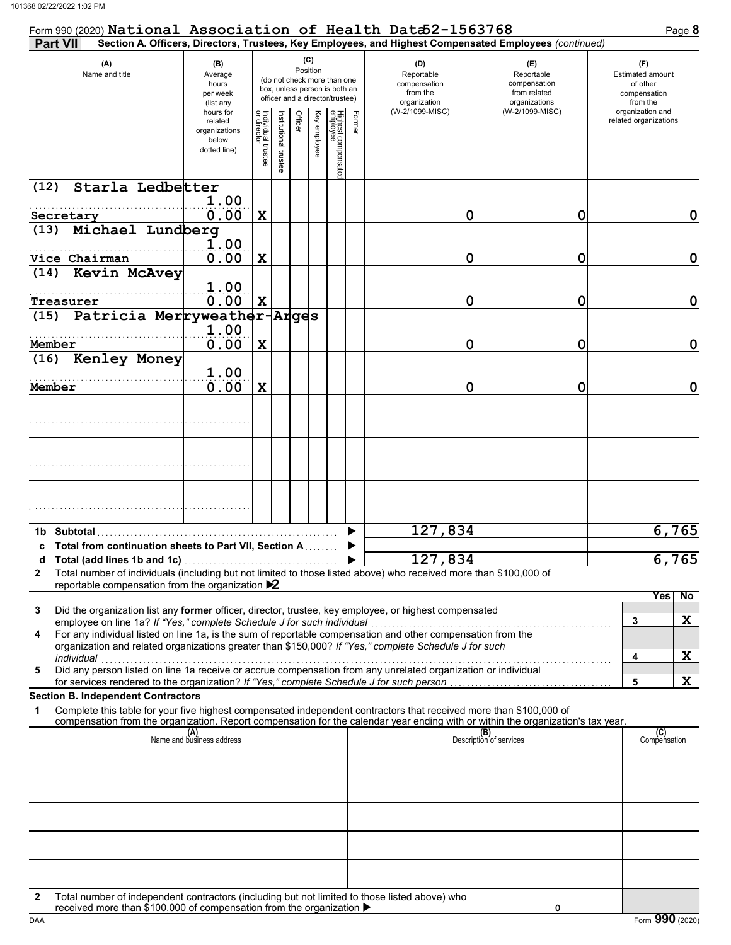| Section A. Officers, Directors, Trustees, Key Employees, and Highest Compensated Employees (continued)<br>(C)<br>(A)<br>(B)<br>(D)<br>(E)<br>(F)<br>Position<br>Name and title<br>Reportable<br>Reportable<br>Estimated amount<br>Average<br>(do not check more than one<br>of other<br>hours<br>compensation<br>compensation<br>box, unless person is both an<br>from the<br>from related<br>per week<br>compensation<br>officer and a director/trustee)<br>organizations<br>organization<br>from the<br>(list any<br>(W-2/1099-MISC)<br>(W-2/1099-MISC)<br>organization and<br>hours for<br>Highest compensatec<br>employee<br>Former<br>Individual trustee<br>or director<br>Officer<br>Ķey<br>Institutional trustee<br>related organizations<br>related<br>employee<br>organizations<br>below<br>dotted line)<br>Starla Ledbetter<br>(12)<br>1.00<br>$\mathbf x$<br>0.00<br>0<br>Secretary<br>0<br>0<br>Michael Lundberg<br>(13)<br>1.00<br>0.00<br>Vice Chairman<br>$\mathbf x$<br>0<br>0<br>0<br>(14)<br>Kevin McAvey<br>1.00<br>0.00<br>$\mathbf X$<br>0<br>0<br>0<br>Treasurer<br>Patricia Merryweather-Arges<br>(15)<br>1.00<br>0.00<br>$\mathbf x$<br>0<br>0<br>0<br>(16) Kenley Money<br>1.00<br>0.00<br>$\mathbf x$<br>0<br>0<br>Member<br>0<br>127,834<br>6,765<br>1b Subtotal<br>c Total from continuation sheets to Part VII, Section A<br>127,834<br>6,765<br>Total number of individuals (including but not limited to those listed above) who received more than \$100,000 of<br>2<br>reportable compensation from the organization $\blacktriangleright$ 2<br><b>Yes</b><br>$\overline{N}$<br>Did the organization list any former officer, director, trustee, key employee, or highest compensated<br>3<br>X<br>3<br>employee on line 1a? If "Yes," complete Schedule J for such individual<br>For any individual listed on line 1a, is the sum of reportable compensation and other compensation from the<br>4<br>organization and related organizations greater than \$150,000? If "Yes," complete Schedule J for such<br>X<br>4<br>individual<br>marviquare expression in the factor of the compensation from any unrelated organization or individual<br>5<br>X<br>5<br>for services rendered to the organization? If "Yes," complete Schedule J for such person<br><b>Section B. Independent Contractors</b><br>Complete this table for your five highest compensated independent contractors that received more than \$100,000 of<br>1<br>compensation from the organization. Report compensation for the calendar year ending with or within the organization's tax year.<br>(B)<br>Description of services<br>(A)<br>Name and business address<br>(C)<br>Compensation<br>Total number of independent contractors (including but not limited to those listed above) who<br>2<br>received more than \$100,000 of compensation from the organization ▶<br>0 | Form 990 (2020) National Association of Health Dat&2-1563768 |  |  |  |  | Page 8 |
|--------------------------------------------------------------------------------------------------------------------------------------------------------------------------------------------------------------------------------------------------------------------------------------------------------------------------------------------------------------------------------------------------------------------------------------------------------------------------------------------------------------------------------------------------------------------------------------------------------------------------------------------------------------------------------------------------------------------------------------------------------------------------------------------------------------------------------------------------------------------------------------------------------------------------------------------------------------------------------------------------------------------------------------------------------------------------------------------------------------------------------------------------------------------------------------------------------------------------------------------------------------------------------------------------------------------------------------------------------------------------------------------------------------------------------------------------------------------------------------------------------------------------------------------------------------------------------------------------------------------------------------------------------------------------------------------------------------------------------------------------------------------------------------------------------------------------------------------------------------------------------------------------------------------------------------------------------------------------------------------------------------------------------------------------------------------------------------------------------------------------------------------------------------------------------------------------------------------------------------------------------------------------------------------------------------------------------------------------------------------------------------------------------------------------------------------------------------------------------------------------------------------------------------------------------------------------------------------------------------------------------------------------------------------------------------------------------------------------------------------------------------------------------------------------------------------------------------------------------------------------------------|--------------------------------------------------------------|--|--|--|--|--------|
|                                                                                                                                                                                                                                                                                                                                                                                                                                                                                                                                                                                                                                                                                                                                                                                                                                                                                                                                                                                                                                                                                                                                                                                                                                                                                                                                                                                                                                                                                                                                                                                                                                                                                                                                                                                                                                                                                                                                                                                                                                                                                                                                                                                                                                                                                                                                                                                                                                                                                                                                                                                                                                                                                                                                                                                                                                                                                      | <b>Part VII</b>                                              |  |  |  |  |        |
|                                                                                                                                                                                                                                                                                                                                                                                                                                                                                                                                                                                                                                                                                                                                                                                                                                                                                                                                                                                                                                                                                                                                                                                                                                                                                                                                                                                                                                                                                                                                                                                                                                                                                                                                                                                                                                                                                                                                                                                                                                                                                                                                                                                                                                                                                                                                                                                                                                                                                                                                                                                                                                                                                                                                                                                                                                                                                      |                                                              |  |  |  |  |        |
|                                                                                                                                                                                                                                                                                                                                                                                                                                                                                                                                                                                                                                                                                                                                                                                                                                                                                                                                                                                                                                                                                                                                                                                                                                                                                                                                                                                                                                                                                                                                                                                                                                                                                                                                                                                                                                                                                                                                                                                                                                                                                                                                                                                                                                                                                                                                                                                                                                                                                                                                                                                                                                                                                                                                                                                                                                                                                      |                                                              |  |  |  |  |        |
|                                                                                                                                                                                                                                                                                                                                                                                                                                                                                                                                                                                                                                                                                                                                                                                                                                                                                                                                                                                                                                                                                                                                                                                                                                                                                                                                                                                                                                                                                                                                                                                                                                                                                                                                                                                                                                                                                                                                                                                                                                                                                                                                                                                                                                                                                                                                                                                                                                                                                                                                                                                                                                                                                                                                                                                                                                                                                      |                                                              |  |  |  |  |        |
|                                                                                                                                                                                                                                                                                                                                                                                                                                                                                                                                                                                                                                                                                                                                                                                                                                                                                                                                                                                                                                                                                                                                                                                                                                                                                                                                                                                                                                                                                                                                                                                                                                                                                                                                                                                                                                                                                                                                                                                                                                                                                                                                                                                                                                                                                                                                                                                                                                                                                                                                                                                                                                                                                                                                                                                                                                                                                      |                                                              |  |  |  |  |        |
|                                                                                                                                                                                                                                                                                                                                                                                                                                                                                                                                                                                                                                                                                                                                                                                                                                                                                                                                                                                                                                                                                                                                                                                                                                                                                                                                                                                                                                                                                                                                                                                                                                                                                                                                                                                                                                                                                                                                                                                                                                                                                                                                                                                                                                                                                                                                                                                                                                                                                                                                                                                                                                                                                                                                                                                                                                                                                      |                                                              |  |  |  |  |        |
|                                                                                                                                                                                                                                                                                                                                                                                                                                                                                                                                                                                                                                                                                                                                                                                                                                                                                                                                                                                                                                                                                                                                                                                                                                                                                                                                                                                                                                                                                                                                                                                                                                                                                                                                                                                                                                                                                                                                                                                                                                                                                                                                                                                                                                                                                                                                                                                                                                                                                                                                                                                                                                                                                                                                                                                                                                                                                      |                                                              |  |  |  |  |        |
|                                                                                                                                                                                                                                                                                                                                                                                                                                                                                                                                                                                                                                                                                                                                                                                                                                                                                                                                                                                                                                                                                                                                                                                                                                                                                                                                                                                                                                                                                                                                                                                                                                                                                                                                                                                                                                                                                                                                                                                                                                                                                                                                                                                                                                                                                                                                                                                                                                                                                                                                                                                                                                                                                                                                                                                                                                                                                      |                                                              |  |  |  |  |        |
|                                                                                                                                                                                                                                                                                                                                                                                                                                                                                                                                                                                                                                                                                                                                                                                                                                                                                                                                                                                                                                                                                                                                                                                                                                                                                                                                                                                                                                                                                                                                                                                                                                                                                                                                                                                                                                                                                                                                                                                                                                                                                                                                                                                                                                                                                                                                                                                                                                                                                                                                                                                                                                                                                                                                                                                                                                                                                      |                                                              |  |  |  |  |        |
|                                                                                                                                                                                                                                                                                                                                                                                                                                                                                                                                                                                                                                                                                                                                                                                                                                                                                                                                                                                                                                                                                                                                                                                                                                                                                                                                                                                                                                                                                                                                                                                                                                                                                                                                                                                                                                                                                                                                                                                                                                                                                                                                                                                                                                                                                                                                                                                                                                                                                                                                                                                                                                                                                                                                                                                                                                                                                      |                                                              |  |  |  |  |        |
|                                                                                                                                                                                                                                                                                                                                                                                                                                                                                                                                                                                                                                                                                                                                                                                                                                                                                                                                                                                                                                                                                                                                                                                                                                                                                                                                                                                                                                                                                                                                                                                                                                                                                                                                                                                                                                                                                                                                                                                                                                                                                                                                                                                                                                                                                                                                                                                                                                                                                                                                                                                                                                                                                                                                                                                                                                                                                      |                                                              |  |  |  |  |        |
|                                                                                                                                                                                                                                                                                                                                                                                                                                                                                                                                                                                                                                                                                                                                                                                                                                                                                                                                                                                                                                                                                                                                                                                                                                                                                                                                                                                                                                                                                                                                                                                                                                                                                                                                                                                                                                                                                                                                                                                                                                                                                                                                                                                                                                                                                                                                                                                                                                                                                                                                                                                                                                                                                                                                                                                                                                                                                      | Member                                                       |  |  |  |  |        |
|                                                                                                                                                                                                                                                                                                                                                                                                                                                                                                                                                                                                                                                                                                                                                                                                                                                                                                                                                                                                                                                                                                                                                                                                                                                                                                                                                                                                                                                                                                                                                                                                                                                                                                                                                                                                                                                                                                                                                                                                                                                                                                                                                                                                                                                                                                                                                                                                                                                                                                                                                                                                                                                                                                                                                                                                                                                                                      |                                                              |  |  |  |  |        |
|                                                                                                                                                                                                                                                                                                                                                                                                                                                                                                                                                                                                                                                                                                                                                                                                                                                                                                                                                                                                                                                                                                                                                                                                                                                                                                                                                                                                                                                                                                                                                                                                                                                                                                                                                                                                                                                                                                                                                                                                                                                                                                                                                                                                                                                                                                                                                                                                                                                                                                                                                                                                                                                                                                                                                                                                                                                                                      |                                                              |  |  |  |  |        |
|                                                                                                                                                                                                                                                                                                                                                                                                                                                                                                                                                                                                                                                                                                                                                                                                                                                                                                                                                                                                                                                                                                                                                                                                                                                                                                                                                                                                                                                                                                                                                                                                                                                                                                                                                                                                                                                                                                                                                                                                                                                                                                                                                                                                                                                                                                                                                                                                                                                                                                                                                                                                                                                                                                                                                                                                                                                                                      |                                                              |  |  |  |  |        |
|                                                                                                                                                                                                                                                                                                                                                                                                                                                                                                                                                                                                                                                                                                                                                                                                                                                                                                                                                                                                                                                                                                                                                                                                                                                                                                                                                                                                                                                                                                                                                                                                                                                                                                                                                                                                                                                                                                                                                                                                                                                                                                                                                                                                                                                                                                                                                                                                                                                                                                                                                                                                                                                                                                                                                                                                                                                                                      |                                                              |  |  |  |  |        |
|                                                                                                                                                                                                                                                                                                                                                                                                                                                                                                                                                                                                                                                                                                                                                                                                                                                                                                                                                                                                                                                                                                                                                                                                                                                                                                                                                                                                                                                                                                                                                                                                                                                                                                                                                                                                                                                                                                                                                                                                                                                                                                                                                                                                                                                                                                                                                                                                                                                                                                                                                                                                                                                                                                                                                                                                                                                                                      |                                                              |  |  |  |  |        |
|                                                                                                                                                                                                                                                                                                                                                                                                                                                                                                                                                                                                                                                                                                                                                                                                                                                                                                                                                                                                                                                                                                                                                                                                                                                                                                                                                                                                                                                                                                                                                                                                                                                                                                                                                                                                                                                                                                                                                                                                                                                                                                                                                                                                                                                                                                                                                                                                                                                                                                                                                                                                                                                                                                                                                                                                                                                                                      |                                                              |  |  |  |  |        |
|                                                                                                                                                                                                                                                                                                                                                                                                                                                                                                                                                                                                                                                                                                                                                                                                                                                                                                                                                                                                                                                                                                                                                                                                                                                                                                                                                                                                                                                                                                                                                                                                                                                                                                                                                                                                                                                                                                                                                                                                                                                                                                                                                                                                                                                                                                                                                                                                                                                                                                                                                                                                                                                                                                                                                                                                                                                                                      |                                                              |  |  |  |  |        |
|                                                                                                                                                                                                                                                                                                                                                                                                                                                                                                                                                                                                                                                                                                                                                                                                                                                                                                                                                                                                                                                                                                                                                                                                                                                                                                                                                                                                                                                                                                                                                                                                                                                                                                                                                                                                                                                                                                                                                                                                                                                                                                                                                                                                                                                                                                                                                                                                                                                                                                                                                                                                                                                                                                                                                                                                                                                                                      |                                                              |  |  |  |  |        |
|                                                                                                                                                                                                                                                                                                                                                                                                                                                                                                                                                                                                                                                                                                                                                                                                                                                                                                                                                                                                                                                                                                                                                                                                                                                                                                                                                                                                                                                                                                                                                                                                                                                                                                                                                                                                                                                                                                                                                                                                                                                                                                                                                                                                                                                                                                                                                                                                                                                                                                                                                                                                                                                                                                                                                                                                                                                                                      |                                                              |  |  |  |  |        |
|                                                                                                                                                                                                                                                                                                                                                                                                                                                                                                                                                                                                                                                                                                                                                                                                                                                                                                                                                                                                                                                                                                                                                                                                                                                                                                                                                                                                                                                                                                                                                                                                                                                                                                                                                                                                                                                                                                                                                                                                                                                                                                                                                                                                                                                                                                                                                                                                                                                                                                                                                                                                                                                                                                                                                                                                                                                                                      |                                                              |  |  |  |  |        |
|                                                                                                                                                                                                                                                                                                                                                                                                                                                                                                                                                                                                                                                                                                                                                                                                                                                                                                                                                                                                                                                                                                                                                                                                                                                                                                                                                                                                                                                                                                                                                                                                                                                                                                                                                                                                                                                                                                                                                                                                                                                                                                                                                                                                                                                                                                                                                                                                                                                                                                                                                                                                                                                                                                                                                                                                                                                                                      |                                                              |  |  |  |  |        |
|                                                                                                                                                                                                                                                                                                                                                                                                                                                                                                                                                                                                                                                                                                                                                                                                                                                                                                                                                                                                                                                                                                                                                                                                                                                                                                                                                                                                                                                                                                                                                                                                                                                                                                                                                                                                                                                                                                                                                                                                                                                                                                                                                                                                                                                                                                                                                                                                                                                                                                                                                                                                                                                                                                                                                                                                                                                                                      |                                                              |  |  |  |  |        |
|                                                                                                                                                                                                                                                                                                                                                                                                                                                                                                                                                                                                                                                                                                                                                                                                                                                                                                                                                                                                                                                                                                                                                                                                                                                                                                                                                                                                                                                                                                                                                                                                                                                                                                                                                                                                                                                                                                                                                                                                                                                                                                                                                                                                                                                                                                                                                                                                                                                                                                                                                                                                                                                                                                                                                                                                                                                                                      |                                                              |  |  |  |  |        |
|                                                                                                                                                                                                                                                                                                                                                                                                                                                                                                                                                                                                                                                                                                                                                                                                                                                                                                                                                                                                                                                                                                                                                                                                                                                                                                                                                                                                                                                                                                                                                                                                                                                                                                                                                                                                                                                                                                                                                                                                                                                                                                                                                                                                                                                                                                                                                                                                                                                                                                                                                                                                                                                                                                                                                                                                                                                                                      |                                                              |  |  |  |  |        |
|                                                                                                                                                                                                                                                                                                                                                                                                                                                                                                                                                                                                                                                                                                                                                                                                                                                                                                                                                                                                                                                                                                                                                                                                                                                                                                                                                                                                                                                                                                                                                                                                                                                                                                                                                                                                                                                                                                                                                                                                                                                                                                                                                                                                                                                                                                                                                                                                                                                                                                                                                                                                                                                                                                                                                                                                                                                                                      |                                                              |  |  |  |  |        |
|                                                                                                                                                                                                                                                                                                                                                                                                                                                                                                                                                                                                                                                                                                                                                                                                                                                                                                                                                                                                                                                                                                                                                                                                                                                                                                                                                                                                                                                                                                                                                                                                                                                                                                                                                                                                                                                                                                                                                                                                                                                                                                                                                                                                                                                                                                                                                                                                                                                                                                                                                                                                                                                                                                                                                                                                                                                                                      |                                                              |  |  |  |  |        |
|                                                                                                                                                                                                                                                                                                                                                                                                                                                                                                                                                                                                                                                                                                                                                                                                                                                                                                                                                                                                                                                                                                                                                                                                                                                                                                                                                                                                                                                                                                                                                                                                                                                                                                                                                                                                                                                                                                                                                                                                                                                                                                                                                                                                                                                                                                                                                                                                                                                                                                                                                                                                                                                                                                                                                                                                                                                                                      |                                                              |  |  |  |  |        |
|                                                                                                                                                                                                                                                                                                                                                                                                                                                                                                                                                                                                                                                                                                                                                                                                                                                                                                                                                                                                                                                                                                                                                                                                                                                                                                                                                                                                                                                                                                                                                                                                                                                                                                                                                                                                                                                                                                                                                                                                                                                                                                                                                                                                                                                                                                                                                                                                                                                                                                                                                                                                                                                                                                                                                                                                                                                                                      |                                                              |  |  |  |  |        |
|                                                                                                                                                                                                                                                                                                                                                                                                                                                                                                                                                                                                                                                                                                                                                                                                                                                                                                                                                                                                                                                                                                                                                                                                                                                                                                                                                                                                                                                                                                                                                                                                                                                                                                                                                                                                                                                                                                                                                                                                                                                                                                                                                                                                                                                                                                                                                                                                                                                                                                                                                                                                                                                                                                                                                                                                                                                                                      |                                                              |  |  |  |  |        |
|                                                                                                                                                                                                                                                                                                                                                                                                                                                                                                                                                                                                                                                                                                                                                                                                                                                                                                                                                                                                                                                                                                                                                                                                                                                                                                                                                                                                                                                                                                                                                                                                                                                                                                                                                                                                                                                                                                                                                                                                                                                                                                                                                                                                                                                                                                                                                                                                                                                                                                                                                                                                                                                                                                                                                                                                                                                                                      |                                                              |  |  |  |  |        |
|                                                                                                                                                                                                                                                                                                                                                                                                                                                                                                                                                                                                                                                                                                                                                                                                                                                                                                                                                                                                                                                                                                                                                                                                                                                                                                                                                                                                                                                                                                                                                                                                                                                                                                                                                                                                                                                                                                                                                                                                                                                                                                                                                                                                                                                                                                                                                                                                                                                                                                                                                                                                                                                                                                                                                                                                                                                                                      |                                                              |  |  |  |  |        |
|                                                                                                                                                                                                                                                                                                                                                                                                                                                                                                                                                                                                                                                                                                                                                                                                                                                                                                                                                                                                                                                                                                                                                                                                                                                                                                                                                                                                                                                                                                                                                                                                                                                                                                                                                                                                                                                                                                                                                                                                                                                                                                                                                                                                                                                                                                                                                                                                                                                                                                                                                                                                                                                                                                                                                                                                                                                                                      |                                                              |  |  |  |  |        |
|                                                                                                                                                                                                                                                                                                                                                                                                                                                                                                                                                                                                                                                                                                                                                                                                                                                                                                                                                                                                                                                                                                                                                                                                                                                                                                                                                                                                                                                                                                                                                                                                                                                                                                                                                                                                                                                                                                                                                                                                                                                                                                                                                                                                                                                                                                                                                                                                                                                                                                                                                                                                                                                                                                                                                                                                                                                                                      |                                                              |  |  |  |  |        |
|                                                                                                                                                                                                                                                                                                                                                                                                                                                                                                                                                                                                                                                                                                                                                                                                                                                                                                                                                                                                                                                                                                                                                                                                                                                                                                                                                                                                                                                                                                                                                                                                                                                                                                                                                                                                                                                                                                                                                                                                                                                                                                                                                                                                                                                                                                                                                                                                                                                                                                                                                                                                                                                                                                                                                                                                                                                                                      |                                                              |  |  |  |  |        |
|                                                                                                                                                                                                                                                                                                                                                                                                                                                                                                                                                                                                                                                                                                                                                                                                                                                                                                                                                                                                                                                                                                                                                                                                                                                                                                                                                                                                                                                                                                                                                                                                                                                                                                                                                                                                                                                                                                                                                                                                                                                                                                                                                                                                                                                                                                                                                                                                                                                                                                                                                                                                                                                                                                                                                                                                                                                                                      |                                                              |  |  |  |  |        |
|                                                                                                                                                                                                                                                                                                                                                                                                                                                                                                                                                                                                                                                                                                                                                                                                                                                                                                                                                                                                                                                                                                                                                                                                                                                                                                                                                                                                                                                                                                                                                                                                                                                                                                                                                                                                                                                                                                                                                                                                                                                                                                                                                                                                                                                                                                                                                                                                                                                                                                                                                                                                                                                                                                                                                                                                                                                                                      |                                                              |  |  |  |  |        |
|                                                                                                                                                                                                                                                                                                                                                                                                                                                                                                                                                                                                                                                                                                                                                                                                                                                                                                                                                                                                                                                                                                                                                                                                                                                                                                                                                                                                                                                                                                                                                                                                                                                                                                                                                                                                                                                                                                                                                                                                                                                                                                                                                                                                                                                                                                                                                                                                                                                                                                                                                                                                                                                                                                                                                                                                                                                                                      |                                                              |  |  |  |  |        |
|                                                                                                                                                                                                                                                                                                                                                                                                                                                                                                                                                                                                                                                                                                                                                                                                                                                                                                                                                                                                                                                                                                                                                                                                                                                                                                                                                                                                                                                                                                                                                                                                                                                                                                                                                                                                                                                                                                                                                                                                                                                                                                                                                                                                                                                                                                                                                                                                                                                                                                                                                                                                                                                                                                                                                                                                                                                                                      |                                                              |  |  |  |  |        |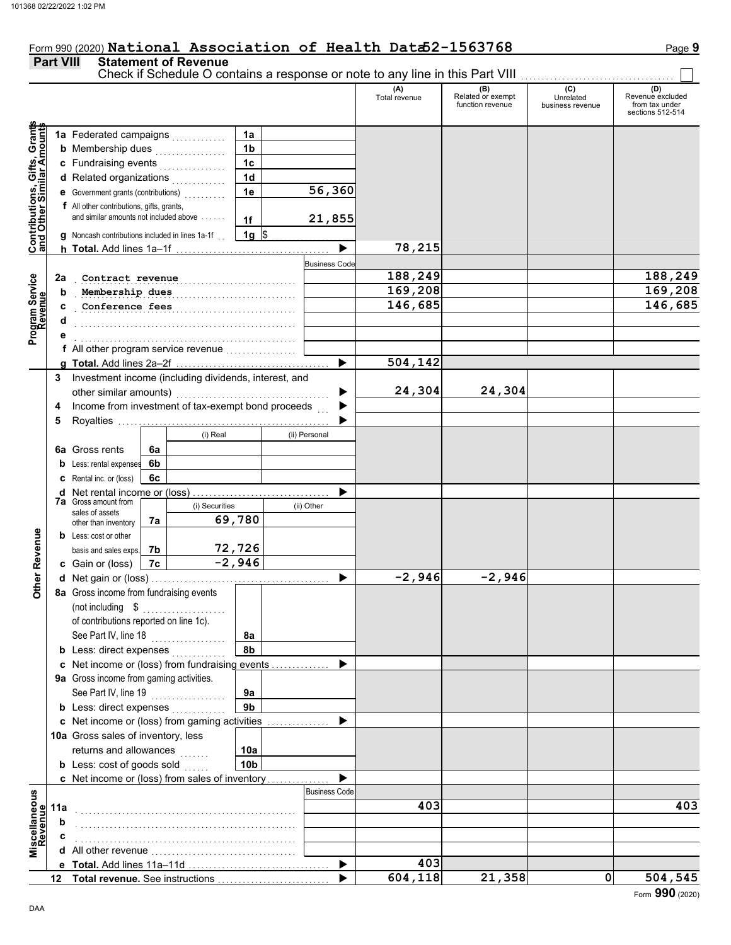## Form 990 (2020) Page **9 National Association of Health Data52-1563768**

### **Part VIII Statement of Revenue**

Check if Schedule O contains a response or note to any line in this Part VIII ................................

|                                                           |     |                                                       |    |                     |                 |                      | (A)<br>Total revenue | (B)<br>Related or exempt<br>function revenue | (C)<br>Unrelated<br>business revenue | (D)<br>Revenue excluded<br>from tax under<br>sections 512-514 |
|-----------------------------------------------------------|-----|-------------------------------------------------------|----|---------------------|-----------------|----------------------|----------------------|----------------------------------------------|--------------------------------------|---------------------------------------------------------------|
|                                                           |     |                                                       |    |                     |                 |                      |                      |                                              |                                      |                                                               |
| Contributions, Gifts, Grants<br>and Other Similar Amounts |     | 1a Federated campaigns                                |    | <u>a sa salawan</u> | 1a              |                      |                      |                                              |                                      |                                                               |
|                                                           |     | <b>b</b> Membership dues                              |    | .                   | 1b              |                      |                      |                                              |                                      |                                                               |
|                                                           |     | c Fundraising events                                  |    | .                   | 1 <sub>c</sub>  |                      |                      |                                              |                                      |                                                               |
|                                                           |     | d Related organizations                               |    |                     | 1 <sub>d</sub>  |                      |                      |                                              |                                      |                                                               |
|                                                           |     | Government grants (contributions)                     |    |                     | 1e              | 56,360               |                      |                                              |                                      |                                                               |
|                                                           |     | f All other contributions, gifts, grants,             |    |                     |                 |                      |                      |                                              |                                      |                                                               |
|                                                           |     | and similar amounts not included above                |    |                     | 1f              | 21,855               |                      |                                              |                                      |                                                               |
|                                                           |     | Noncash contributions included in lines 1a-1f         |    |                     | $1g$ \$         |                      |                      |                                              |                                      |                                                               |
|                                                           |     |                                                       |    |                     |                 | ▶                    | 78,215               |                                              |                                      |                                                               |
|                                                           |     |                                                       |    |                     |                 | <b>Business Code</b> |                      |                                              |                                      |                                                               |
|                                                           | 2a  | Contract revenue                                      |    |                     |                 |                      | 188,249              |                                              |                                      | 188,249                                                       |
|                                                           | b   | Membership dues                                       |    |                     |                 |                      | 169,208              |                                              |                                      | 169,208                                                       |
|                                                           |     | Conference fees                                       |    |                     |                 |                      | 146,685              |                                              |                                      | 146,685                                                       |
| Program Service<br>Revenue                                |     |                                                       |    |                     |                 |                      |                      |                                              |                                      |                                                               |
|                                                           |     |                                                       |    |                     |                 |                      |                      |                                              |                                      |                                                               |
|                                                           |     | f All other program service revenue                   |    |                     |                 |                      |                      |                                              |                                      |                                                               |
|                                                           |     |                                                       |    |                     |                 | ▶                    | 504,142              |                                              |                                      |                                                               |
|                                                           | 3   | Investment income (including dividends, interest, and |    |                     |                 |                      |                      |                                              |                                      |                                                               |
|                                                           |     | other similar amounts)                                |    |                     |                 |                      | 24,304               | 24,304                                       |                                      |                                                               |
|                                                           | 4   | Income from investment of tax-exempt bond proceeds    |    |                     |                 |                      |                      |                                              |                                      |                                                               |
|                                                           | 5   |                                                       |    |                     |                 |                      |                      |                                              |                                      |                                                               |
|                                                           |     |                                                       |    | (i) Real            |                 | (ii) Personal        |                      |                                              |                                      |                                                               |
|                                                           | 6а  | Gross rents                                           | 6a |                     |                 |                      |                      |                                              |                                      |                                                               |
|                                                           |     | Less: rental expenses                                 | 6b |                     |                 |                      |                      |                                              |                                      |                                                               |
|                                                           |     | Rental inc. or (loss)                                 | 6c |                     |                 |                      |                      |                                              |                                      |                                                               |
|                                                           | d   | Net rental income or (loss)                           |    |                     |                 |                      |                      |                                              |                                      |                                                               |
|                                                           |     | <b>7a</b> Gross amount from<br>sales of assets        |    | (i) Securities      |                 | (ii) Other           |                      |                                              |                                      |                                                               |
|                                                           |     | other than inventory                                  | 7a |                     | 69,780          |                      |                      |                                              |                                      |                                                               |
|                                                           |     | <b>b</b> Less: cost or other                          |    |                     |                 |                      |                      |                                              |                                      |                                                               |
|                                                           |     | basis and sales exps.                                 | 7b |                     | 72,726          |                      |                      |                                              |                                      |                                                               |
|                                                           |     | c Gain or (loss)                                      | 7c |                     | $-2,946$        |                      |                      |                                              |                                      |                                                               |
| <b>Other Revenue</b>                                      |     | d Net gain or (loss)                                  |    |                     |                 |                      | $-2,946$             | $-2,946$                                     |                                      |                                                               |
|                                                           |     | 8a Gross income from fundraising events               |    |                     |                 |                      |                      |                                              |                                      |                                                               |
|                                                           |     | (not including \$                                     |    | .                   |                 |                      |                      |                                              |                                      |                                                               |
|                                                           |     | of contributions reported on line 1c).                |    |                     |                 |                      |                      |                                              |                                      |                                                               |
|                                                           |     | See Part IV, line 18                                  |    |                     | 8a              |                      |                      |                                              |                                      |                                                               |
|                                                           |     | <b>b</b> Less: direct expenses                        |    |                     | 8b              |                      |                      |                                              |                                      |                                                               |
|                                                           |     | c Net income or (loss) from fundraising events        |    |                     |                 |                      |                      |                                              |                                      |                                                               |
|                                                           |     | 9a Gross income from gaming activities.               |    |                     |                 |                      |                      |                                              |                                      |                                                               |
|                                                           |     | See Part IV, line 19                                  |    | .                   | 9a              |                      |                      |                                              |                                      |                                                               |
|                                                           |     | <b>b</b> Less: direct expenses                        |    |                     | 9 <sub>b</sub>  |                      |                      |                                              |                                      |                                                               |
|                                                           |     | c Net income or (loss) from gaming activities         |    |                     |                 |                      |                      |                                              |                                      |                                                               |
|                                                           |     | 10a Gross sales of inventory, less                    |    |                     |                 |                      |                      |                                              |                                      |                                                               |
|                                                           |     | returns and allowances                                |    | $\mathbb{R}^2$ .    | 10a             |                      |                      |                                              |                                      |                                                               |
|                                                           |     | <b>b</b> Less: cost of goods sold                     |    |                     | 10 <sub>b</sub> |                      |                      |                                              |                                      |                                                               |
|                                                           |     | c Net income or (loss) from sales of inventory        |    |                     |                 |                      |                      |                                              |                                      |                                                               |
|                                                           |     |                                                       |    |                     |                 | <b>Business Code</b> |                      |                                              |                                      |                                                               |
| Miscellaneous<br>Revenue                                  | 11a |                                                       |    |                     |                 |                      | 403                  |                                              |                                      | 403                                                           |
|                                                           | b   |                                                       |    |                     |                 |                      |                      |                                              |                                      |                                                               |
|                                                           |     |                                                       |    |                     |                 |                      |                      |                                              |                                      |                                                               |
|                                                           | d   |                                                       |    |                     |                 |                      |                      |                                              |                                      |                                                               |
|                                                           | е   |                                                       |    |                     |                 | ▶                    | 403                  |                                              |                                      |                                                               |
|                                                           | 12  |                                                       |    |                     |                 |                      | 604,118              | 21,358                                       | 0                                    | 504,545                                                       |
|                                                           |     |                                                       |    |                     |                 |                      |                      |                                              |                                      | 000                                                           |

 $\Box$ 

Form **990** (2020)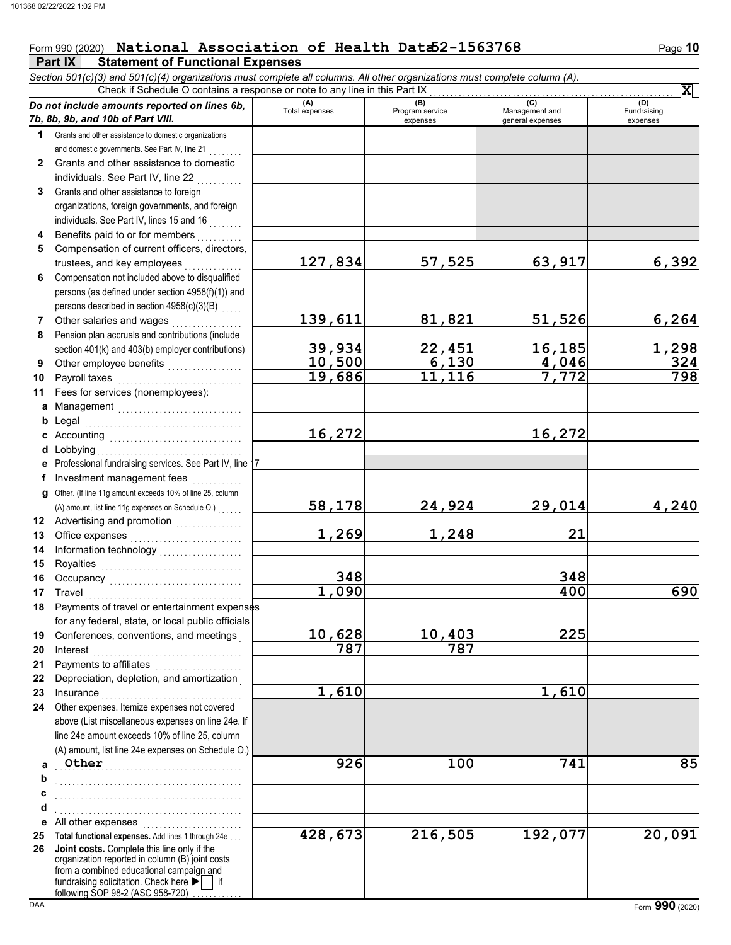### Form 990 (2020) Page **10 National Association of Health Data52-1563768**

|          | <b>Part IX</b><br><b>Statement of Functional Expenses</b>                                                                  |                         |                        |                       |                         |
|----------|----------------------------------------------------------------------------------------------------------------------------|-------------------------|------------------------|-----------------------|-------------------------|
|          | Section 501(c)(3) and 501(c)(4) organizations must complete all columns. All other organizations must complete column (A). |                         |                        |                       |                         |
|          | Check if Schedule O contains a response or note to any line in this Part IX                                                |                         |                        |                       | $\overline{\mathbf{x}}$ |
|          | Do not include amounts reported on lines 6b,                                                                               | (A)<br>Total expenses   | (B)<br>Program service | (C)<br>Management and | (D)<br>Fundraising      |
|          | 7b, 8b, 9b, and 10b of Part VIII.                                                                                          |                         | expenses               | general expenses      | expenses                |
| 1        | Grants and other assistance to domestic organizations                                                                      |                         |                        |                       |                         |
|          | and domestic governments. See Part IV, line 21                                                                             |                         |                        |                       |                         |
| 2        | Grants and other assistance to domestic<br>individuals. See Part IV, line 22                                               |                         |                        |                       |                         |
| 3.       | Grants and other assistance to foreign                                                                                     |                         |                        |                       |                         |
|          | organizations, foreign governments, and foreign                                                                            |                         |                        |                       |                         |
|          | individuals. See Part IV, lines 15 and 16                                                                                  |                         |                        |                       |                         |
| 4        | Benefits paid to or for members                                                                                            |                         |                        |                       |                         |
| 5        | Compensation of current officers, directors,                                                                               |                         |                        |                       |                         |
|          | trustees, and key employees                                                                                                | 127,834                 | 57,525                 | 63,917                | 6,392                   |
| 6        | Compensation not included above to disqualified                                                                            |                         |                        |                       |                         |
|          | persons (as defined under section 4958(f)(1)) and                                                                          |                         |                        |                       |                         |
|          | persons described in section 4958(c)(3)(B)                                                                                 |                         |                        |                       |                         |
| 7        | Other salaries and wages                                                                                                   | 139,611                 | 81,821                 | 51,526                | 6,264                   |
| 8        | Pension plan accruals and contributions (include                                                                           |                         |                        |                       |                         |
|          | section 401(k) and 403(b) employer contributions)                                                                          | 39,934                  | 22,451                 | 16,185                | $\frac{1,298}{324}$     |
| 9        | Other employee benefits                                                                                                    | 10,500                  | 6,130                  | 4,046                 |                         |
| 10       | Payroll taxes<br>.                                                                                                         | 19,686                  | 11,116                 | 7,772                 | 798                     |
| 11       | Fees for services (nonemployees):                                                                                          |                         |                        |                       |                         |
| a        |                                                                                                                            |                         |                        |                       |                         |
| b        | Legal                                                                                                                      |                         |                        |                       |                         |
|          |                                                                                                                            | 16,272                  |                        | 16,272                |                         |
| d        | Lobbying                                                                                                                   |                         |                        |                       |                         |
| е        | Professional fundraising services. See Part IV, line 17                                                                    |                         |                        |                       |                         |
| f        | Investment management fees                                                                                                 |                         |                        |                       |                         |
| g        | Other. (If line 11g amount exceeds 10% of line 25, column                                                                  |                         |                        |                       |                         |
|          | (A) amount, list line 11g expenses on Schedule O.)                                                                         | 58,178                  | 24,924                 | 29,014                | 4,240                   |
| 12<br>13 | Advertising and promotion<br>                                                                                              | 1,269                   | 1,248                  | 21                    |                         |
| 14       | Information technology<br>                                                                                                 |                         |                        |                       |                         |
| 15       | Royalties                                                                                                                  |                         |                        |                       |                         |
| 16       |                                                                                                                            | 348                     |                        | 348                   |                         |
|          | 17 Travel                                                                                                                  | $\overline{1}$ ,<br>090 |                        | 400                   | 690                     |
|          | 18 Payments of travel or entertainment expenses                                                                            |                         |                        |                       |                         |
|          | for any federal, state, or local public officials                                                                          |                         |                        |                       |                         |
| 19       | Conferences, conventions, and meetings                                                                                     | 10,628                  | 10,403                 | 225                   |                         |
| 20       | Interest                                                                                                                   | $\overline{787}$        | 787                    |                       |                         |
| 21       | Payments to affiliates<br>.                                                                                                |                         |                        |                       |                         |
| 22       | Depreciation, depletion, and amortization                                                                                  |                         |                        |                       |                         |
| 23       | Insurance <b>construction</b>                                                                                              | 1,610                   |                        | 1,610                 |                         |
| 24       | Other expenses. Itemize expenses not covered                                                                               |                         |                        |                       |                         |
|          | above (List miscellaneous expenses on line 24e. If                                                                         |                         |                        |                       |                         |
|          | line 24e amount exceeds 10% of line 25, column                                                                             |                         |                        |                       |                         |
|          | (A) amount, list line 24e expenses on Schedule O.)                                                                         |                         |                        |                       |                         |
| a        | Other                                                                                                                      | 926                     | 100                    | 741                   | 85                      |
| b        |                                                                                                                            |                         |                        |                       |                         |
| c        |                                                                                                                            |                         |                        |                       |                         |
| d        |                                                                                                                            |                         |                        |                       |                         |
| е        | All other expenses                                                                                                         | 428,673                 | 216,505                |                       |                         |
| 25<br>26 | Total functional expenses. Add lines 1 through 24e<br>Joint costs. Complete this line only if the                          |                         |                        | 192,077               | 20,091                  |
|          | organization reported in column (B) joint costs                                                                            |                         |                        |                       |                         |
|          | from a combined educational campaign and                                                                                   |                         |                        |                       |                         |
|          | fundraising solicitation. Check here     if<br>following SOP 98-2 (ASC 958-720)                                            |                         |                        |                       |                         |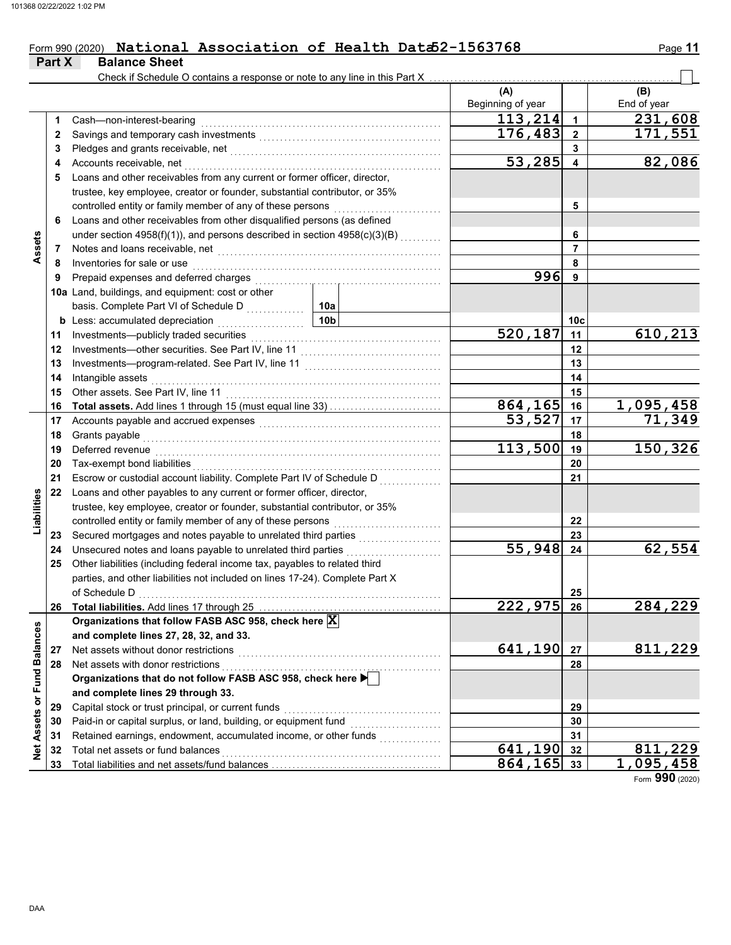**Part X Balance Sheet**

### Form 990 (2020) **National Association of Health Data52-1563768** Page 11 **National Association of Health Data52-1563768**

|                             |    | Check if Schedule O contains a response or note to any line in this Part X                                     |                 |                         |                 |                      |
|-----------------------------|----|----------------------------------------------------------------------------------------------------------------|-----------------|-------------------------|-----------------|----------------------|
|                             |    |                                                                                                                |                 | (A)                     |                 | (B)                  |
|                             |    |                                                                                                                |                 | Beginning of year       |                 | End of year          |
|                             | 1. | Cash-non-interest-bearing                                                                                      |                 | 113,214                 | 1               | 231,608              |
|                             | 2  |                                                                                                                |                 | 176,483                 | $\mathbf{2}$    | 171,551              |
|                             | 3  | Pledges and grants receivable, net                                                                             |                 | 3                       |                 |                      |
|                             | 4  | Accounts receivable, net                                                                                       | 53,285          | $\overline{\mathbf{4}}$ | 82,086          |                      |
|                             | 5  | Loans and other receivables from any current or former officer, director,                                      |                 |                         |                 |                      |
|                             |    | trustee, key employee, creator or founder, substantial contributor, or 35%                                     |                 |                         |                 |                      |
|                             |    | controlled entity or family member of any of these persons                                                     |                 |                         | 5               |                      |
|                             | 6  | Loans and other receivables from other disqualified persons (as defined                                        |                 |                         |                 |                      |
|                             |    | under section 4958(f)(1)), and persons described in section 4958(c)(3)(B)                                      |                 |                         | 6               |                      |
| Assets                      | 7  | Notes and loans receivable, net                                                                                |                 |                         | $\overline{7}$  |                      |
|                             | 8  | Inventories for sale or use                                                                                    |                 |                         | 8               |                      |
|                             | 9  | Prepaid expenses and deferred charges                                                                          |                 | 996                     | 9               |                      |
|                             |    | 10a Land, buildings, and equipment: cost or other                                                              |                 |                         |                 |                      |
|                             |    | basis. Complete Part VI of Schedule D                                                                          | 10a             |                         |                 |                      |
|                             |    | <b>b</b> Less: accumulated depreciation                                                                        | 10 <sub>b</sub> |                         | 10 <sub>c</sub> |                      |
|                             | 11 | Investments-publicly traded securities                                                                         |                 | 520,187                 | 11              | 610,213              |
|                             | 12 | Investments-other securities. See Part IV, line 11                                                             |                 |                         | 12              |                      |
|                             | 13 | Investments-program-related. See Part IV, line 11                                                              |                 |                         | 13              |                      |
|                             | 14 | Intangible assets                                                                                              |                 | 14                      |                 |                      |
|                             | 15 | Other assets. See Part IV, line 11                                                                             |                 | 15                      |                 |                      |
|                             | 16 |                                                                                                                |                 | 864,165                 | 16              | 1,095,458            |
|                             | 17 | Accounts payable and accrued expenses [[11][11] Accounts payable and accrued expenses [[11] Accounts are not a | 53,527          | 17                      | 71,349          |                      |
|                             | 18 | Grants payable                                                                                                 |                 | 18                      |                 |                      |
|                             | 19 | Deferred revenue                                                                                               |                 | 113,500                 | 19              | 150,326              |
|                             | 20 | Tax-exempt bond liabilities                                                                                    |                 |                         | 20              |                      |
|                             | 21 | Escrow or custodial account liability. Complete Part IV of Schedule D                                          |                 |                         | 21              |                      |
|                             | 22 | Loans and other payables to any current or former officer, director,                                           |                 |                         |                 |                      |
| Liabilities                 |    | trustee, key employee, creator or founder, substantial contributor, or 35%                                     |                 |                         |                 |                      |
|                             |    | controlled entity or family member of any of these persons                                                     |                 |                         | 22              |                      |
|                             | 23 | Secured mortgages and notes payable to unrelated third parties                                                 |                 |                         | 23              |                      |
|                             | 24 | Unsecured notes and loans payable to unrelated third parties                                                   |                 | 55,948                  | 24              | 62,554               |
|                             | 25 | Other liabilities (including federal income tax, payables to related third                                     |                 |                         |                 |                      |
|                             |    | parties, and other liabilities not included on lines 17-24). Complete Part X                                   |                 |                         |                 |                      |
|                             |    | of Schedule D                                                                                                  |                 |                         | 25              |                      |
|                             | 26 |                                                                                                                |                 | 222,975                 | 26              | $\overline{284,229}$ |
|                             |    | Organizations that follow FASB ASC 958, check here X                                                           |                 |                         |                 |                      |
|                             |    | and complete lines 27, 28, 32, and 33.                                                                         |                 |                         |                 |                      |
|                             | 27 | Net assets without donor restrictions                                                                          |                 | 641,190                 | 27              | 811,229              |
|                             | 28 | Net assets with donor restrictions                                                                             |                 |                         | 28              |                      |
|                             |    | Organizations that do not follow FASB ASC 958, check here ▶                                                    |                 |                         |                 |                      |
|                             |    | and complete lines 29 through 33.                                                                              |                 |                         |                 |                      |
|                             | 29 | Capital stock or trust principal, or current funds                                                             |                 |                         | 29              |                      |
|                             | 30 | Paid-in or capital surplus, or land, building, or equipment fund                                               |                 |                         | 30              |                      |
|                             | 31 | Retained earnings, endowment, accumulated income, or other funds                                               |                 |                         | 31              |                      |
| Net Assets or Fund Balances | 32 | Total net assets or fund balances                                                                              |                 | $\bf{641}$ , 190        | 32              | 811,229              |
|                             | 33 |                                                                                                                |                 | 864, 165                | 33              | 1,095,458            |
|                             |    |                                                                                                                |                 |                         |                 |                      |

Form **990** (2020)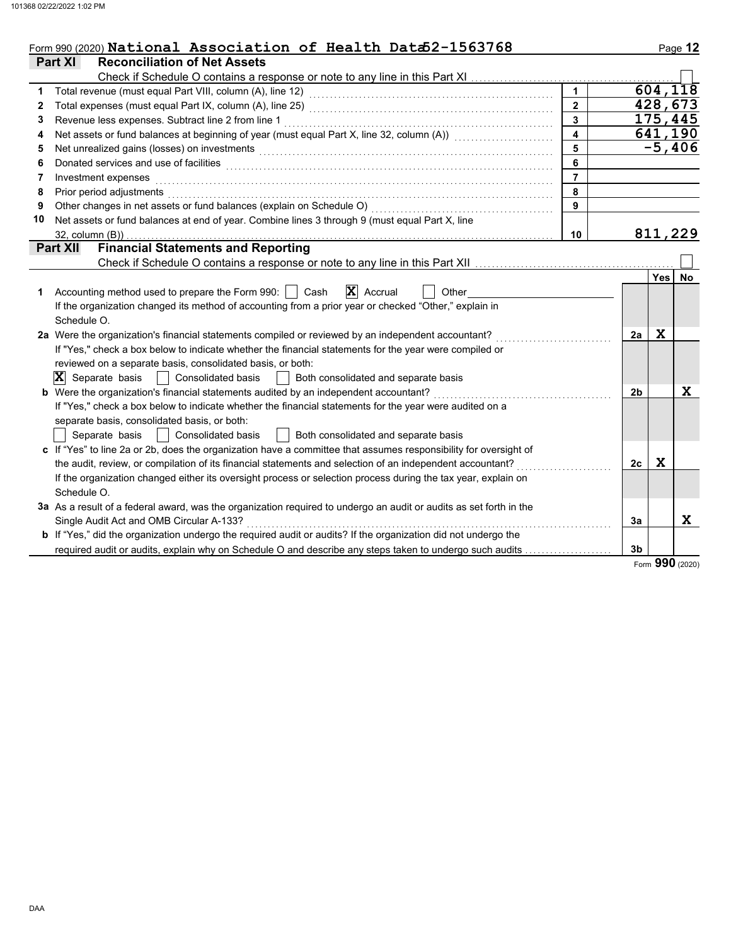|    | Form 990 (2020) National Association of Health Data52-1563768                                                                                                                                                                  |                         |                |             | Page 12  |
|----|--------------------------------------------------------------------------------------------------------------------------------------------------------------------------------------------------------------------------------|-------------------------|----------------|-------------|----------|
|    | Part XI<br><b>Reconciliation of Net Assets</b>                                                                                                                                                                                 |                         |                |             |          |
|    |                                                                                                                                                                                                                                |                         |                |             |          |
|    |                                                                                                                                                                                                                                | $\mathbf{1}$            |                |             | 604, 118 |
| 2  |                                                                                                                                                                                                                                | $\overline{2}$          |                |             | 428,673  |
| 3  |                                                                                                                                                                                                                                | 3                       |                |             | 175,445  |
| 4  | Net assets or fund balances at beginning of year (must equal Part X, line 32, column (A)) [[[[[[[[[[[[[[[[[[[                                                                                                                  | $\overline{\mathbf{4}}$ |                |             | 641,190  |
| 5  | Net unrealized gains (losses) on investments [11] with the context of the context of the context of the context of the context of the context of the context of the context of the context of the context of the context of th | 5                       |                |             | $-5,406$ |
| 6  | Donated services and use of facilities <b>constructs</b> and the service of the service of the services and use of facilities                                                                                                  | 6                       |                |             |          |
| 7  | Investment expenses                                                                                                                                                                                                            | $\overline{7}$          |                |             |          |
| 8  | Prior period adjustments                                                                                                                                                                                                       | 8                       |                |             |          |
| 9  | Other changes in net assets or fund balances (explain on Schedule O)                                                                                                                                                           | 9                       |                |             |          |
| 10 | Net assets or fund balances at end of year. Combine lines 3 through 9 (must equal Part X, line                                                                                                                                 |                         |                |             |          |
|    | 32, column (B))                                                                                                                                                                                                                | 10                      |                |             | 811,229  |
|    | <b>Financial Statements and Reporting</b><br><b>Part XII</b>                                                                                                                                                                   |                         |                |             |          |
|    |                                                                                                                                                                                                                                |                         |                |             |          |
|    |                                                                                                                                                                                                                                |                         |                | Yes No      |          |
| 1  | $\mathbf{X}$ Accrual<br>Accounting method used to prepare the Form 990:    <br>Cash<br>Other                                                                                                                                   |                         |                |             |          |
|    | If the organization changed its method of accounting from a prior year or checked "Other," explain in                                                                                                                          |                         |                |             |          |
|    | Schedule O.                                                                                                                                                                                                                    |                         |                |             |          |
|    | 2a Were the organization's financial statements compiled or reviewed by an independent accountant?                                                                                                                             |                         | 2a             | X           |          |
|    | If "Yes," check a box below to indicate whether the financial statements for the year were compiled or                                                                                                                         |                         |                |             |          |
|    | reviewed on a separate basis, consolidated basis, or both:                                                                                                                                                                     |                         |                |             |          |
|    | $ \mathbf{X} $ Separate basis<br>Consolidated basis<br>Both consolidated and separate basis<br>$\Box$                                                                                                                          |                         |                |             |          |
|    | b Were the organization's financial statements audited by an independent accountant?                                                                                                                                           |                         | 2 <sub>b</sub> |             | X        |
|    | If "Yes," check a box below to indicate whether the financial statements for the year were audited on a                                                                                                                        |                         |                |             |          |
|    | separate basis, consolidated basis, or both:                                                                                                                                                                                   |                         |                |             |          |
|    | Separate basis     Consolidated basis<br>  Both consolidated and separate basis                                                                                                                                                |                         |                |             |          |
|    | c If "Yes" to line 2a or 2b, does the organization have a committee that assumes responsibility for oversight of                                                                                                               |                         |                |             |          |
|    | the audit, review, or compilation of its financial statements and selection of an independent accountant?                                                                                                                      |                         | 2 <sub>c</sub> | $\mathbf x$ |          |
|    | If the organization changed either its oversight process or selection process during the tax year, explain on                                                                                                                  |                         |                |             |          |
|    | Schedule O.                                                                                                                                                                                                                    |                         |                |             |          |
|    | 3a As a result of a federal award, was the organization required to undergo an audit or audits as set forth in the                                                                                                             |                         |                |             |          |
|    | Single Audit Act and OMB Circular A-133?                                                                                                                                                                                       |                         | 3a             |             | X        |
|    | <b>b</b> If "Yes," did the organization undergo the required audit or audits? If the organization did not undergo the                                                                                                          |                         |                |             |          |
|    | required audit or audits, explain why on Schedule O and describe any steps taken to undergo such audits                                                                                                                        |                         | 3 <sub>b</sub> |             |          |

Form **990** (2020)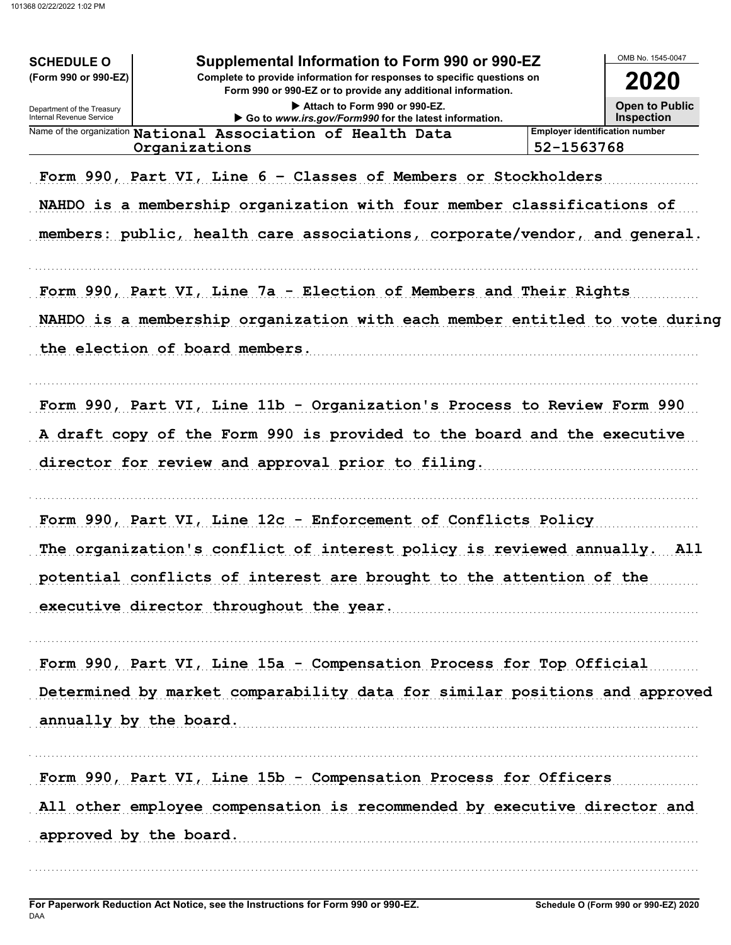| <b>SCHEDULE O</b><br>(Form 990 or 990-EZ)<br>Department of the Treasury | OMB No. 1545-0047<br>2020<br><b>Open to Public</b>                                                                                                                                                                             |            |                                                            |
|-------------------------------------------------------------------------|--------------------------------------------------------------------------------------------------------------------------------------------------------------------------------------------------------------------------------|------------|------------------------------------------------------------|
| Internal Revenue Service                                                | Go to www.irs.gov/Form990 for the latest information.<br>Name of the organization National Association of Health Data                                                                                                          |            | <b>Inspection</b><br><b>Employer identification number</b> |
|                                                                         | Organizations                                                                                                                                                                                                                  | 52-1563768 |                                                            |
|                                                                         | Form 990, Part VI, Line 6 - Classes of Members or Stockholders<br>NAHDO is a membership organization with four member classifications of<br>members: public, health care associations, corporate/vendor, and general.          |            |                                                            |
|                                                                         | Form 990, Part VI, Line 7a - Election of Members and Their Rights                                                                                                                                                              |            |                                                            |
|                                                                         | NAHDO is a membership organization with each member entitled to vote during                                                                                                                                                    |            |                                                            |
|                                                                         | the election of board members.                                                                                                                                                                                                 |            |                                                            |
|                                                                         | Form 990, Part VI, Line 11b - Organization's Process to Review Form 990<br>A draft copy of the Form 990 is provided to the board and the executive<br>director for review and approval prior to filing.                        |            |                                                            |
|                                                                         | Form 990, Part VI, Line 12c - Enforcement of Conflicts Policy                                                                                                                                                                  |            |                                                            |
|                                                                         | The organization's conflict of interest policy is reviewed annually. All                                                                                                                                                       |            |                                                            |
|                                                                         | potential conflicts of interest are brought to the attention of the                                                                                                                                                            |            |                                                            |
|                                                                         | executive director throughout the year. The manufacture of the security of the second state of the second state of the second state of the second state of the second state of the second state of the second state of the sec |            |                                                            |
| annually by the board.                                                  | Form 990, Part VI, Line 15a - Compensation Process for Top Official<br>Determined by market comparability data for similar positions and approved                                                                              |            |                                                            |
|                                                                         | Form 990, Part VI, Line 15b - Compensation Process for Officers                                                                                                                                                                |            |                                                            |
|                                                                         | All other employee compensation is recommended by executive director and                                                                                                                                                       |            |                                                            |
| approved by the board.                                                  |                                                                                                                                                                                                                                |            |                                                            |
|                                                                         |                                                                                                                                                                                                                                |            |                                                            |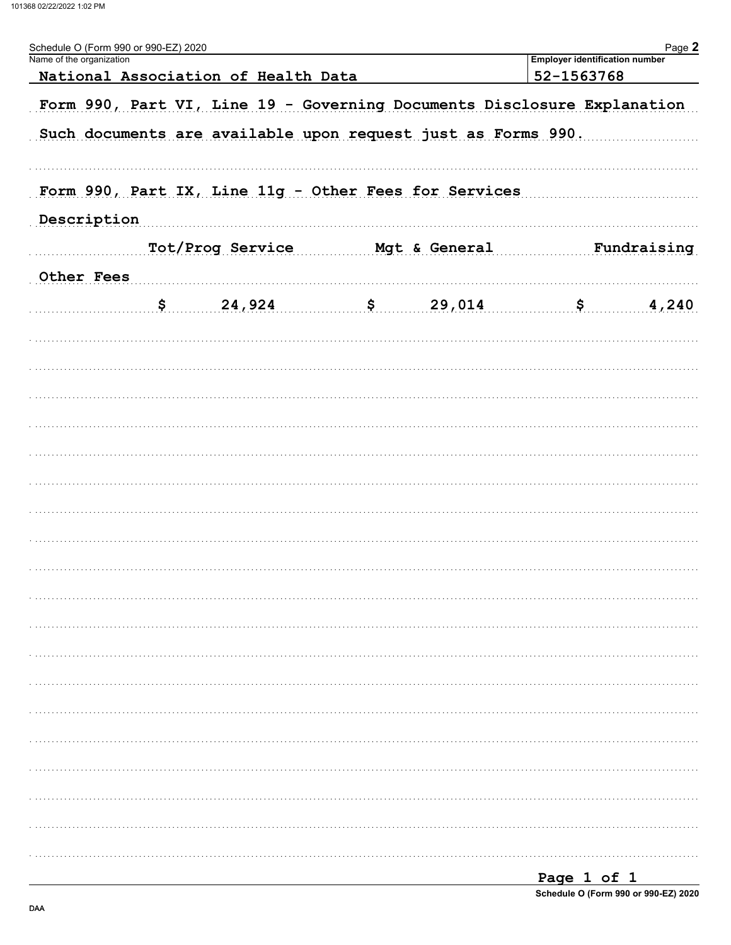| Schedule O (Form 990 or 990-EZ) 2020<br>Name of the organization |                  |                                                                         | Page 2<br><b>Employer identification number</b> |
|------------------------------------------------------------------|------------------|-------------------------------------------------------------------------|-------------------------------------------------|
| National Association of Health Data                              |                  |                                                                         | 52-1563768                                      |
|                                                                  |                  | Form 990, Part VI, Line 19 - Governing Documents Disclosure Explanation |                                                 |
|                                                                  |                  | Such documents are available upon request just as Forms 990.            |                                                 |
|                                                                  |                  | Form 990, Part IX, Line 11g - Other Fees for Services                   |                                                 |
| Description                                                      |                  |                                                                         |                                                 |
|                                                                  | Tot/Prog Service | Mgt & General                                                           | Fundraising                                     |
| Other Fees                                                       |                  |                                                                         |                                                 |
| \$                                                               | 24,924           | $\frac{29,014}{ }$                                                      | \$<br>4,240                                     |
|                                                                  |                  |                                                                         |                                                 |
|                                                                  |                  |                                                                         |                                                 |
|                                                                  |                  |                                                                         |                                                 |
|                                                                  |                  |                                                                         |                                                 |
|                                                                  |                  |                                                                         |                                                 |
|                                                                  |                  |                                                                         |                                                 |
|                                                                  |                  |                                                                         |                                                 |
|                                                                  |                  |                                                                         |                                                 |
|                                                                  |                  |                                                                         |                                                 |
|                                                                  |                  |                                                                         |                                                 |
|                                                                  |                  |                                                                         |                                                 |
|                                                                  |                  |                                                                         |                                                 |
|                                                                  |                  |                                                                         |                                                 |
|                                                                  |                  |                                                                         |                                                 |
|                                                                  |                  |                                                                         |                                                 |
|                                                                  |                  |                                                                         |                                                 |
|                                                                  |                  |                                                                         |                                                 |
|                                                                  |                  |                                                                         |                                                 |
|                                                                  |                  |                                                                         |                                                 |

| Rade T OI T                          |  |  |  |
|--------------------------------------|--|--|--|
| Schedule O (Form 990 or 990-EZ) 2020 |  |  |  |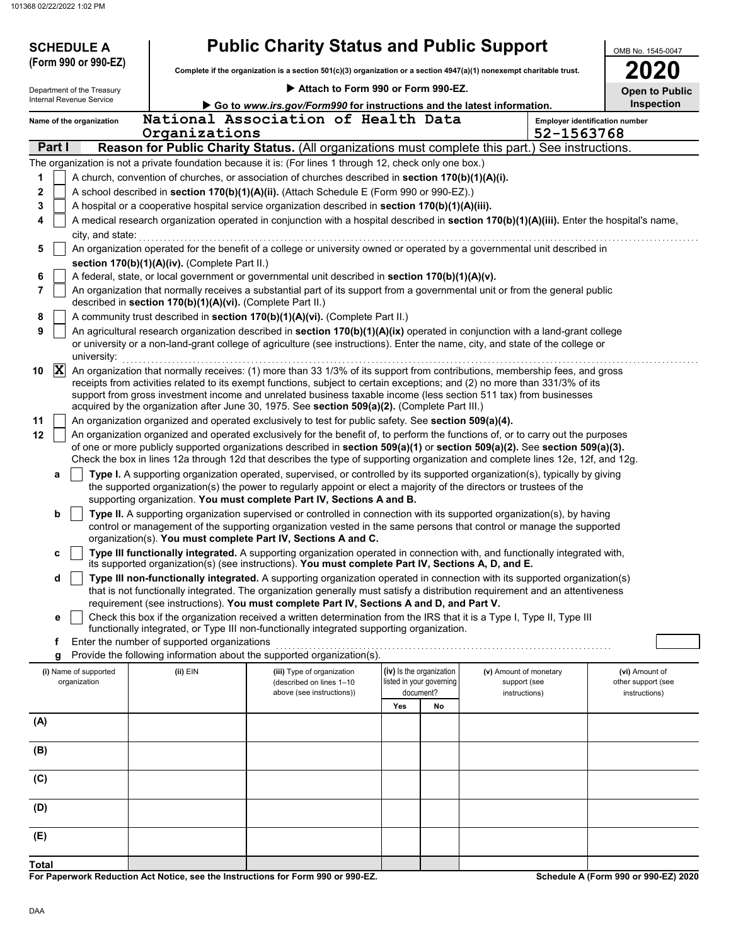| <b>SCHEDULE A</b><br>(Form 990 or 990-EZ)              |                                                                                                                                       | <b>Public Charity Status and Public Support</b>                                                                                                                                                                                                                        |                                                      |    |                                        | OMB No. 1545-0047                     |  |  |
|--------------------------------------------------------|---------------------------------------------------------------------------------------------------------------------------------------|------------------------------------------------------------------------------------------------------------------------------------------------------------------------------------------------------------------------------------------------------------------------|------------------------------------------------------|----|----------------------------------------|---------------------------------------|--|--|
|                                                        |                                                                                                                                       | Complete if the organization is a section 501(c)(3) organization or a section 4947(a)(1) nonexempt charitable trust.                                                                                                                                                   |                                                      |    |                                        | 2020                                  |  |  |
| Department of the Treasury<br>Internal Revenue Service | Attach to Form 990 or Form 990-EZ.<br><b>Open to Public</b><br>Go to www.irs.gov/Form990 for instructions and the latest information. |                                                                                                                                                                                                                                                                        |                                                      |    |                                        |                                       |  |  |
|                                                        |                                                                                                                                       |                                                                                                                                                                                                                                                                        |                                                      |    |                                        | Inspection                            |  |  |
| Name of the organization                               | Organizations                                                                                                                         | National Association of Health Data                                                                                                                                                                                                                                    |                                                      |    | 52-1563768                             | <b>Employer identification number</b> |  |  |
| Part I                                                 |                                                                                                                                       | Reason for Public Charity Status. (All organizations must complete this part.) See instructions.                                                                                                                                                                       |                                                      |    |                                        |                                       |  |  |
|                                                        |                                                                                                                                       | The organization is not a private foundation because it is: (For lines 1 through 12, check only one box.)                                                                                                                                                              |                                                      |    |                                        |                                       |  |  |
| 1                                                      |                                                                                                                                       | A church, convention of churches, or association of churches described in section 170(b)(1)(A)(i).                                                                                                                                                                     |                                                      |    |                                        |                                       |  |  |
| 2                                                      |                                                                                                                                       | A school described in section 170(b)(1)(A)(ii). (Attach Schedule E (Form 990 or 990-EZ).)                                                                                                                                                                              |                                                      |    |                                        |                                       |  |  |
| 3<br>4                                                 |                                                                                                                                       | A hospital or a cooperative hospital service organization described in section 170(b)(1)(A)(iii).<br>A medical research organization operated in conjunction with a hospital described in section 170(b)(1)(A)(iii). Enter the hospital's name,                        |                                                      |    |                                        |                                       |  |  |
| city, and state:                                       |                                                                                                                                       |                                                                                                                                                                                                                                                                        |                                                      |    |                                        |                                       |  |  |
| 5                                                      |                                                                                                                                       | An organization operated for the benefit of a college or university owned or operated by a governmental unit described in                                                                                                                                              |                                                      |    |                                        |                                       |  |  |
|                                                        | section 170(b)(1)(A)(iv). (Complete Part II.)                                                                                         |                                                                                                                                                                                                                                                                        |                                                      |    |                                        |                                       |  |  |
| 6                                                      |                                                                                                                                       | A federal, state, or local government or governmental unit described in section 170(b)(1)(A)(v).                                                                                                                                                                       |                                                      |    |                                        |                                       |  |  |
| 7                                                      | described in section 170(b)(1)(A)(vi). (Complete Part II.)                                                                            | An organization that normally receives a substantial part of its support from a governmental unit or from the general public                                                                                                                                           |                                                      |    |                                        |                                       |  |  |
| 8                                                      |                                                                                                                                       | A community trust described in section 170(b)(1)(A)(vi). (Complete Part II.)                                                                                                                                                                                           |                                                      |    |                                        |                                       |  |  |
| 9                                                      |                                                                                                                                       | An agricultural research organization described in section 170(b)(1)(A)(ix) operated in conjunction with a land-grant college                                                                                                                                          |                                                      |    |                                        |                                       |  |  |
| university:                                            |                                                                                                                                       | or university or a non-land-grant college of agriculture (see instructions). Enter the name, city, and state of the college or                                                                                                                                         |                                                      |    |                                        |                                       |  |  |
| $ \mathbf{X} $<br>10                                   |                                                                                                                                       | An organization that normally receives: (1) more than 33 1/3% of its support from contributions, membership fees, and gross                                                                                                                                            |                                                      |    |                                        |                                       |  |  |
|                                                        |                                                                                                                                       | receipts from activities related to its exempt functions, subject to certain exceptions; and (2) no more than 331/3% of its                                                                                                                                            |                                                      |    |                                        |                                       |  |  |
|                                                        |                                                                                                                                       | support from gross investment income and unrelated business taxable income (less section 511 tax) from businesses<br>acquired by the organization after June 30, 1975. See section 509(a)(2). (Complete Part III.)                                                     |                                                      |    |                                        |                                       |  |  |
| 11                                                     |                                                                                                                                       | An organization organized and operated exclusively to test for public safety. See section 509(a)(4).                                                                                                                                                                   |                                                      |    |                                        |                                       |  |  |
| 12                                                     |                                                                                                                                       | An organization organized and operated exclusively for the benefit of, to perform the functions of, or to carry out the purposes                                                                                                                                       |                                                      |    |                                        |                                       |  |  |
|                                                        |                                                                                                                                       | of one or more publicly supported organizations described in section $509(a)(1)$ or section $509(a)(2)$ . See section $509(a)(3)$ .<br>Check the box in lines 12a through 12d that describes the type of supporting organization and complete lines 12e, 12f, and 12g. |                                                      |    |                                        |                                       |  |  |
| а                                                      |                                                                                                                                       | Type I. A supporting organization operated, supervised, or controlled by its supported organization(s), typically by giving                                                                                                                                            |                                                      |    |                                        |                                       |  |  |
|                                                        |                                                                                                                                       | the supported organization(s) the power to regularly appoint or elect a majority of the directors or trustees of the                                                                                                                                                   |                                                      |    |                                        |                                       |  |  |
|                                                        |                                                                                                                                       | supporting organization. You must complete Part IV, Sections A and B.                                                                                                                                                                                                  |                                                      |    |                                        |                                       |  |  |
| b                                                      |                                                                                                                                       | Type II. A supporting organization supervised or controlled in connection with its supported organization(s), by having<br>control or management of the supporting organization vested in the same persons that control or manage the supported                        |                                                      |    |                                        |                                       |  |  |
|                                                        |                                                                                                                                       | organization(s). You must complete Part IV, Sections A and C.                                                                                                                                                                                                          |                                                      |    |                                        |                                       |  |  |
| c                                                      |                                                                                                                                       | Type III functionally integrated. A supporting organization operated in connection with, and functionally integrated with,                                                                                                                                             |                                                      |    |                                        |                                       |  |  |
| d                                                      |                                                                                                                                       | its supported organization(s) (see instructions). You must complete Part IV, Sections A, D, and E.<br>Type III non-functionally integrated. A supporting organization operated in connection with its supported organization(s)                                        |                                                      |    |                                        |                                       |  |  |
|                                                        |                                                                                                                                       | that is not functionally integrated. The organization generally must satisfy a distribution requirement and an attentiveness                                                                                                                                           |                                                      |    |                                        |                                       |  |  |
|                                                        |                                                                                                                                       | requirement (see instructions). You must complete Part IV, Sections A and D, and Part V.                                                                                                                                                                               |                                                      |    |                                        |                                       |  |  |
| е                                                      |                                                                                                                                       | Check this box if the organization received a written determination from the IRS that it is a Type I, Type II, Type III<br>functionally integrated, or Type III non-functionally integrated supporting organization.                                                   |                                                      |    |                                        |                                       |  |  |
| f                                                      | Enter the number of supported organizations                                                                                           |                                                                                                                                                                                                                                                                        |                                                      |    |                                        |                                       |  |  |
| g                                                      |                                                                                                                                       | Provide the following information about the supported organization(s).                                                                                                                                                                                                 |                                                      |    |                                        |                                       |  |  |
| (i) Name of supported<br>organization                  | (ii) EIN                                                                                                                              | (iii) Type of organization<br>(described on lines 1-10                                                                                                                                                                                                                 | (iv) Is the organization<br>listed in your governing |    | (v) Amount of monetary<br>support (see | (vi) Amount of<br>other support (see  |  |  |
|                                                        |                                                                                                                                       | above (see instructions))                                                                                                                                                                                                                                              | document?                                            |    | instructions)                          | instructions)                         |  |  |
|                                                        |                                                                                                                                       |                                                                                                                                                                                                                                                                        | Yes                                                  | No |                                        |                                       |  |  |
| (A)                                                    |                                                                                                                                       |                                                                                                                                                                                                                                                                        |                                                      |    |                                        |                                       |  |  |
| (B)                                                    |                                                                                                                                       |                                                                                                                                                                                                                                                                        |                                                      |    |                                        |                                       |  |  |
|                                                        |                                                                                                                                       |                                                                                                                                                                                                                                                                        |                                                      |    |                                        |                                       |  |  |
| (C)                                                    |                                                                                                                                       |                                                                                                                                                                                                                                                                        |                                                      |    |                                        |                                       |  |  |
|                                                        |                                                                                                                                       |                                                                                                                                                                                                                                                                        |                                                      |    |                                        |                                       |  |  |
| (D)                                                    |                                                                                                                                       |                                                                                                                                                                                                                                                                        |                                                      |    |                                        |                                       |  |  |
|                                                        |                                                                                                                                       |                                                                                                                                                                                                                                                                        |                                                      |    |                                        |                                       |  |  |
| (E)                                                    |                                                                                                                                       |                                                                                                                                                                                                                                                                        |                                                      |    |                                        |                                       |  |  |
| <b>Total</b>                                           |                                                                                                                                       |                                                                                                                                                                                                                                                                        |                                                      |    |                                        |                                       |  |  |

**For Paperwork Reduction Act Notice, see the Instructions for Form 990 or 990-EZ.**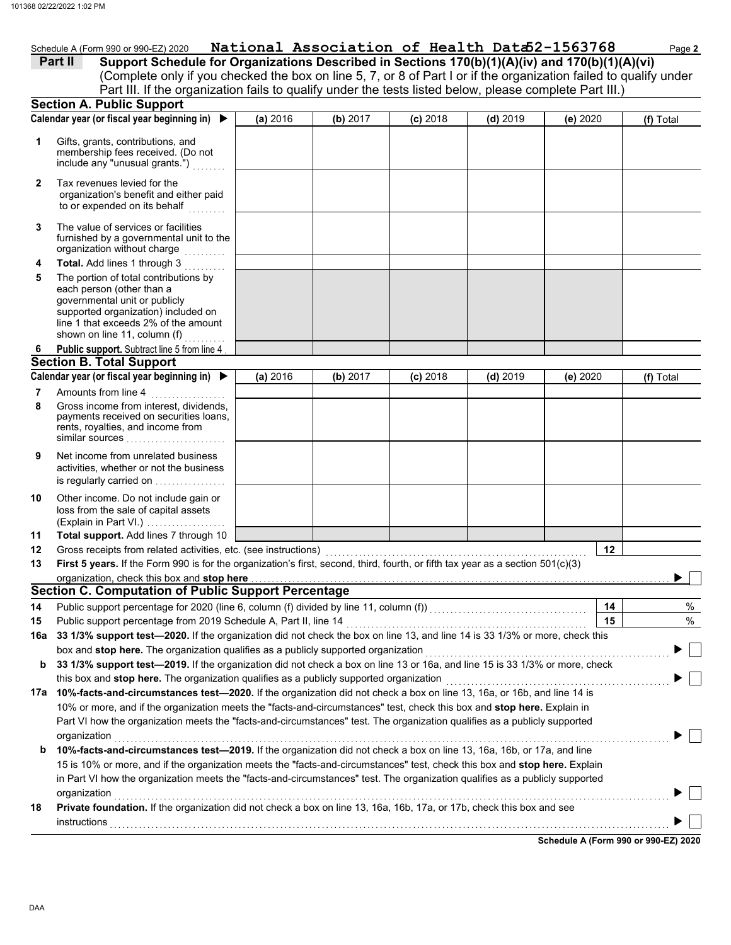|              | 68 02/22/2022 1:02 PM                                                                                                                                                                                                        |          |                                              |            |            |          |           |
|--------------|------------------------------------------------------------------------------------------------------------------------------------------------------------------------------------------------------------------------------|----------|----------------------------------------------|------------|------------|----------|-----------|
|              |                                                                                                                                                                                                                              |          |                                              |            |            |          |           |
|              |                                                                                                                                                                                                                              |          |                                              |            |            |          |           |
|              | Schedule A (Form 990 or 990-EZ) 2020                                                                                                                                                                                         |          | National Association of Health Data2-1563768 |            |            |          | Page 2    |
|              | Support Schedule for Organizations Described in Sections 170(b)(1)(A)(iv) and 170(b)(1)(A)(vi)<br>Part II                                                                                                                    |          |                                              |            |            |          |           |
|              | (Complete only if you checked the box on line 5, 7, or 8 of Part I or if the organization failed to qualify under<br>Part III. If the organization fails to qualify under the tests listed below, please complete Part III.) |          |                                              |            |            |          |           |
|              | <b>Section A. Public Support</b>                                                                                                                                                                                             |          |                                              |            |            |          |           |
|              | Calendar year (or fiscal year beginning in) ▶                                                                                                                                                                                | (a) 2016 |                                              |            |            |          |           |
|              |                                                                                                                                                                                                                              |          | (b) 2017                                     | $(c)$ 2018 | $(d)$ 2019 | (e) 2020 | (f) Total |
| 1            | Gifts, grants, contributions, and<br>membership fees received. (Do not<br>include any "unusual grants.")                                                                                                                     |          |                                              |            |            |          |           |
| $\mathbf{2}$ | Tax revenues levied for the<br>organization's benefit and either paid<br>to or expended on its behalf                                                                                                                        |          |                                              |            |            |          |           |
| 3            | The value of services or facilities<br>furnished by a governmental unit to the<br>organization without charge                                                                                                                |          |                                              |            |            |          |           |
| 4            | Total. Add lines 1 through 3                                                                                                                                                                                                 |          |                                              |            |            |          |           |
| 5            | The portion of total contributions by<br>each person (other than a<br>governmental unit or publicly<br>supported organization) included on<br>line 1 that exceeds 2% of the amount                                           |          |                                              |            |            |          |           |
|              | shown on line 11, column (f)                                                                                                                                                                                                 |          |                                              |            |            |          |           |
| 6            | Public support. Subtract line 5 from line 4<br><b>Section B. Total Support</b>                                                                                                                                               |          |                                              |            |            |          |           |
|              | Calendar year (or fiscal year beginning in)                                                                                                                                                                                  | (a) 2016 | (b) 2017                                     | $(c)$ 2018 | $(d)$ 2019 | (e) 2020 | (f) Total |
| 7            | Amounts from line 4                                                                                                                                                                                                          |          |                                              |            |            |          |           |
| 8            | Gross income from interest, dividends,                                                                                                                                                                                       |          |                                              |            |            |          |           |
|              | payments received on securities loans,<br>rents, royalties, and income from<br>similar sources                                                                                                                               |          |                                              |            |            |          |           |
| 9            | Net income from unrelated business<br>activities, whether or not the business<br>is regularly carried on                                                                                                                     |          |                                              |            |            |          |           |
|              | Other income. Do not include gain or<br>loss from the sale of capital assets<br>(Explain in Part VI.).                                                                                                                       |          |                                              |            |            |          |           |
| 11           | Total support. Add lines 7 through 10                                                                                                                                                                                        |          |                                              |            |            |          |           |
| 12           | Gross receipts from related activities, etc. (see instructions)                                                                                                                                                              |          |                                              |            |            | 12       |           |
| 13           | First 5 years. If the Form 990 is for the organization's first, second, third, fourth, or fifth tax year as a section 501(c)(3)                                                                                              |          |                                              |            |            |          |           |
|              | organization, check this box and stop here                                                                                                                                                                                   |          |                                              |            |            |          |           |
|              | <b>Section C. Computation of Public Support Percentage</b>                                                                                                                                                                   |          |                                              |            |            |          |           |
| 14           | Public support percentage for 2020 (line 6, column (f) divided by line 11, column (f)) [[[[[[[[[[[[[[[[[[[[[[                                                                                                                |          |                                              |            |            | 14       | %         |
| 15           | Public support percentage from 2019 Schedule A, Part II, line 14                                                                                                                                                             |          |                                              |            |            | 15       | %         |
| 16a          | 33 1/3% support test-2020. If the organization did not check the box on line 13, and line 14 is 33 1/3% or more, check this                                                                                                  |          |                                              |            |            |          |           |
|              | box and stop here. The organization qualifies as a publicly supported organization                                                                                                                                           |          |                                              |            |            |          |           |
| b            | 33 1/3% support test-2019. If the organization did not check a box on line 13 or 16a, and line 15 is 33 1/3% or more, check                                                                                                  |          |                                              |            |            |          |           |
|              | this box and stop here. The organization qualifies as a publicly supported organization                                                                                                                                      |          |                                              |            |            |          |           |
|              | 17a 10%-facts-and-circumstances test-2020. If the organization did not check a box on line 13, 16a, or 16b, and line 14 is                                                                                                   |          |                                              |            |            |          |           |
|              | 10% or more, and if the organization meets the "facts-and-circumstances" test, check this box and stop here. Explain in                                                                                                      |          |                                              |            |            |          |           |
|              | Part VI how the organization meets the "facts-and-circumstances" test. The organization qualifies as a publicly supported<br>organization                                                                                    |          |                                              |            |            |          |           |
|              |                                                                                                                                                                                                                              |          |                                              |            |            |          |           |

|    | <b>b</b> 10%-facts-and-circumstances test-2019. If the organization did not check a box on line 13, 16a, 16b, or 17a, and line |
|----|--------------------------------------------------------------------------------------------------------------------------------|
|    | 15 is 10% or more, and if the organization meets the "facts-and-circumstances" test, check this box and stop here. Explain     |
|    | in Part VI how the organization meets the "facts-and-circumstances" test. The organization qualifies as a publicly supported   |
|    | organization                                                                                                                   |
| 18 | <b>Private foundation.</b> If the organization did not check a box on line 13, 16a, 16b, 17a, or 17b, check this box and see   |

 $\blacktriangleright$   $\Box$ instructions . . . . . . . . . . . . . . . . . . . . . . . . . . . . . . . . . . . . . . . . . . . . . . . . . . . . . . . . . . . . . . . . . . . . . . . . . . . . . . . . . . . . . . . . . . . . . . . . . . . . . . . . . . . . . . . . . . . . . . . . . . . . . . . . . . . . . . . **Schedule A (Form 990 or 990-EZ) 2020**

 $\blacktriangleright$   $\Box$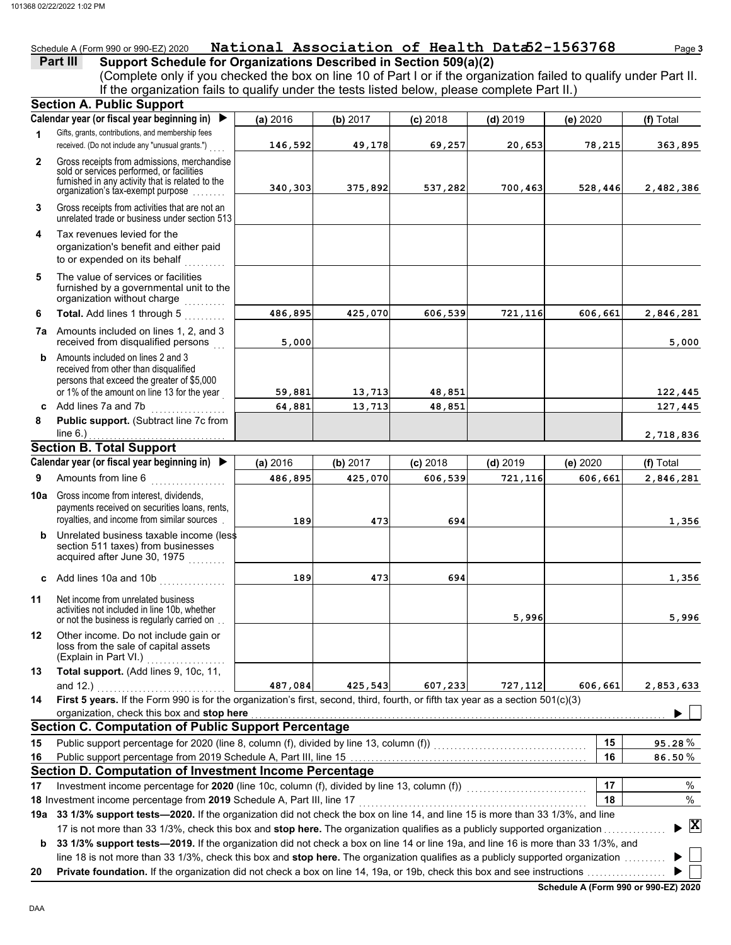### Schedule A (Form 990 or 990-EZ) 2020 Page **3 National Association of Health Data52-1563768**

**Part III** Support Schedule for Organizations Described in Section 509(a)(2)

(Complete only if you checked the box on line 10 of Part I or if the organization failed to qualify under Part II. If the organization fails to qualify under the tests listed below, please complete Part II.)

|              | <b>Section A. Public Support</b>                                                                                                                                                  |          |          |            |            |          |                |
|--------------|-----------------------------------------------------------------------------------------------------------------------------------------------------------------------------------|----------|----------|------------|------------|----------|----------------|
|              | Calendar year (or fiscal year beginning in)                                                                                                                                       | (a) 2016 | (b) 2017 | $(c)$ 2018 | $(d)$ 2019 | (e) 2020 | (f) Total      |
| 1            | Gifts, grants, contributions, and membership fees<br>received. (Do not include any "unusual grants.")                                                                             | 146,592  | 49,178   | 69,257     | 20,653     | 78,215   | 363,895        |
| $\mathbf{2}$ | Gross receipts from admissions, merchandise<br>sold or services performed, or facilities<br>furnished in any activity that is related to the<br>organization's tax-exempt purpose | 340,303  | 375,892  | 537,282    | 700,463    | 528,446  | 2,482,386      |
| 3            | Gross receipts from activities that are not an<br>unrelated trade or business under section 513                                                                                   |          |          |            |            |          |                |
| 4            | Tax revenues levied for the<br>organization's benefit and either paid<br>to or expended on its behalf                                                                             |          |          |            |            |          |                |
| 5            | The value of services or facilities<br>furnished by a governmental unit to the<br>organization without charge                                                                     |          |          |            |            |          |                |
| 6            | Total. Add lines 1 through 5                                                                                                                                                      | 486,895  | 425,070  | 606,539    | 721,116    | 606,661  | 2,846,281      |
|              | 7a Amounts included on lines 1, 2, and 3<br>received from disqualified persons                                                                                                    | 5,000    |          |            |            |          | 5,000          |
|              | <b>b</b> Amounts included on lines 2 and 3<br>received from other than disqualified<br>persons that exceed the greater of \$5,000<br>or 1% of the amount on line 13 for the year  | 59,881   | 13,713   | 48,851     |            |          | 122,445        |
|              | c Add lines 7a and 7b<br><u>.</u>                                                                                                                                                 | 64,881   | 13,713   | 48,851     |            |          | 127,445        |
| 8            | Public support. (Subtract line 7c from                                                                                                                                            |          |          |            |            |          |                |
|              | line $6.$ )<br><b>Section B. Total Support</b>                                                                                                                                    |          |          |            |            |          | 2,718,836      |
|              | Calendar year (or fiscal year beginning in)                                                                                                                                       | (a) 2016 | (b) 2017 | $(c)$ 2018 | $(d)$ 2019 | (e) 2020 | (f) Total      |
| 9            | Amounts from line 6                                                                                                                                                               | 486,895  | 425,070  |            |            |          |                |
|              |                                                                                                                                                                                   |          |          | 606,539    | 721,116    | 606,661  | 2,846,281      |
| 10a          | Gross income from interest, dividends,<br>payments received on securities loans, rents,<br>royalties, and income from similar sources.                                            | 189      | 473      | 694        |            |          | 1,356          |
| b            | Unrelated business taxable income (less<br>section 511 taxes) from businesses<br>acquired after June 30, 1975                                                                     |          |          |            |            |          |                |
|              | c Add lines 10a and 10b $\ldots$                                                                                                                                                  | 189      | 473      | 694        |            |          | 1,356          |
| 11           | Net income from unrelated business<br>activities not included in line 10b, whether<br>or not the business is regularly carried on                                                 |          |          |            | 5,996      |          | 5,996          |
| 12           | Other income. Do not include gain or<br>loss from the sale of capital assets<br>(Explain in Part VI.)                                                                             |          |          |            |            |          |                |
| 13           | Total support. (Add lines 9, 10c, 11,                                                                                                                                             |          |          |            |            |          |                |
|              | and 12.)                                                                                                                                                                          | 487,084  | 425,543  | 607,233    | 727,112    | 606,661  | 2,853,633      |
| 14           | First 5 years. If the Form 990 is for the organization's first, second, third, fourth, or fifth tax year as a section 501(c)(3)                                                   |          |          |            |            |          |                |
|              | organization, check this box and stop here                                                                                                                                        |          |          |            |            |          |                |
|              | <b>Section C. Computation of Public Support Percentage</b>                                                                                                                        |          |          |            |            |          |                |
| 15<br>16     | Public support percentage for 2020 (line 8, column (f), divided by line 13, column (f)) [[[[[[[[[[[[[[[[[[[[[                                                                     |          |          |            |            | 15<br>16 | 95.28%         |
|              | Section D. Computation of Investment Income Percentage                                                                                                                            |          |          |            |            |          | 86.50%         |
| 17           | Investment income percentage for 2020 (line 10c, column (f), divided by line 13, column (f)) [[[[[[[[[[[[[[[[                                                                     |          |          |            |            | 17       | $\%$           |
|              | 18 Investment income percentage from 2019 Schedule A, Part III, line 17                                                                                                           |          |          |            |            | 18       | $\%$           |
|              | 19a 33 1/3% support tests—2020. If the organization did not check the box on line 14, and line 15 is more than 33 1/3%, and line                                                  |          |          |            |            |          |                |
|              | 17 is not more than 33 1/3%, check this box and stop here. The organization qualifies as a publicly supported organization.                                                       |          |          |            |            |          | $ \mathbf{x} $ |
| b            | 33 1/3% support tests-2019. If the organization did not check a box on line 14 or line 19a, and line 16 is more than 33 1/3%, and                                                 |          |          |            |            |          |                |
|              | line 18 is not more than 33 1/3%, check this box and stop here. The organization qualifies as a publicly supported organization                                                   |          |          |            |            |          |                |
| 20           |                                                                                                                                                                                   |          |          |            |            |          |                |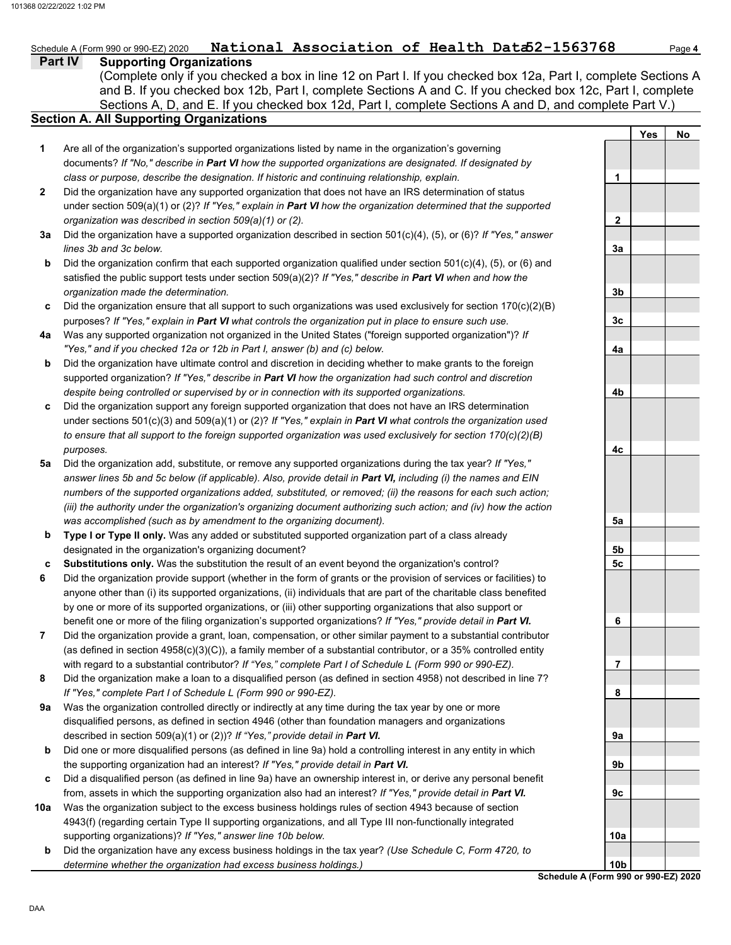**Part IV Supporting Organizations** Sections A, D, and E. If you checked box 12d, Part I, complete Sections A and D, and complete Part V.) Schedule A (Form 990 or 990-EZ) 2020 **National Association of Health Data52-1563768** Page 4 **Section A. All Supporting Organizations** (Complete only if you checked a box in line 12 on Part I. If you checked box 12a, Part I, complete Sections A and B. If you checked box 12b, Part I, complete Sections A and C. If you checked box 12c, Part I, complete Are all of the organization's supported organizations listed by name in the organization's governing documents? *If "No," describe in Part VI how the supported organizations are designated. If designated by class or purpose, describe the designation. If historic and continuing relationship, explain.* Did the organization have any supported organization that does not have an IRS determination of status under section 509(a)(1) or (2)? *If "Yes," explain in Part VI how the organization determined that the supported organization was described in section 509(a)(1) or (2).* **1 2 3a** Did the organization have a supported organization described in section 501(c)(4), (5), or (6)? *If "Yes," answer* **b c** Did the organization ensure that all support to such organizations was used exclusively for section 170(c)(2)(B) **4a** Was any supported organization not organized in the United States ("foreign supported organization")? *If* **b c** Did the organization support any foreign supported organization that does not have an IRS determination **5a** Did the organization add, substitute, or remove any supported organizations during the tax year? *If "Yes,"* **b c 6** *lines 3b and 3c below.* Did the organization confirm that each supported organization qualified under section 501(c)(4), (5), or (6) and satisfied the public support tests under section 509(a)(2)? *If "Yes," describe in Part VI when and how the organization made the determination.* purposes? *If "Yes," explain in Part VI what controls the organization put in place to ensure such use. "Yes," and if you checked 12a or 12b in Part I, answer (b) and (c) below.* Did the organization have ultimate control and discretion in deciding whether to make grants to the foreign supported organization? *If "Yes," describe in Part VI how the organization had such control and discretion despite being controlled or supervised by or in connection with its supported organizations.* under sections 501(c)(3) and 509(a)(1) or (2)? *If "Yes," explain in Part VI what controls the organization used to ensure that all support to the foreign supported organization was used exclusively for section 170(c)(2)(B) purposes. answer lines 5b and 5c below (if applicable). Also, provide detail in Part VI, including (i) the names and EIN numbers of the supported organizations added, substituted, or removed; (ii) the reasons for each such action; (iii) the authority under the organization's organizing document authorizing such action; and (iv) how the action was accomplished (such as by amendment to the organizing document).* **Type I or Type II only.** Was any added or substituted supported organization part of a class already designated in the organization's organizing document? **Substitutions only.** Was the substitution the result of an event beyond the organization's control? Did the organization provide support (whether in the form of grants or the provision of services or facilities) to anyone other than (i) its supported organizations, (ii) individuals that are part of the charitable class benefited by one or more of its supported organizations, or (iii) other supporting organizations that also support or benefit one or more of the filing organization's supported organizations? *If "Yes," provide detail in Part VI.* **Yes No 1 2 3a 3b 3c 4a 4b 4c 5a 5b 5c 6**

**7** Did the organization provide a grant, loan, compensation, or other similar payment to a substantial contributor (as defined in section 4958(c)(3)(C)), a family member of a substantial contributor, or a 35% controlled entity with regard to a substantial contributor? *If "Yes," complete Part I of Schedule L (Form 990 or 990-EZ).*

**8** Did the organization make a loan to a disqualified person (as defined in section 4958) not described in line 7? *If "Yes," complete Part I of Schedule L (Form 990 or 990-EZ).*

**9a** Was the organization controlled directly or indirectly at any time during the tax year by one or more disqualified persons, as defined in section 4946 (other than foundation managers and organizations described in section 509(a)(1) or (2))? *If "Yes," provide detail in Part VI.*

**b** Did one or more disqualified persons (as defined in line 9a) hold a controlling interest in any entity in which the supporting organization had an interest? *If "Yes," provide detail in Part VI.*

**c** Did a disqualified person (as defined in line 9a) have an ownership interest in, or derive any personal benefit from, assets in which the supporting organization also had an interest? *If "Yes," provide detail in Part VI.*

**10a** Was the organization subject to the excess business holdings rules of section 4943 because of section 4943(f) (regarding certain Type II supporting organizations, and all Type III non-functionally integrated supporting organizations)? *If "Yes," answer line 10b below.*

**b** Did the organization have any excess business holdings in the tax year? *(Use Schedule C, Form 4720, to determine whether the organization had excess business holdings.)*

**Schedule A (Form 990 or 990-EZ) 2020 10b**

**10a**

**7**

**8**

**9a**

**9b**

**9c**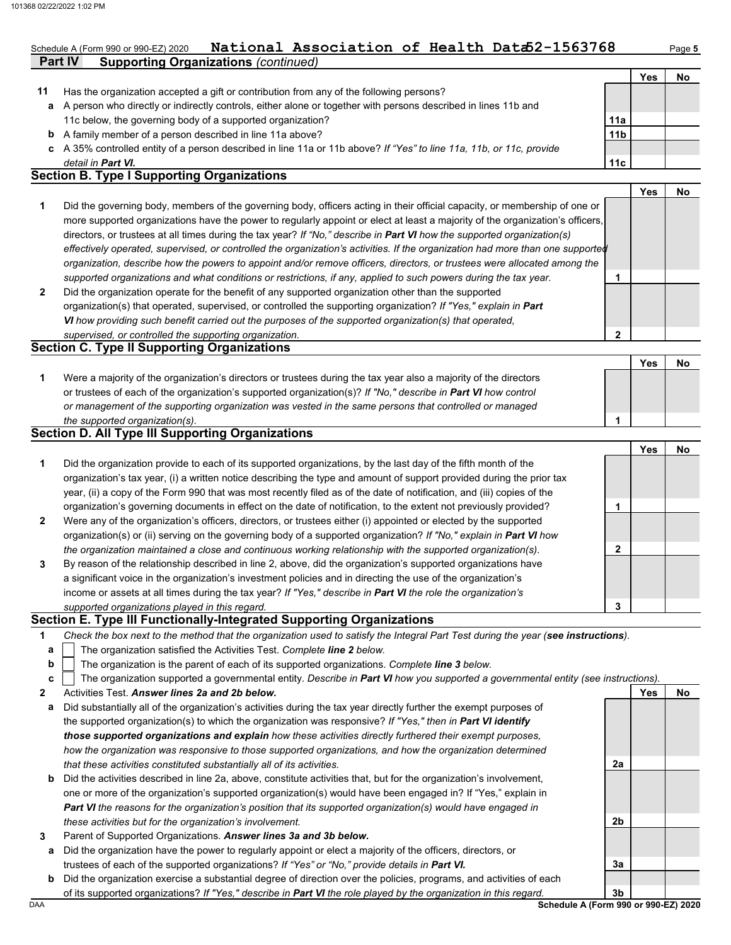# Schedule A (Form 990 or 990-EZ) 2020 Page **5 National Association of Health Data52-1563768**

**Yes No**

|                 | Yes | No |
|-----------------|-----|----|
|                 |     |    |
|                 |     |    |
| 11a             |     |    |
| 11 <sub>b</sub> |     |    |
|                 |     |    |
| 11c             |     |    |
|                 |     |    |

### **Section B. Type I Supporting Organizations**

**Part IV Supporting Organizations** *(continued)*

|              |                                                                                                                                | . | . |
|--------------|--------------------------------------------------------------------------------------------------------------------------------|---|---|
|              | Did the governing body, members of the governing body, officers acting in their official capacity, or membership of one or     |   |   |
|              | more supported organizations have the power to regularly appoint or elect at least a majority of the organization's officers,  |   |   |
|              | directors, or trustees at all times during the tax year? If "No," describe in Part VI how the supported organization(s)        |   |   |
|              | effectively operated, supervised, or controlled the organization's activities. If the organization had more than one supported |   |   |
|              | organization, describe how the powers to appoint and/or remove officers, directors, or trustees were allocated among the       |   |   |
|              | supported organizations and what conditions or restrictions, if any, applied to such powers during the tax year.               |   |   |
| $\mathbf{2}$ | Did the organization operate for the benefit of any supported organization other than the supported                            |   |   |
|              | organization(s) that operated, supervised, or controlled the supporting organization? If "Yes," explain in Part                |   |   |
|              | VI how providing such benefit carried out the purposes of the supported organization(s) that operated.                         |   |   |

*supervised, or controlled the supporting organization.* **Section C. Type II Supporting Organizations**

|                                                                                                                  | Yes | No |
|------------------------------------------------------------------------------------------------------------------|-----|----|
| Were a majority of the organization's directors or trustees during the tax year also a majority of the directors |     |    |
| or trustees of each of the organization's supported organization(s)? If "No," describe in Part VI how control    |     |    |
| or management of the supporting organization was vested in the same persons that controlled or managed           |     |    |
| the supported organization(s).                                                                                   |     |    |

### **Section D. All Type III Supporting Organizations**

|                |                                                                                                                        |   | Yes | No |
|----------------|------------------------------------------------------------------------------------------------------------------------|---|-----|----|
| 1              | Did the organization provide to each of its supported organizations, by the last day of the fifth month of the         |   |     |    |
|                | organization's tax year, (i) a written notice describing the type and amount of support provided during the prior tax  |   |     |    |
|                | year, (ii) a copy of the Form 990 that was most recently filed as of the date of notification, and (iii) copies of the |   |     |    |
|                | organization's governing documents in effect on the date of notification, to the extent not previously provided?       |   |     |    |
| $\overline{2}$ | Were any of the organization's officers, directors, or trustees either (i) appointed or elected by the supported       |   |     |    |
|                | organization(s) or (ii) serving on the governing body of a supported organization? If "No," explain in Part VI how     |   |     |    |
|                | the organization maintained a close and continuous working relationship with the supported organization(s).            | າ |     |    |
| $\mathbf{3}$   | By reason of the relationship described in line 2, above, did the organization's supported organizations have          |   |     |    |
|                | a significant voice in the organization's investment policies and in directing the use of the organization's           |   |     |    |
|                | income or assets at all times during the tax year? If "Yes," describe in Part VI the role the organization's           |   |     |    |
|                | supported organizations played in this regard.                                                                         | 3 |     |    |

### **Section E. Type III Functionally-Integrated Supporting Organizations**

| Check the box next to the method that the organization used to satisfy the Integral Part Test during the year (see instructions). |  |  |
|-----------------------------------------------------------------------------------------------------------------------------------|--|--|

- The organization satisfied the Activities Test. *Complete line 2 below.* **a**
- The organization is the parent of each of its supported organizations. *Complete line 3 below.* **b**

|  | $c$   The organization supported a governmental entity. Describe in Part VI how you supported a governmental entity (see instructions). |  |
|--|-----------------------------------------------------------------------------------------------------------------------------------------|--|
|  |                                                                                                                                         |  |

- **2** Activities Test. *Answer lines 2a and 2b below.*
- **a** Did substantially all of the organization's activities during the tax year directly further the exempt purposes of the supported organization(s) to which the organization was responsive? *If "Yes," then in Part VI identify those supported organizations and explain how these activities directly furthered their exempt purposes, how the organization was responsive to those supported organizations, and how the organization determined that these activities constituted substantially all of its activities.*
- **b** Did the activities described in line 2a, above, constitute activities that, but for the organization's involvement, one or more of the organization's supported organization(s) would have been engaged in? If "Yes," explain in *Part VI the reasons for the organization's position that its supported organization(s) would have engaged in these activities but for the organization's involvement.*
- **3** Parent of Supported Organizations. *Answer lines 3a and 3b below.*
	- **a** Did the organization have the power to regularly appoint or elect a majority of the officers, directors, or trustees of each of the supported organizations? *If "Yes" or "No," provide details in Part VI.*
	- **b** Did the organization exercise a substantial degree of direction over the policies, programs, and activities of each of its supported organizations? *If "Yes," describe in Part VI the role played by the organization in this regard.*

**2a**

**2b**

**3a**

**Yes No**

**2**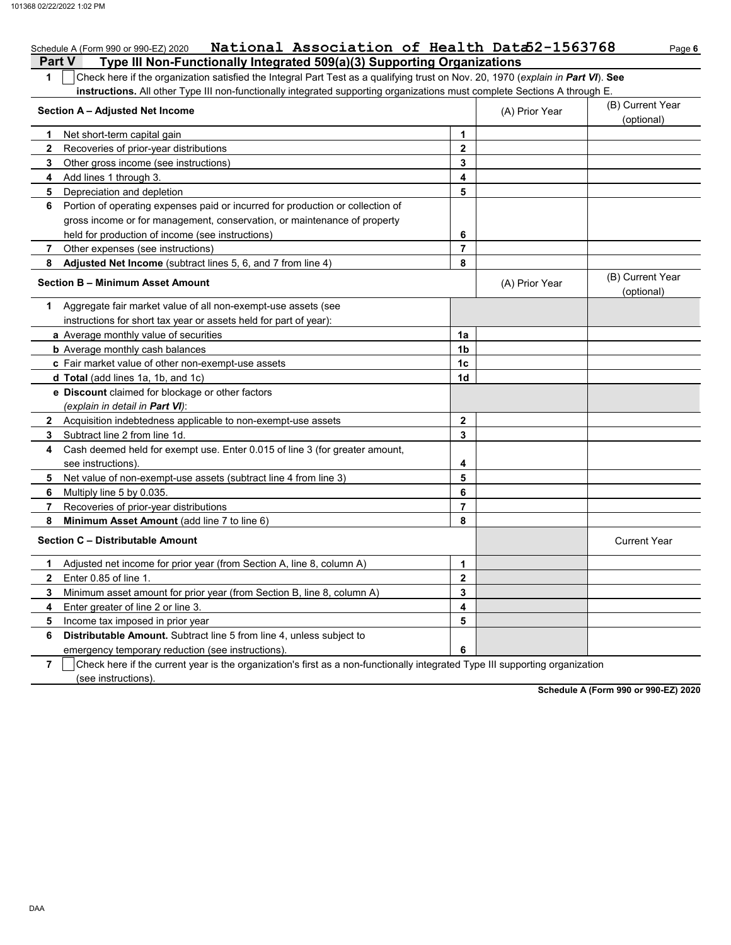| National Association of Health Data52-1563768<br>Schedule A (Form 990 or 990-EZ) 2020                                                                                                                                                                                                                                                                   |                |                | Page 6                         |
|---------------------------------------------------------------------------------------------------------------------------------------------------------------------------------------------------------------------------------------------------------------------------------------------------------------------------------------------------------|----------------|----------------|--------------------------------|
| Part V<br>Type III Non-Functionally Integrated 509(a)(3) Supporting Organizations<br>Check here if the organization satisfied the Integral Part Test as a qualifying trust on Nov. 20, 1970 (explain in Part VI). See<br>1<br>instructions. All other Type III non-functionally integrated supporting organizations must complete Sections A through E. |                |                |                                |
| Section A - Adjusted Net Income                                                                                                                                                                                                                                                                                                                         |                | (A) Prior Year | (B) Current Year<br>(optional) |
| Net short-term capital gain<br>1                                                                                                                                                                                                                                                                                                                        | 1              |                |                                |
| $\mathbf{2}$<br>Recoveries of prior-year distributions                                                                                                                                                                                                                                                                                                  | $\overline{2}$ |                |                                |
| Other gross income (see instructions)<br>3                                                                                                                                                                                                                                                                                                              | 3              |                |                                |
| Add lines 1 through 3.<br>4                                                                                                                                                                                                                                                                                                                             | 4              |                |                                |
| Depreciation and depletion<br>5                                                                                                                                                                                                                                                                                                                         | 5              |                |                                |
| Portion of operating expenses paid or incurred for production or collection of<br>6                                                                                                                                                                                                                                                                     |                |                |                                |
| gross income or for management, conservation, or maintenance of property                                                                                                                                                                                                                                                                                |                |                |                                |
| held for production of income (see instructions)                                                                                                                                                                                                                                                                                                        | 6              |                |                                |
| 7<br>Other expenses (see instructions)                                                                                                                                                                                                                                                                                                                  | $\overline{7}$ |                |                                |
| 8<br>Adjusted Net Income (subtract lines 5, 6, and 7 from line 4)                                                                                                                                                                                                                                                                                       | 8              |                |                                |
| Section B - Minimum Asset Amount                                                                                                                                                                                                                                                                                                                        |                | (A) Prior Year | (B) Current Year<br>(optional) |
| Aggregate fair market value of all non-exempt-use assets (see<br>1                                                                                                                                                                                                                                                                                      |                |                |                                |
| instructions for short tax year or assets held for part of year):                                                                                                                                                                                                                                                                                       |                |                |                                |
| a Average monthly value of securities                                                                                                                                                                                                                                                                                                                   | 1a             |                |                                |
| <b>b</b> Average monthly cash balances                                                                                                                                                                                                                                                                                                                  | 1b             |                |                                |
| c Fair market value of other non-exempt-use assets                                                                                                                                                                                                                                                                                                      | 1 <sub>c</sub> |                |                                |
| d Total (add lines 1a, 1b, and 1c)                                                                                                                                                                                                                                                                                                                      | 1 <sub>d</sub> |                |                                |
| e Discount claimed for blockage or other factors                                                                                                                                                                                                                                                                                                        |                |                |                                |
| (explain in detail in <b>Part VI</b> ):                                                                                                                                                                                                                                                                                                                 |                |                |                                |
| 2 Acquisition indebtedness applicable to non-exempt-use assets                                                                                                                                                                                                                                                                                          | $\mathbf{2}$   |                |                                |
| Subtract line 2 from line 1d.<br>3                                                                                                                                                                                                                                                                                                                      | 3              |                |                                |
| Cash deemed held for exempt use. Enter 0.015 of line 3 (for greater amount,<br>4                                                                                                                                                                                                                                                                        |                |                |                                |
| see instructions)                                                                                                                                                                                                                                                                                                                                       | 4              |                |                                |
| Net value of non-exempt-use assets (subtract line 4 from line 3)<br>5                                                                                                                                                                                                                                                                                   | 5              |                |                                |
| 6<br>Multiply line 5 by 0.035.                                                                                                                                                                                                                                                                                                                          | 6              |                |                                |
| 7<br>Recoveries of prior-year distributions                                                                                                                                                                                                                                                                                                             | $\overline{7}$ |                |                                |
| 8<br>Minimum Asset Amount (add line 7 to line 6)                                                                                                                                                                                                                                                                                                        | 8              |                |                                |
| Section C - Distributable Amount                                                                                                                                                                                                                                                                                                                        |                |                | <b>Current Year</b>            |

**6 Distributable Amount.** Subtract line 5 from line 4, unless subject to **5** Income tax imposed in prior year **4** Enter greater of line 2 or line 3. **3** Minimum asset amount for prior year (from Section B, line 8, column A) **2** Enter 0.85 of line 1. **1** Adjusted net income for prior year (from Section A, line 8, column A) emergency temporary reduction (see instructions). **3 2 1 6 5 4**

**7** | Check here if the current year is the organization's first as a non-functionally integrated Type III supporting organization (see instructions).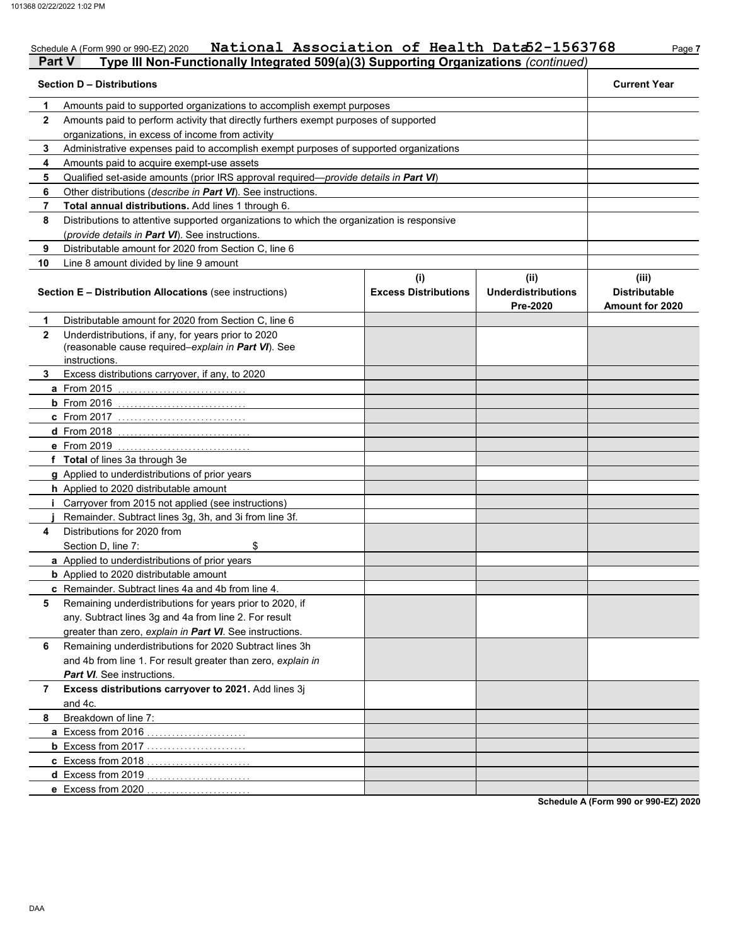#### Schedule A (Form 990 or 990-EZ) 2020 **National Association of Health Data)2-1563768** Page 7 **National Association of Health Data52-1563768**

|              | <b>Part V</b><br>Type III Non-Functionally Integrated 509(a)(3) Supporting Organizations (continued)                        |                                    |                                               |                                                         |
|--------------|-----------------------------------------------------------------------------------------------------------------------------|------------------------------------|-----------------------------------------------|---------------------------------------------------------|
|              | <b>Section D - Distributions</b>                                                                                            |                                    |                                               | <b>Current Year</b>                                     |
| 1            |                                                                                                                             |                                    |                                               |                                                         |
| $\mathbf{2}$ |                                                                                                                             |                                    |                                               |                                                         |
|              |                                                                                                                             |                                    |                                               |                                                         |
| 3            | Administrative expenses paid to accomplish exempt purposes of supported organizations                                       |                                    |                                               |                                                         |
| 4            | Amounts paid to acquire exempt-use assets                                                                                   |                                    |                                               |                                                         |
| 5            | Qualified set-aside amounts (prior IRS approval required-provide details in Part VI)                                        |                                    |                                               |                                                         |
| 6            | Other distributions (describe in Part VI). See instructions.                                                                |                                    |                                               |                                                         |
| 7            | Total annual distributions. Add lines 1 through 6.                                                                          |                                    |                                               |                                                         |
| 8            | Distributions to attentive supported organizations to which the organization is responsive                                  |                                    |                                               |                                                         |
|              | (provide details in Part VI). See instructions.                                                                             |                                    |                                               |                                                         |
| 9            | Distributable amount for 2020 from Section C, line 6                                                                        |                                    |                                               |                                                         |
| 10           | Line 8 amount divided by line 9 amount                                                                                      |                                    |                                               |                                                         |
|              | <b>Section E - Distribution Allocations (see instructions)</b>                                                              | (i)<br><b>Excess Distributions</b> | (ii)<br><b>Underdistributions</b><br>Pre-2020 | (iii)<br><b>Distributable</b><br><b>Amount for 2020</b> |
| 1            | Distributable amount for 2020 from Section C, line 6                                                                        |                                    |                                               |                                                         |
| $\mathbf{2}$ | Underdistributions, if any, for years prior to 2020<br>(reasonable cause required-explain in Part VI). See<br>instructions. |                                    |                                               |                                                         |
| 3            | Excess distributions carryover, if any, to 2020                                                                             |                                    |                                               |                                                         |
|              | <b>a</b> From 2015                                                                                                          |                                    |                                               |                                                         |
|              | <b>b</b> From $2016$                                                                                                        |                                    |                                               |                                                         |
|              | <b>c</b> From 2017                                                                                                          |                                    |                                               |                                                         |
|              | $d$ From 2018                                                                                                               |                                    |                                               |                                                         |
|              | <b>e</b> From 2019                                                                                                          |                                    |                                               |                                                         |
|              | f Total of lines 3a through 3e                                                                                              |                                    |                                               |                                                         |
|              | g Applied to underdistributions of prior years                                                                              |                                    |                                               |                                                         |
|              | h Applied to 2020 distributable amount                                                                                      |                                    |                                               |                                                         |
|              | <i>i</i> Carryover from 2015 not applied (see instructions)                                                                 |                                    |                                               |                                                         |
|              | Remainder. Subtract lines 3g, 3h, and 3i from line 3f.                                                                      |                                    |                                               |                                                         |
| 4            | Distributions for 2020 from                                                                                                 |                                    |                                               |                                                         |
|              | \$<br>Section D. line 7:                                                                                                    |                                    |                                               |                                                         |
|              | a Applied to underdistributions of prior years                                                                              |                                    |                                               |                                                         |
|              | <b>b</b> Applied to 2020 distributable amount                                                                               |                                    |                                               |                                                         |
|              | c Remainder. Subtract lines 4a and 4b from line 4.                                                                          |                                    |                                               |                                                         |
| 5            | Remaining underdistributions for years prior to 2020, if                                                                    |                                    |                                               |                                                         |
|              | any. Subtract lines 3g and 4a from line 2. For result                                                                       |                                    |                                               |                                                         |
|              | greater than zero, explain in Part VI. See instructions.                                                                    |                                    |                                               |                                                         |
| 6            | Remaining underdistributions for 2020 Subtract lines 3h                                                                     |                                    |                                               |                                                         |
|              | and 4b from line 1. For result greater than zero, explain in                                                                |                                    |                                               |                                                         |
|              | Part VI. See instructions.                                                                                                  |                                    |                                               |                                                         |
| 7            | Excess distributions carryover to 2021. Add lines 3j<br>and 4c.                                                             |                                    |                                               |                                                         |
| 8            | Breakdown of line 7:                                                                                                        |                                    |                                               |                                                         |
|              | a Excess from 2016                                                                                                          |                                    |                                               |                                                         |
|              | <b>b</b> Excess from 2017                                                                                                   |                                    |                                               |                                                         |
|              | c Excess from 2018                                                                                                          |                                    |                                               |                                                         |
|              | d Excess from 2019<br>.                                                                                                     |                                    |                                               |                                                         |
|              | e Excess from 2020                                                                                                          |                                    |                                               |                                                         |